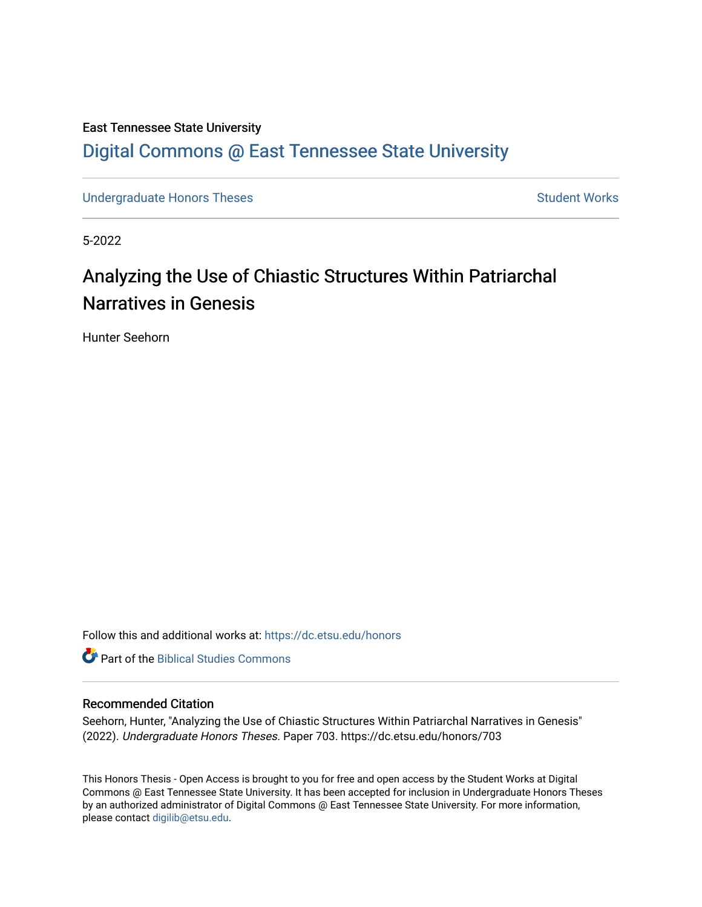# East Tennessee State University [Digital Commons @ East Tennessee State University](https://dc.etsu.edu/)

[Undergraduate Honors Theses](https://dc.etsu.edu/honors) Student Works

5-2022

# Analyzing the Use of Chiastic Structures Within Patriarchal Narratives in Genesis

Hunter Seehorn

Follow this and additional works at: [https://dc.etsu.edu/honors](https://dc.etsu.edu/honors?utm_source=dc.etsu.edu%2Fhonors%2F703&utm_medium=PDF&utm_campaign=PDFCoverPages)

**C** Part of the Biblical Studies Commons

#### Recommended Citation

Seehorn, Hunter, "Analyzing the Use of Chiastic Structures Within Patriarchal Narratives in Genesis" (2022). Undergraduate Honors Theses. Paper 703. https://dc.etsu.edu/honors/703

This Honors Thesis - Open Access is brought to you for free and open access by the Student Works at Digital Commons @ East Tennessee State University. It has been accepted for inclusion in Undergraduate Honors Theses by an authorized administrator of Digital Commons @ East Tennessee State University. For more information, please contact [digilib@etsu.edu.](mailto:digilib@etsu.edu)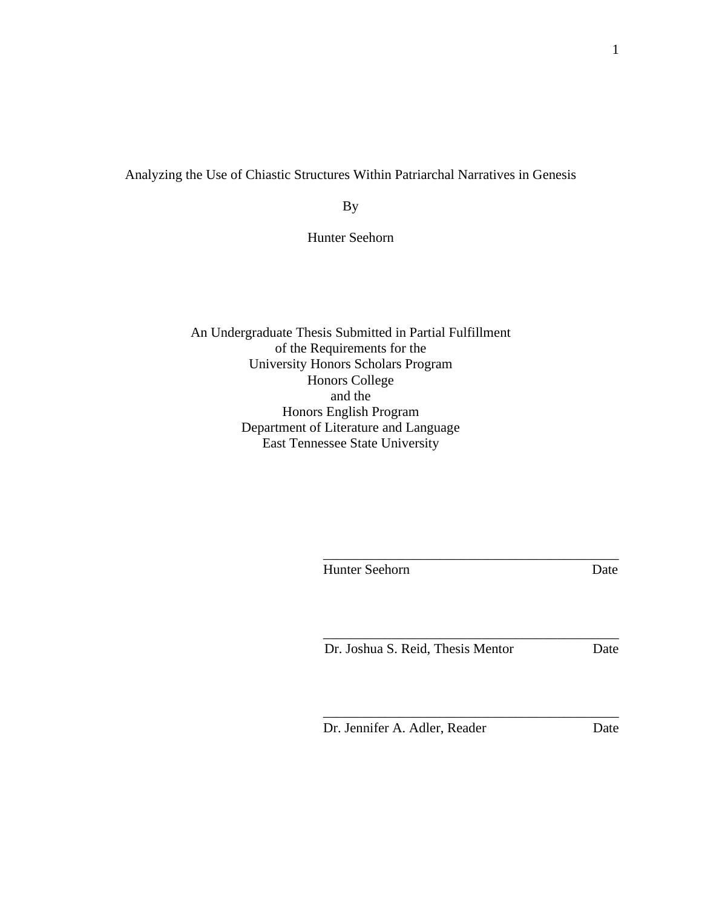# Analyzing the Use of Chiastic Structures Within Patriarchal Narratives in Genesis

By

Hunter Seehorn

An Undergraduate Thesis Submitted in Partial Fulfillment of the Requirements for the University Honors Scholars Program Honors College and the Honors English Program Department of Literature and Language East Tennessee State University

Hunter Seehorn Date

Dr. Joshua S. Reid, Thesis Mentor Date

\_\_\_\_\_\_\_\_\_\_\_\_\_\_\_\_\_\_\_\_\_\_\_\_\_\_\_\_\_\_\_\_\_\_\_\_\_\_\_\_\_\_\_

\_\_\_\_\_\_\_\_\_\_\_\_\_\_\_\_\_\_\_\_\_\_\_\_\_\_\_\_\_\_\_\_\_\_\_\_\_\_\_\_\_\_\_

\_\_\_\_\_\_\_\_\_\_\_\_\_\_\_\_\_\_\_\_\_\_\_\_\_\_\_\_\_\_\_\_\_\_\_\_\_\_\_\_\_\_\_

Dr. Jennifer A. Adler, Reader Date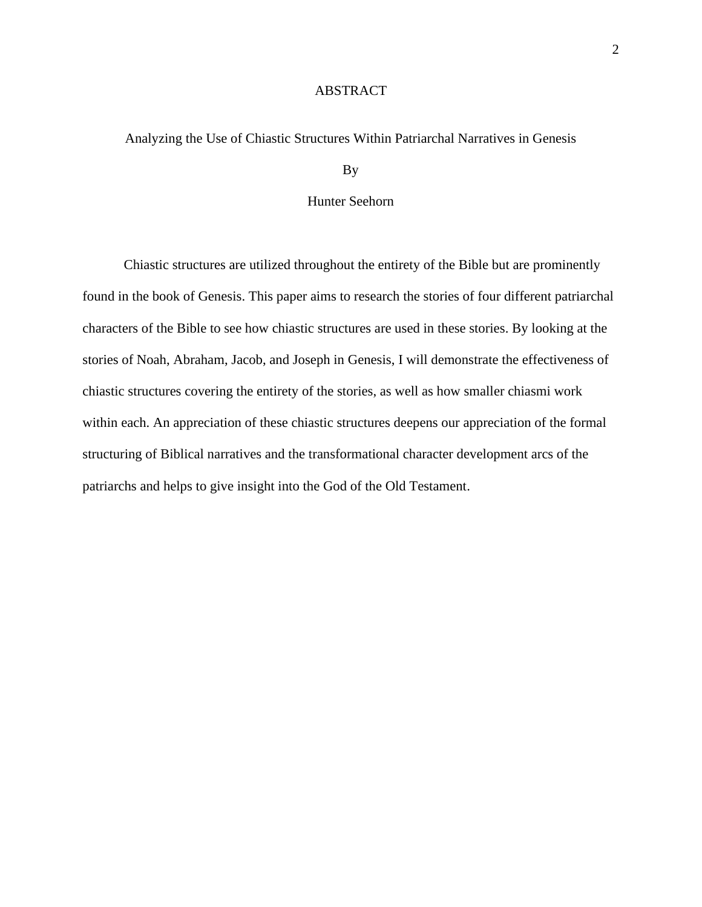#### ABSTRACT

#### Analyzing the Use of Chiastic Structures Within Patriarchal Narratives in Genesis

By

# Hunter Seehorn

Chiastic structures are utilized throughout the entirety of the Bible but are prominently found in the book of Genesis. This paper aims to research the stories of four different patriarchal characters of the Bible to see how chiastic structures are used in these stories. By looking at the stories of Noah, Abraham, Jacob, and Joseph in Genesis, I will demonstrate the effectiveness of chiastic structures covering the entirety of the stories, as well as how smaller chiasmi work within each. An appreciation of these chiastic structures deepens our appreciation of the formal structuring of Biblical narratives and the transformational character development arcs of the patriarchs and helps to give insight into the God of the Old Testament.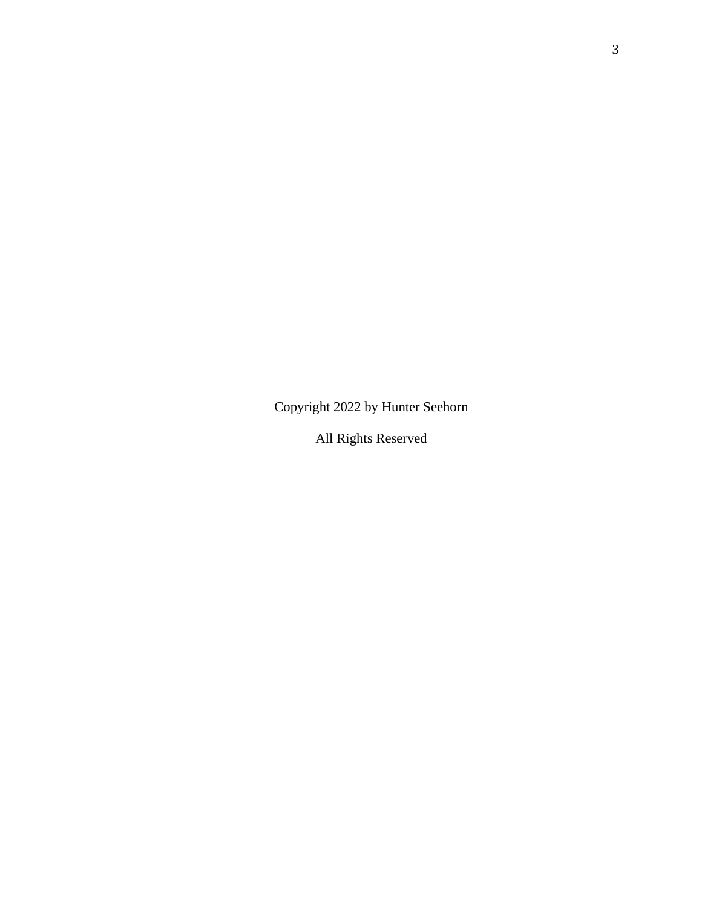Copyright 2022 by Hunter Seehorn

All Rights Reserved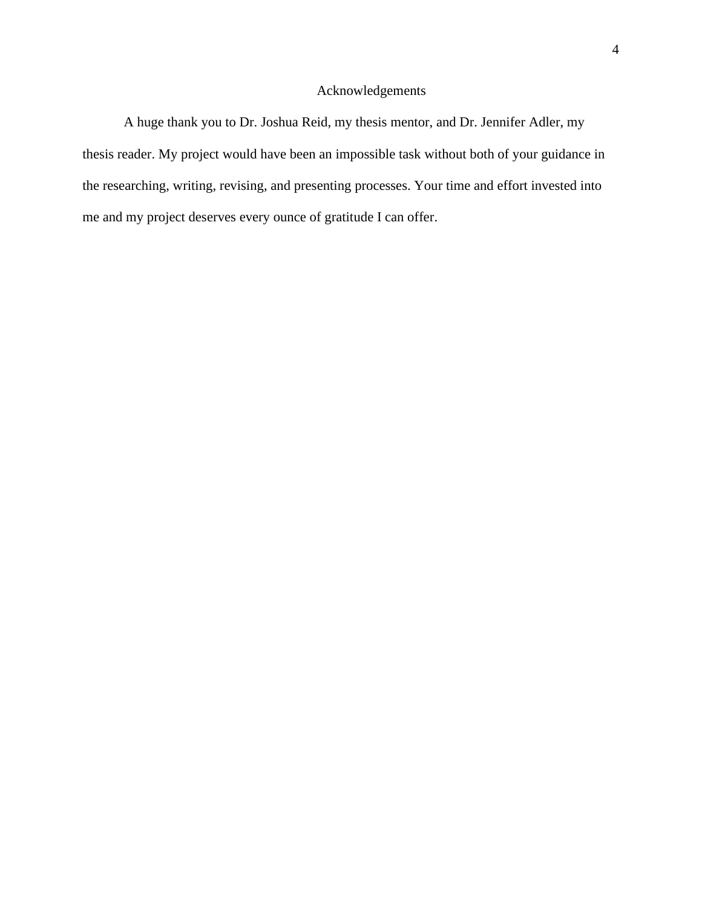# Acknowledgements

A huge thank you to Dr. Joshua Reid, my thesis mentor, and Dr. Jennifer Adler, my thesis reader. My project would have been an impossible task without both of your guidance in the researching, writing, revising, and presenting processes. Your time and effort invested into me and my project deserves every ounce of gratitude I can offer.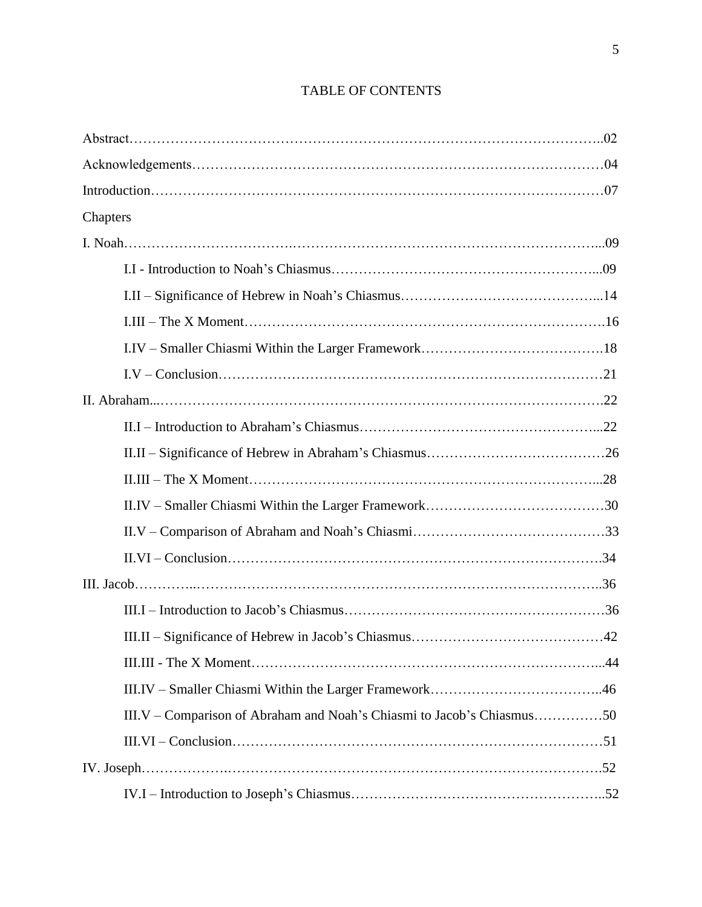# TABLE OF CONTENTS

| Chapters                                                               |  |
|------------------------------------------------------------------------|--|
|                                                                        |  |
|                                                                        |  |
|                                                                        |  |
|                                                                        |  |
|                                                                        |  |
|                                                                        |  |
|                                                                        |  |
|                                                                        |  |
|                                                                        |  |
|                                                                        |  |
|                                                                        |  |
|                                                                        |  |
|                                                                        |  |
|                                                                        |  |
|                                                                        |  |
|                                                                        |  |
|                                                                        |  |
|                                                                        |  |
| III.V – Comparison of Abraham and Noah's Chiasmi to Jacob's Chiasmus50 |  |
|                                                                        |  |
|                                                                        |  |
|                                                                        |  |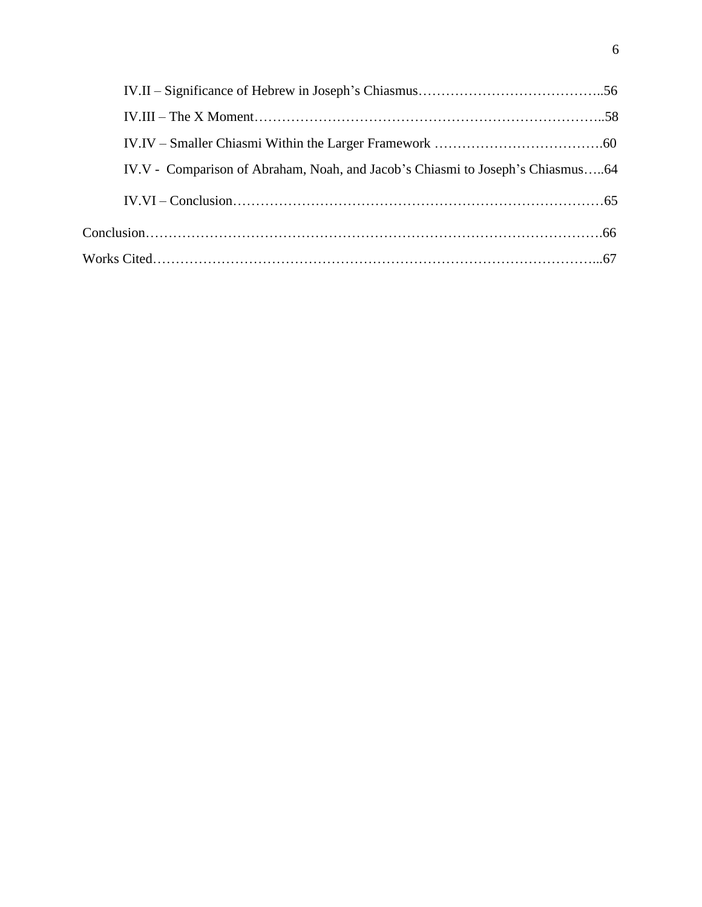| IV.V - Comparison of Abraham, Noah, and Jacob's Chiasmi to Joseph's Chiasmus64 |  |
|--------------------------------------------------------------------------------|--|
|                                                                                |  |
|                                                                                |  |
|                                                                                |  |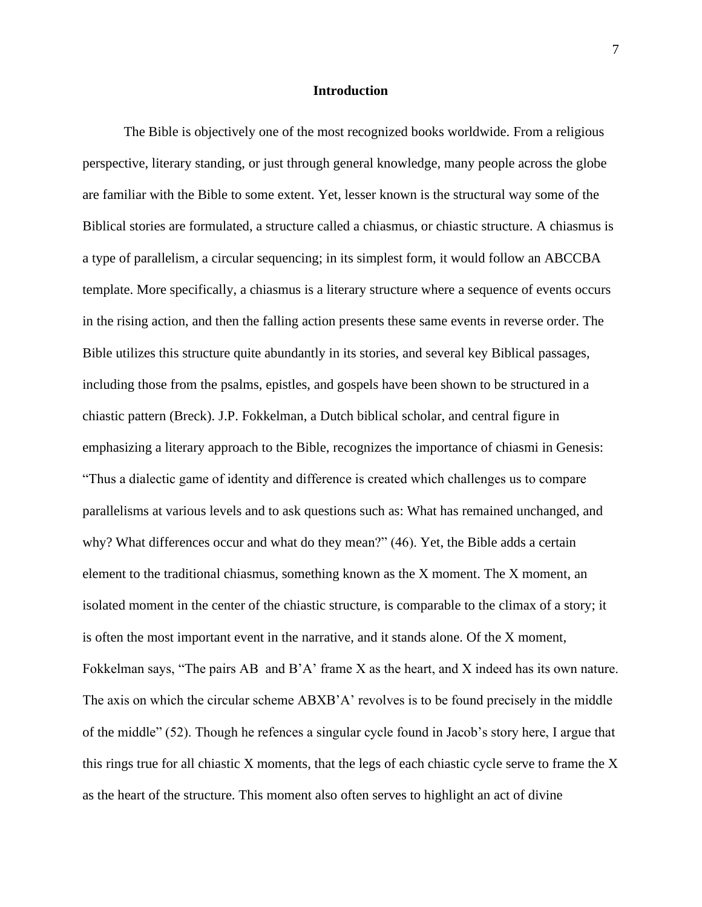#### **Introduction**

The Bible is objectively one of the most recognized books worldwide. From a religious perspective, literary standing, or just through general knowledge, many people across the globe are familiar with the Bible to some extent. Yet, lesser known is the structural way some of the Biblical stories are formulated, a structure called a chiasmus, or chiastic structure. A chiasmus is a type of parallelism, a circular sequencing; in its simplest form, it would follow an ABCCBA template. More specifically, a chiasmus is a literary structure where a sequence of events occurs in the rising action, and then the falling action presents these same events in reverse order. The Bible utilizes this structure quite abundantly in its stories, and several key Biblical passages, including those from the psalms, epistles, and gospels have been shown to be structured in a chiastic pattern (Breck). J.P. Fokkelman, a Dutch biblical scholar, and central figure in emphasizing a literary approach to the Bible, recognizes the importance of chiasmi in Genesis: "Thus a dialectic game of identity and difference is created which challenges us to compare parallelisms at various levels and to ask questions such as: What has remained unchanged, and why? What differences occur and what do they mean?" (46). Yet, the Bible adds a certain element to the traditional chiasmus, something known as the X moment. The X moment, an isolated moment in the center of the chiastic structure, is comparable to the climax of a story; it is often the most important event in the narrative, and it stands alone. Of the X moment, Fokkelman says, "The pairs AB and B'A' frame X as the heart, and X indeed has its own nature. The axis on which the circular scheme ABXB'A' revolves is to be found precisely in the middle of the middle" (52). Though he refences a singular cycle found in Jacob's story here, I argue that this rings true for all chiastic X moments, that the legs of each chiastic cycle serve to frame the X as the heart of the structure. This moment also often serves to highlight an act of divine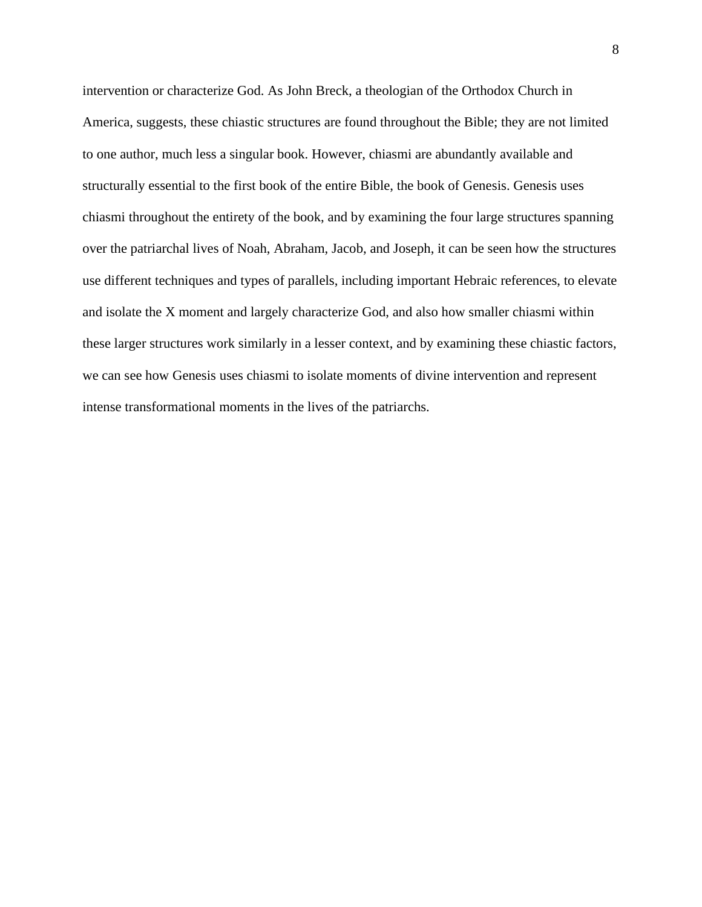intervention or characterize God. As John Breck, a theologian of the Orthodox Church in America, suggests, these chiastic structures are found throughout the Bible; they are not limited to one author, much less a singular book. However, chiasmi are abundantly available and structurally essential to the first book of the entire Bible, the book of Genesis. Genesis uses chiasmi throughout the entirety of the book, and by examining the four large structures spanning over the patriarchal lives of Noah, Abraham, Jacob, and Joseph, it can be seen how the structures use different techniques and types of parallels, including important Hebraic references, to elevate and isolate the X moment and largely characterize God, and also how smaller chiasmi within these larger structures work similarly in a lesser context, and by examining these chiastic factors, we can see how Genesis uses chiasmi to isolate moments of divine intervention and represent intense transformational moments in the lives of the patriarchs.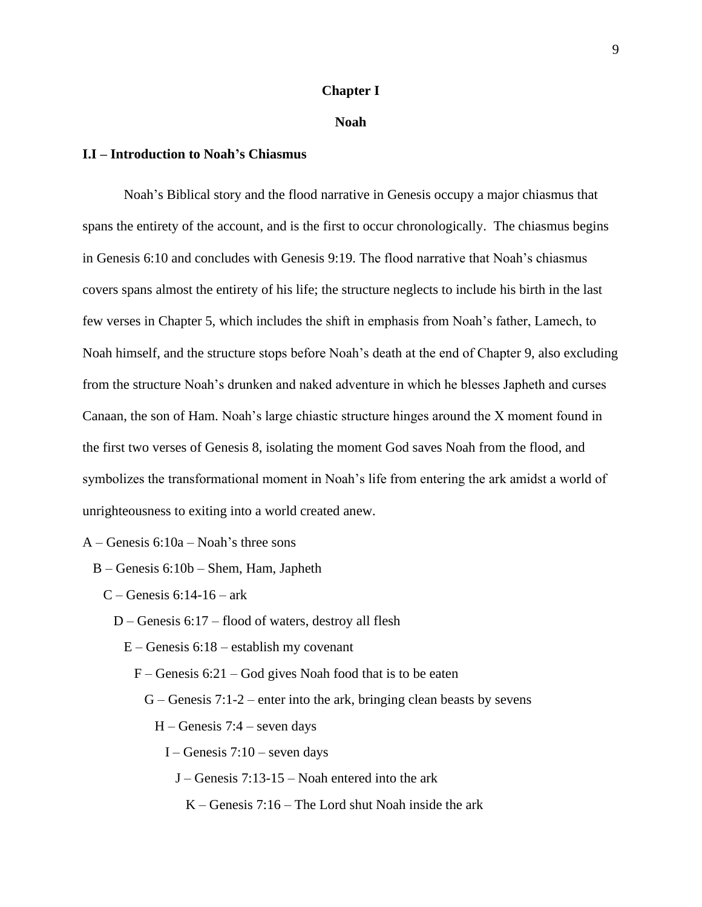## **Chapter I**

#### **Noah**

#### **I.I – Introduction to Noah's Chiasmus**

Noah's Biblical story and the flood narrative in Genesis occupy a major chiasmus that spans the entirety of the account, and is the first to occur chronologically. The chiasmus begins in Genesis 6:10 and concludes with Genesis 9:19. The flood narrative that Noah's chiasmus covers spans almost the entirety of his life; the structure neglects to include his birth in the last few verses in Chapter 5, which includes the shift in emphasis from Noah's father, Lamech, to Noah himself, and the structure stops before Noah's death at the end of Chapter 9, also excluding from the structure Noah's drunken and naked adventure in which he blesses Japheth and curses Canaan, the son of Ham. Noah's large chiastic structure hinges around the X moment found in the first two verses of Genesis 8, isolating the moment God saves Noah from the flood, and symbolizes the transformational moment in Noah's life from entering the ark amidst a world of unrighteousness to exiting into a world created anew.

A – Genesis 6:10a – Noah's three sons

- B Genesis 6:10b Shem, Ham, Japheth
	- C Genesis 6:14-16 ark
		- D Genesis 6:17 flood of waters, destroy all flesh
			- E Genesis 6:18 establish my covenant
				- $F -$ Genesis 6:21 God gives Noah food that is to be eaten
					- $G \text{Genesis } 7:1-2$  enter into the ark, bringing clean beasts by sevens
						- H Genesis 7:4 seven days
							- I Genesis 7:10 seven days
								- J Genesis 7:13-15 Noah entered into the ark
									- $K -$  Genesis 7:16 The Lord shut Noah inside the ark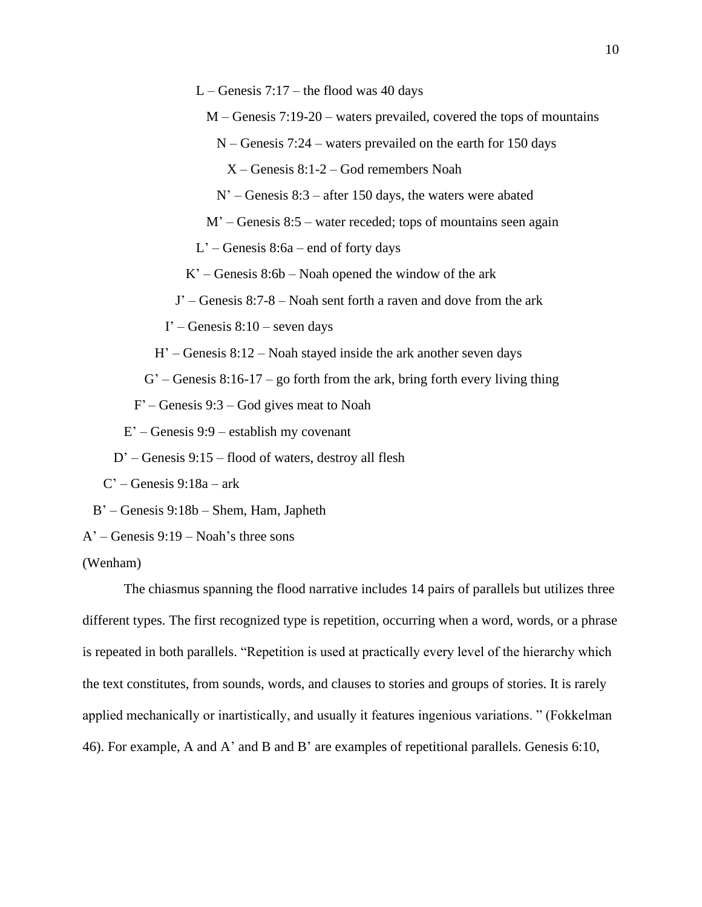L – Genesis  $7:17$  – the flood was 40 days

M – Genesis 7:19-20 – waters prevailed, covered the tops of mountains

N – Genesis 7:24 – waters prevailed on the earth for 150 days

X – Genesis 8:1-2 – God remembers Noah

N' – Genesis 8:3 – after 150 days, the waters were abated

M' – Genesis 8:5 – water receded; tops of mountains seen again

 $L'$  – Genesis 8:6a – end of forty days

 $K'$  – Genesis 8:6b – Noah opened the window of the ark

J' – Genesis 8:7-8 – Noah sent forth a raven and dove from the ark

 $I'$  – Genesis 8:10 – seven days

H' – Genesis 8:12 – Noah stayed inside the ark another seven days

 $G'$  – Genesis 8:16-17 – go forth from the ark, bring forth every living thing

F' – Genesis 9:3 – God gives meat to Noah

E' – Genesis 9:9 – establish my covenant

D' – Genesis 9:15 – flood of waters, destroy all flesh

 $C'$  – Genesis 9:18a – ark

B' – Genesis 9:18b – Shem, Ham, Japheth

A' – Genesis 9:19 – Noah's three sons

(Wenham)

The chiasmus spanning the flood narrative includes 14 pairs of parallels but utilizes three different types. The first recognized type is repetition, occurring when a word, words, or a phrase is repeated in both parallels. "Repetition is used at practically every level of the hierarchy which the text constitutes, from sounds, words, and clauses to stories and groups of stories. It is rarely applied mechanically or inartistically, and usually it features ingenious variations. " (Fokkelman 46). For example, A and A' and B and B' are examples of repetitional parallels. Genesis 6:10,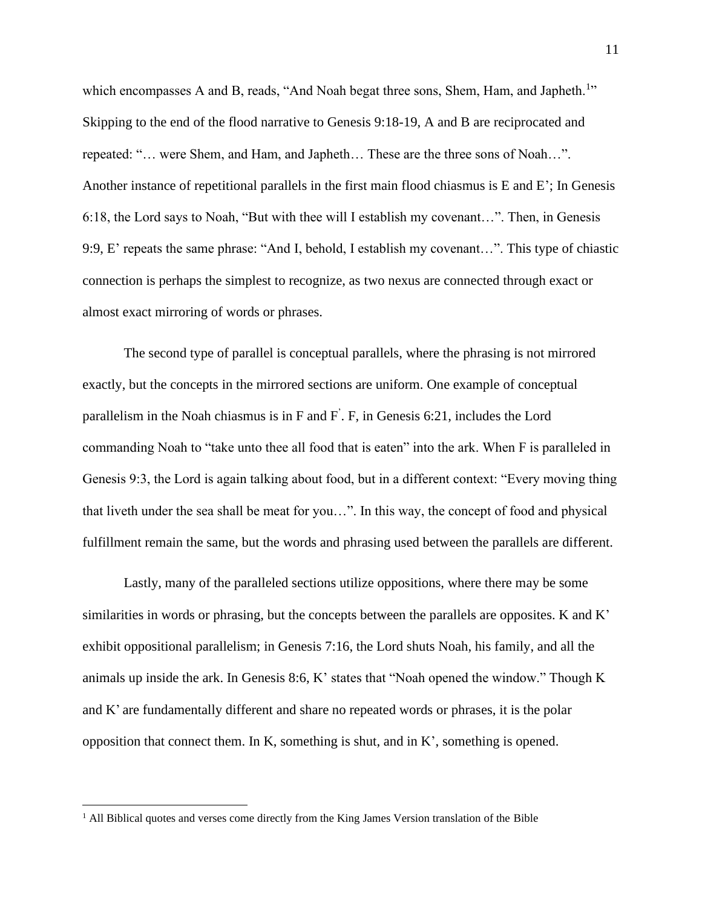which encompasses A and B, reads, "And Noah begat three sons, Shem, Ham, and Japheth.<sup>1</sup>" Skipping to the end of the flood narrative to Genesis 9:18-19, A and B are reciprocated and repeated: "… were Shem, and Ham, and Japheth… These are the three sons of Noah…". Another instance of repetitional parallels in the first main flood chiasmus is E and E'; In Genesis 6:18, the Lord says to Noah, "But with thee will I establish my covenant…". Then, in Genesis 9:9, E' repeats the same phrase: "And I, behold, I establish my covenant…". This type of chiastic connection is perhaps the simplest to recognize, as two nexus are connected through exact or almost exact mirroring of words or phrases.

The second type of parallel is conceptual parallels, where the phrasing is not mirrored exactly, but the concepts in the mirrored sections are uniform. One example of conceptual parallelism in the Noah chiasmus is in F and F' . F, in Genesis 6:21, includes the Lord commanding Noah to "take unto thee all food that is eaten" into the ark. When F is paralleled in Genesis 9:3, the Lord is again talking about food, but in a different context: "Every moving thing that liveth under the sea shall be meat for you…". In this way, the concept of food and physical fulfillment remain the same, but the words and phrasing used between the parallels are different.

Lastly, many of the paralleled sections utilize oppositions, where there may be some similarities in words or phrasing, but the concepts between the parallels are opposites. K and K' exhibit oppositional parallelism; in Genesis 7:16, the Lord shuts Noah, his family, and all the animals up inside the ark. In Genesis 8:6, K' states that "Noah opened the window." Though K and K' are fundamentally different and share no repeated words or phrases, it is the polar opposition that connect them. In K, something is shut, and in K', something is opened.

<sup>&</sup>lt;sup>1</sup> All Biblical quotes and verses come directly from the King James Version translation of the Bible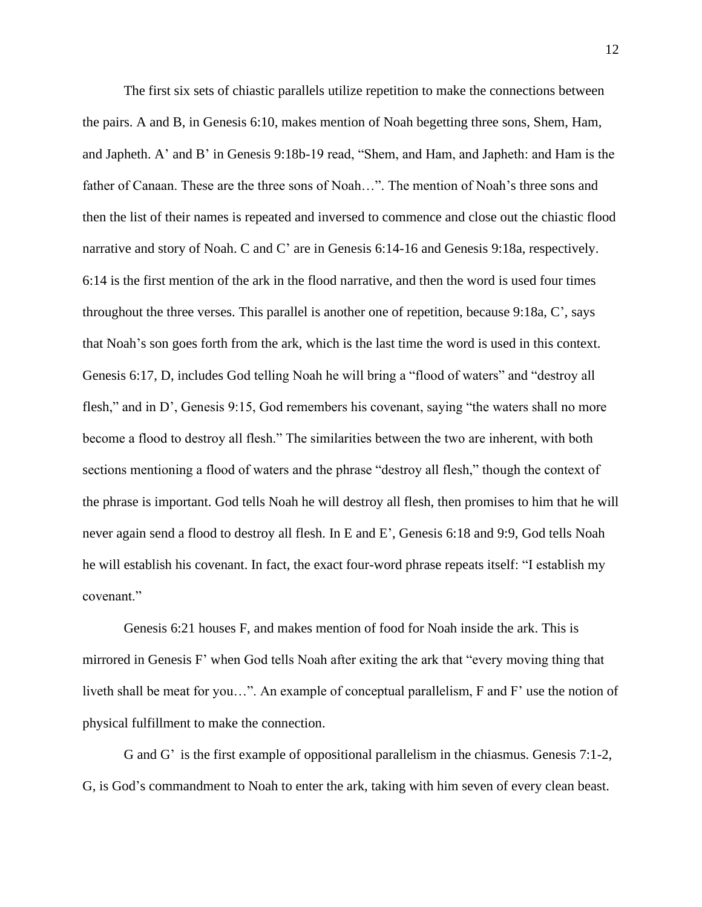The first six sets of chiastic parallels utilize repetition to make the connections between the pairs. A and B, in Genesis 6:10, makes mention of Noah begetting three sons, Shem, Ham, and Japheth. A' and B' in Genesis 9:18b-19 read, "Shem, and Ham, and Japheth: and Ham is the father of Canaan. These are the three sons of Noah…". The mention of Noah's three sons and then the list of their names is repeated and inversed to commence and close out the chiastic flood narrative and story of Noah. C and C' are in Genesis 6:14-16 and Genesis 9:18a, respectively. 6:14 is the first mention of the ark in the flood narrative, and then the word is used four times throughout the three verses. This parallel is another one of repetition, because 9:18a, C', says that Noah's son goes forth from the ark, which is the last time the word is used in this context. Genesis 6:17, D, includes God telling Noah he will bring a "flood of waters" and "destroy all flesh," and in D', Genesis 9:15, God remembers his covenant, saying "the waters shall no more become a flood to destroy all flesh." The similarities between the two are inherent, with both sections mentioning a flood of waters and the phrase "destroy all flesh," though the context of the phrase is important. God tells Noah he will destroy all flesh, then promises to him that he will never again send a flood to destroy all flesh. In E and E', Genesis 6:18 and 9:9, God tells Noah he will establish his covenant. In fact, the exact four-word phrase repeats itself: "I establish my covenant."

Genesis 6:21 houses F, and makes mention of food for Noah inside the ark. This is mirrored in Genesis F' when God tells Noah after exiting the ark that "every moving thing that liveth shall be meat for you…". An example of conceptual parallelism, F and F' use the notion of physical fulfillment to make the connection.

G and G' is the first example of oppositional parallelism in the chiasmus. Genesis 7:1-2, G, is God's commandment to Noah to enter the ark, taking with him seven of every clean beast.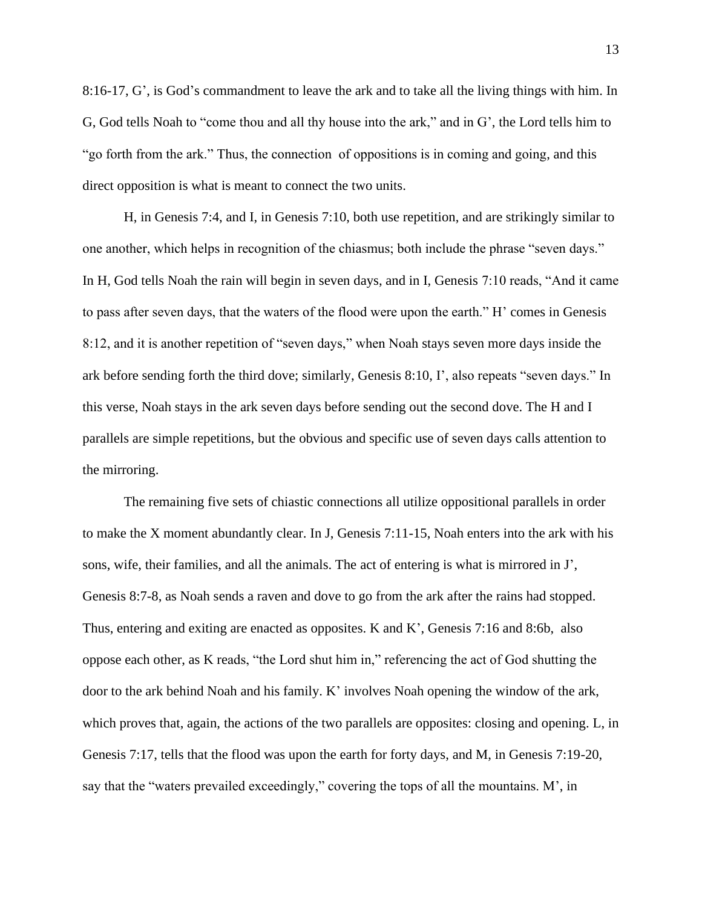8:16-17, G', is God's commandment to leave the ark and to take all the living things with him. In G, God tells Noah to "come thou and all thy house into the ark," and in G', the Lord tells him to "go forth from the ark." Thus, the connection of oppositions is in coming and going, and this direct opposition is what is meant to connect the two units.

H, in Genesis 7:4, and I, in Genesis 7:10, both use repetition, and are strikingly similar to one another, which helps in recognition of the chiasmus; both include the phrase "seven days." In H, God tells Noah the rain will begin in seven days, and in I, Genesis 7:10 reads, "And it came to pass after seven days, that the waters of the flood were upon the earth." H' comes in Genesis 8:12, and it is another repetition of "seven days," when Noah stays seven more days inside the ark before sending forth the third dove; similarly, Genesis 8:10, I', also repeats "seven days." In this verse, Noah stays in the ark seven days before sending out the second dove. The H and I parallels are simple repetitions, but the obvious and specific use of seven days calls attention to the mirroring.

The remaining five sets of chiastic connections all utilize oppositional parallels in order to make the X moment abundantly clear. In J, Genesis 7:11-15, Noah enters into the ark with his sons, wife, their families, and all the animals. The act of entering is what is mirrored in J', Genesis 8:7-8, as Noah sends a raven and dove to go from the ark after the rains had stopped. Thus, entering and exiting are enacted as opposites. K and K', Genesis 7:16 and 8:6b, also oppose each other, as K reads, "the Lord shut him in," referencing the act of God shutting the door to the ark behind Noah and his family. K' involves Noah opening the window of the ark, which proves that, again, the actions of the two parallels are opposites: closing and opening. L, in Genesis 7:17, tells that the flood was upon the earth for forty days, and M, in Genesis 7:19-20, say that the "waters prevailed exceedingly," covering the tops of all the mountains. M', in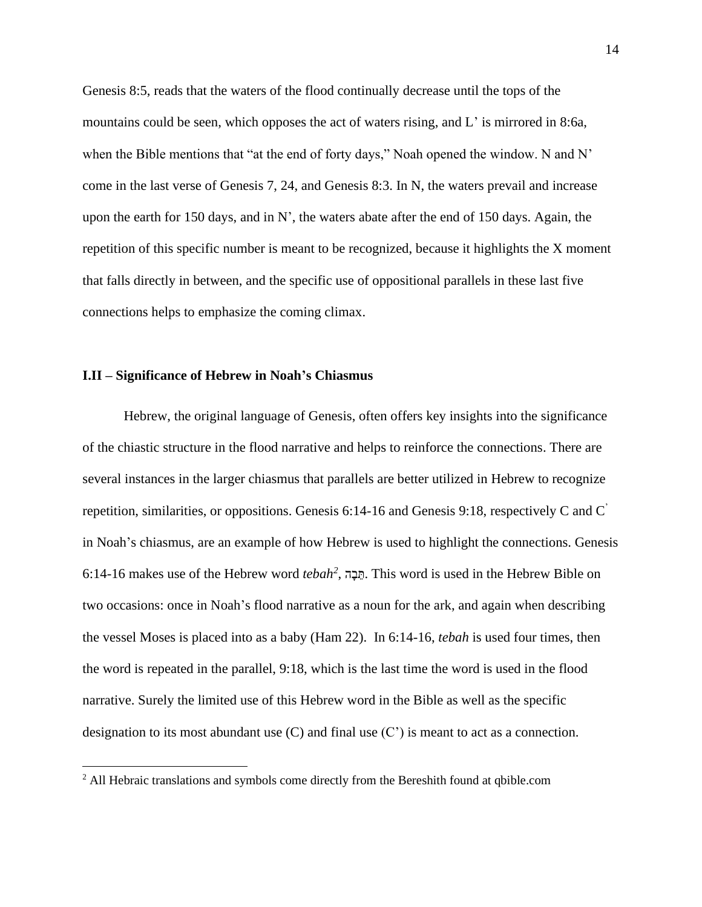Genesis 8:5, reads that the waters of the flood continually decrease until the tops of the mountains could be seen, which opposes the act of waters rising, and L' is mirrored in 8:6a, when the Bible mentions that "at the end of forty days," Noah opened the window. N and N' come in the last verse of Genesis 7, 24, and Genesis 8:3. In N, the waters prevail and increase upon the earth for 150 days, and in N', the waters abate after the end of 150 days. Again, the repetition of this specific number is meant to be recognized, because it highlights the X moment that falls directly in between, and the specific use of oppositional parallels in these last five connections helps to emphasize the coming climax.

#### **I.II – Significance of Hebrew in Noah's Chiasmus**

Hebrew, the original language of Genesis, often offers key insights into the significance of the chiastic structure in the flood narrative and helps to reinforce the connections. There are several instances in the larger chiasmus that parallels are better utilized in Hebrew to recognize repetition, similarities, or oppositions. Genesis 6:14-16 and Genesis 9:18, respectively C and C' in Noah's chiasmus, are an example of how Hebrew is used to highlight the connections. Genesis 6:14-16 makes use of the Hebrew word *tebah<sup>2</sup>*, הֵּבָה. This word is used in the Hebrew Bible on two occasions: once in Noah's flood narrative as a noun for the ark, and again when describing the vessel Moses is placed into as a baby (Ham 22). In 6:14-16, *tebah* is used four times, then the word is repeated in the parallel, 9:18, which is the last time the word is used in the flood narrative. Surely the limited use of this Hebrew word in the Bible as well as the specific designation to its most abundant use  $(C)$  and final use  $(C')$  is meant to act as a connection.

<sup>&</sup>lt;sup>2</sup> All Hebraic translations and symbols come directly from the Bereshith found at qbible.com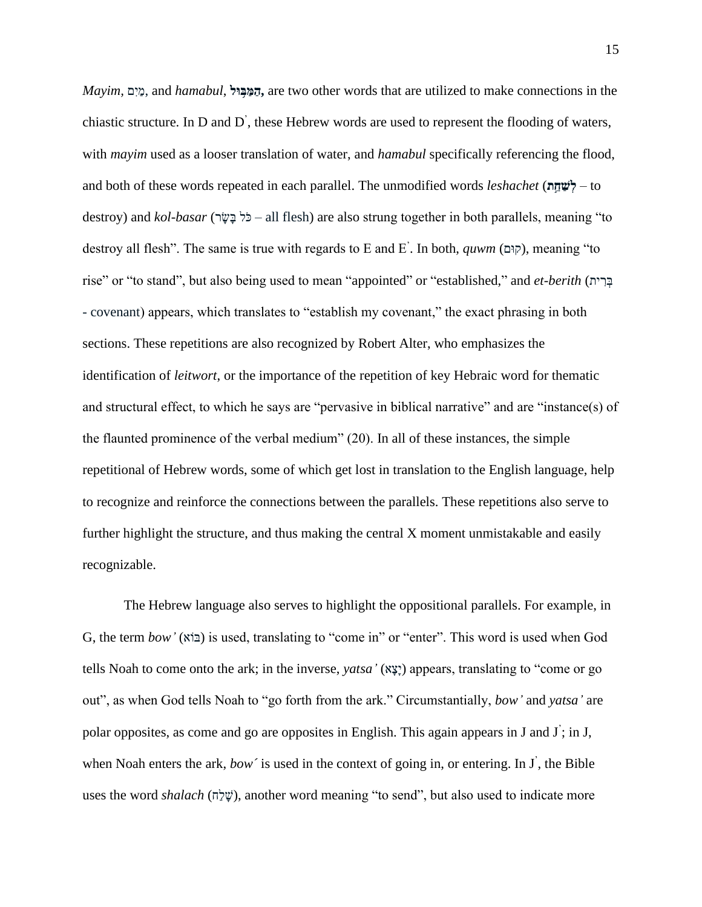*Mayim*, <u>מ</u>ִים, and *hamabul*, **הַמַּבְּוּל,** are two other words that are utilized to make connections in the chiastic structure. In D and D' , these Hebrew words are used to represent the flooding of waters, with *mayim* used as a looser translation of water, and *hamabul* specifically referencing the flood, and both of these words repeated in each parallel. The unmodified words *leshachet* (**ת ֵ֣ ח ַש ְל** – to destroy) and *kol-basar* (לֹבָּשֶׂר – all flesh) are also strung together in both parallels, meaning "to destroy all flesh". The same is true with regards to E and E'. In both, *quwm* (קום), meaning "to rise" or "to stand", but also being used to mean "appointed" or "established," and *et-berith* (בְּרִית - covenant) appears, which translates to "establish my covenant," the exact phrasing in both sections. These repetitions are also recognized by Robert Alter, who emphasizes the identification of *leitwort*, or the importance of the repetition of key Hebraic word for thematic and structural effect, to which he says are "pervasive in biblical narrative" and are "instance(s) of the flaunted prominence of the verbal medium" (20). In all of these instances, the simple repetitional of Hebrew words, some of which get lost in translation to the English language, help to recognize and reinforce the connections between the parallels. These repetitions also serve to further highlight the structure, and thus making the central X moment unmistakable and easily recognizable.

The Hebrew language also serves to highlight the oppositional parallels. For example, in G, the term *bow'* (בוֹא) is used, translating to "come in" or "enter". This word is used when God tells Noah to come onto the ark; in the inverse, *yatsa'* (א<sup>י</sup>צא) appears, translating to "come or go" out", as when God tells Noah to "go forth from the ark." Circumstantially, *bow'* and *yatsa'* are polar opposites, as come and go are opposites in English. This again appears in J and J; in J, when Noah enters the ark, *bow´* is used in the context of going in, or entering. In J' , the Bible uses the word *shalach* (שֵׁלָה), another word meaning "to send", but also used to indicate more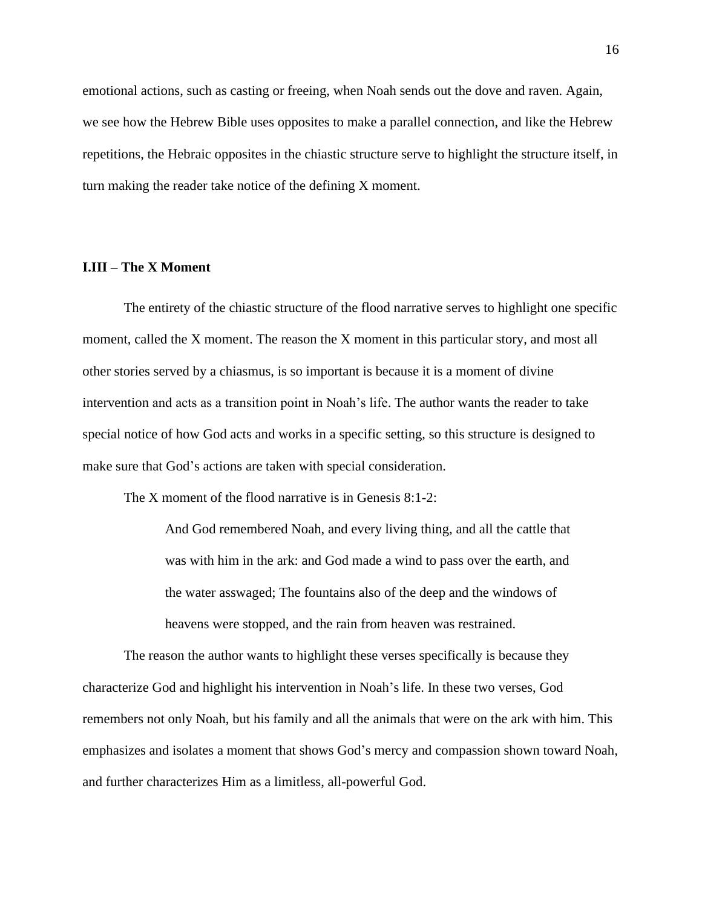emotional actions, such as casting or freeing, when Noah sends out the dove and raven. Again, we see how the Hebrew Bible uses opposites to make a parallel connection, and like the Hebrew repetitions, the Hebraic opposites in the chiastic structure serve to highlight the structure itself, in turn making the reader take notice of the defining X moment.

#### **I.III – The X Moment**

The entirety of the chiastic structure of the flood narrative serves to highlight one specific moment, called the X moment. The reason the X moment in this particular story, and most all other stories served by a chiasmus, is so important is because it is a moment of divine intervention and acts as a transition point in Noah's life. The author wants the reader to take special notice of how God acts and works in a specific setting, so this structure is designed to make sure that God's actions are taken with special consideration.

The X moment of the flood narrative is in Genesis 8:1-2:

And God remembered Noah, and every living thing, and all the cattle that was with him in the ark: and God made a wind to pass over the earth, and the water asswaged; The fountains also of the deep and the windows of heavens were stopped, and the rain from heaven was restrained.

The reason the author wants to highlight these verses specifically is because they characterize God and highlight his intervention in Noah's life. In these two verses, God remembers not only Noah, but his family and all the animals that were on the ark with him. This emphasizes and isolates a moment that shows God's mercy and compassion shown toward Noah, and further characterizes Him as a limitless, all-powerful God.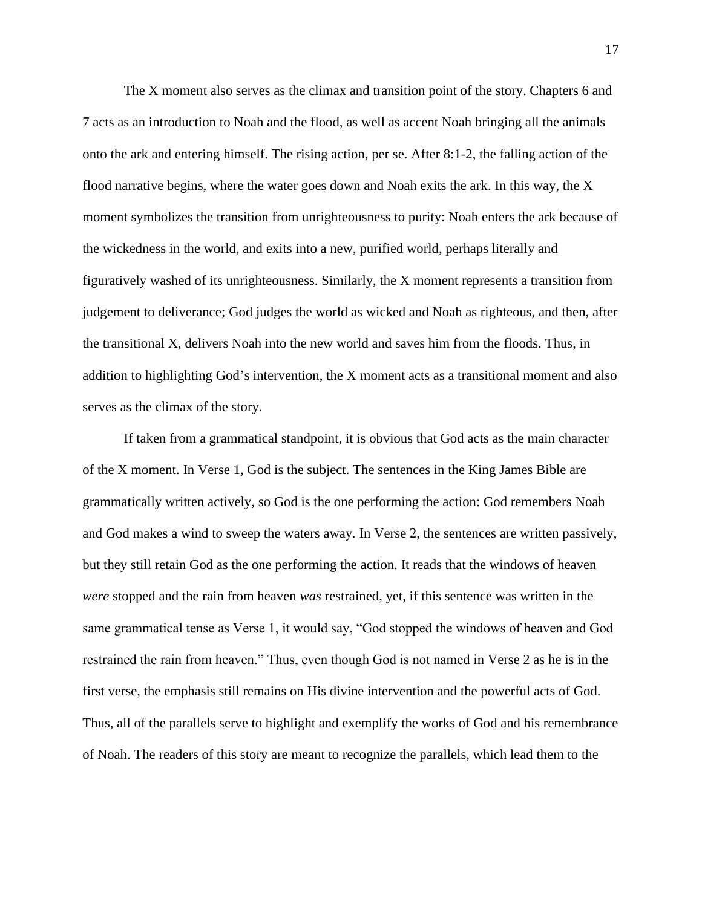The X moment also serves as the climax and transition point of the story. Chapters 6 and 7 acts as an introduction to Noah and the flood, as well as accent Noah bringing all the animals onto the ark and entering himself. The rising action, per se. After 8:1-2, the falling action of the flood narrative begins, where the water goes down and Noah exits the ark. In this way, the X moment symbolizes the transition from unrighteousness to purity: Noah enters the ark because of the wickedness in the world, and exits into a new, purified world, perhaps literally and figuratively washed of its unrighteousness. Similarly, the X moment represents a transition from judgement to deliverance; God judges the world as wicked and Noah as righteous, and then, after the transitional X, delivers Noah into the new world and saves him from the floods. Thus, in addition to highlighting God's intervention, the X moment acts as a transitional moment and also serves as the climax of the story.

If taken from a grammatical standpoint, it is obvious that God acts as the main character of the X moment. In Verse 1, God is the subject. The sentences in the King James Bible are grammatically written actively, so God is the one performing the action: God remembers Noah and God makes a wind to sweep the waters away. In Verse 2, the sentences are written passively, but they still retain God as the one performing the action. It reads that the windows of heaven *were* stopped and the rain from heaven *was* restrained, yet, if this sentence was written in the same grammatical tense as Verse 1, it would say, "God stopped the windows of heaven and God restrained the rain from heaven." Thus, even though God is not named in Verse 2 as he is in the first verse, the emphasis still remains on His divine intervention and the powerful acts of God. Thus, all of the parallels serve to highlight and exemplify the works of God and his remembrance of Noah. The readers of this story are meant to recognize the parallels, which lead them to the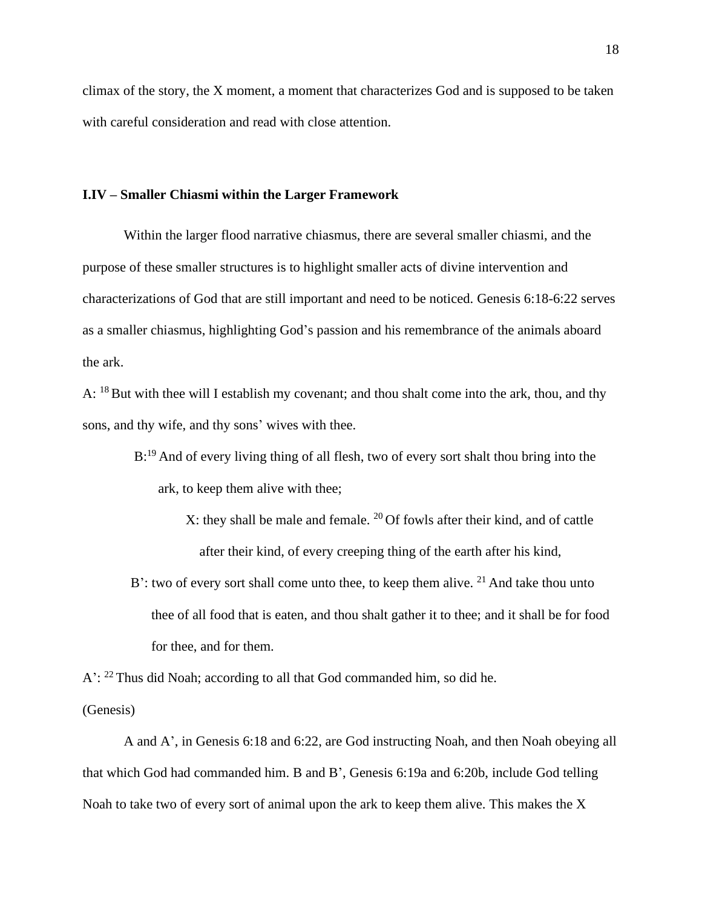climax of the story, the X moment, a moment that characterizes God and is supposed to be taken with careful consideration and read with close attention.

#### **I.IV – Smaller Chiasmi within the Larger Framework**

Within the larger flood narrative chiasmus, there are several smaller chiasmi, and the purpose of these smaller structures is to highlight smaller acts of divine intervention and characterizations of God that are still important and need to be noticed. Genesis 6:18-6:22 serves as a smaller chiasmus, highlighting God's passion and his remembrance of the animals aboard the ark.

A: <sup>18</sup> But with thee will I establish my covenant; and thou shalt come into the ark, thou, and thy sons, and thy wife, and thy sons' wives with thee.

B<sup>19</sup> And of every living thing of all flesh, two of every sort shalt thou bring into the

ark, to keep them alive with thee;

 X: they shall be male and female. <sup>20</sup> Of fowls after their kind, and of cattle after their kind, of every creeping thing of the earth after his kind,

B': two of every sort shall come unto thee, to keep them alive. <sup>21</sup> And take thou unto thee of all food that is eaten, and thou shalt gather it to thee; and it shall be for food for thee, and for them.

A': <sup>22</sup> Thus did Noah; according to all that God commanded him, so did he.

(Genesis)

A and A', in Genesis 6:18 and 6:22, are God instructing Noah, and then Noah obeying all that which God had commanded him. B and B', Genesis 6:19a and 6:20b, include God telling Noah to take two of every sort of animal upon the ark to keep them alive. This makes the X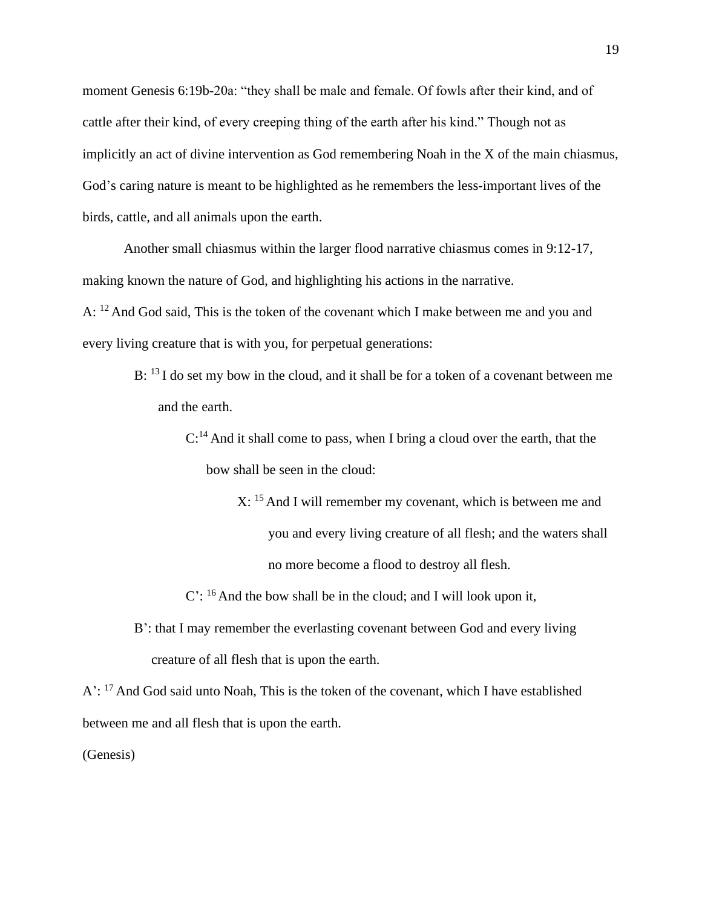moment Genesis 6:19b-20a: "they shall be male and female. Of fowls after their kind, and of cattle after their kind, of every creeping thing of the earth after his kind." Though not as implicitly an act of divine intervention as God remembering Noah in the X of the main chiasmus, God's caring nature is meant to be highlighted as he remembers the less-important lives of the birds, cattle, and all animals upon the earth.

Another small chiasmus within the larger flood narrative chiasmus comes in 9:12-17, making known the nature of God, and highlighting his actions in the narrative.

A: <sup>12</sup> And God said, This is the token of the covenant which I make between me and you and every living creature that is with you, for perpetual generations:

- B: <sup>13</sup> I do set my bow in the cloud, and it shall be for a token of a covenant between me and the earth.
	- C:<sup>14</sup> And it shall come to pass, when I bring a cloud over the earth, that the bow shall be seen in the cloud:
		- X: <sup>15</sup> And I will remember my covenant, which is between me and you and every living creature of all flesh; and the waters shall no more become a flood to destroy all flesh.

C': <sup>16</sup> And the bow shall be in the cloud; and I will look upon it,

 B': that I may remember the everlasting covenant between God and every living creature of all flesh that is upon the earth.

A': <sup>17</sup> And God said unto Noah, This is the token of the covenant, which I have established between me and all flesh that is upon the earth.

(Genesis)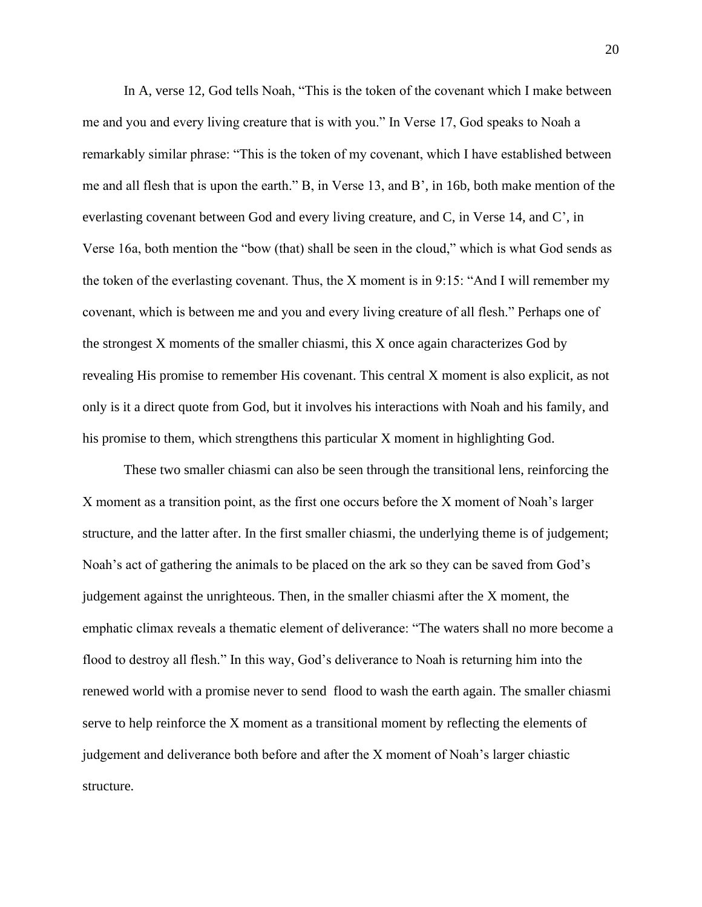In A, verse 12, God tells Noah, "This is the token of the covenant which I make between me and you and every living creature that is with you." In Verse 17, God speaks to Noah a remarkably similar phrase: "This is the token of my covenant, which I have established between me and all flesh that is upon the earth." B, in Verse 13, and B', in 16b, both make mention of the everlasting covenant between God and every living creature, and C, in Verse 14, and C', in Verse 16a, both mention the "bow (that) shall be seen in the cloud," which is what God sends as the token of the everlasting covenant. Thus, the X moment is in 9:15: "And I will remember my covenant, which is between me and you and every living creature of all flesh." Perhaps one of the strongest X moments of the smaller chiasmi, this X once again characterizes God by revealing His promise to remember His covenant. This central X moment is also explicit, as not only is it a direct quote from God, but it involves his interactions with Noah and his family, and his promise to them, which strengthens this particular X moment in highlighting God.

These two smaller chiasmi can also be seen through the transitional lens, reinforcing the X moment as a transition point, as the first one occurs before the X moment of Noah's larger structure, and the latter after. In the first smaller chiasmi, the underlying theme is of judgement; Noah's act of gathering the animals to be placed on the ark so they can be saved from God's judgement against the unrighteous. Then, in the smaller chiasmi after the X moment, the emphatic climax reveals a thematic element of deliverance: "The waters shall no more become a flood to destroy all flesh." In this way, God's deliverance to Noah is returning him into the renewed world with a promise never to send flood to wash the earth again. The smaller chiasmi serve to help reinforce the X moment as a transitional moment by reflecting the elements of judgement and deliverance both before and after the X moment of Noah's larger chiastic structure.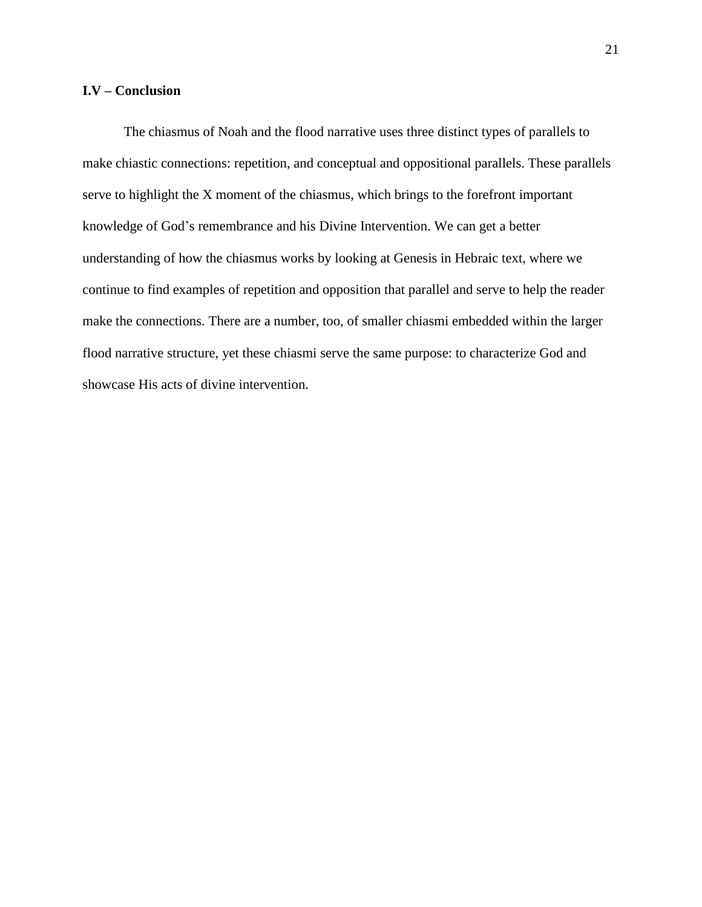# **I.V – Conclusion**

The chiasmus of Noah and the flood narrative uses three distinct types of parallels to make chiastic connections: repetition, and conceptual and oppositional parallels. These parallels serve to highlight the X moment of the chiasmus, which brings to the forefront important knowledge of God's remembrance and his Divine Intervention. We can get a better understanding of how the chiasmus works by looking at Genesis in Hebraic text, where we continue to find examples of repetition and opposition that parallel and serve to help the reader make the connections. There are a number, too, of smaller chiasmi embedded within the larger flood narrative structure, yet these chiasmi serve the same purpose: to characterize God and showcase His acts of divine intervention.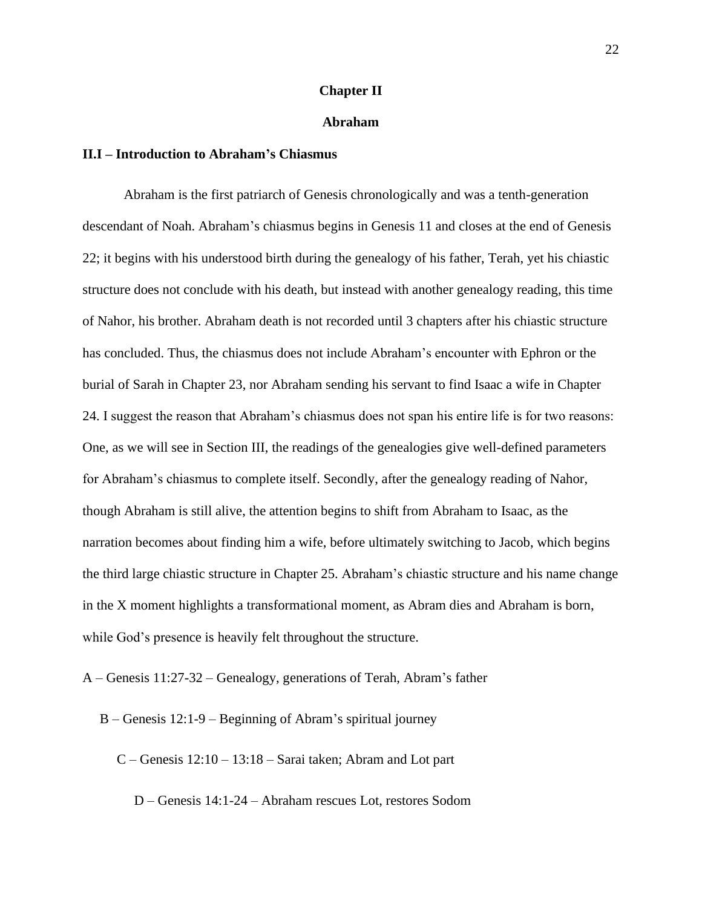#### **Chapter II**

#### **Abraham**

#### **II.I – Introduction to Abraham's Chiasmus**

Abraham is the first patriarch of Genesis chronologically and was a tenth-generation descendant of Noah. Abraham's chiasmus begins in Genesis 11 and closes at the end of Genesis 22; it begins with his understood birth during the genealogy of his father, Terah, yet his chiastic structure does not conclude with his death, but instead with another genealogy reading, this time of Nahor, his brother. Abraham death is not recorded until 3 chapters after his chiastic structure has concluded. Thus, the chiasmus does not include Abraham's encounter with Ephron or the burial of Sarah in Chapter 23, nor Abraham sending his servant to find Isaac a wife in Chapter 24. I suggest the reason that Abraham's chiasmus does not span his entire life is for two reasons: One, as we will see in Section III, the readings of the genealogies give well-defined parameters for Abraham's chiasmus to complete itself. Secondly, after the genealogy reading of Nahor, though Abraham is still alive, the attention begins to shift from Abraham to Isaac, as the narration becomes about finding him a wife, before ultimately switching to Jacob, which begins the third large chiastic structure in Chapter 25. Abraham's chiastic structure and his name change in the X moment highlights a transformational moment, as Abram dies and Abraham is born, while God's presence is heavily felt throughout the structure.

A – Genesis 11:27-32 – Genealogy, generations of Terah, Abram's father

- B Genesis 12:1-9 Beginning of Abram's spiritual journey
	- C Genesis 12:10 13:18 Sarai taken; Abram and Lot part

D – Genesis 14:1-24 – Abraham rescues Lot, restores Sodom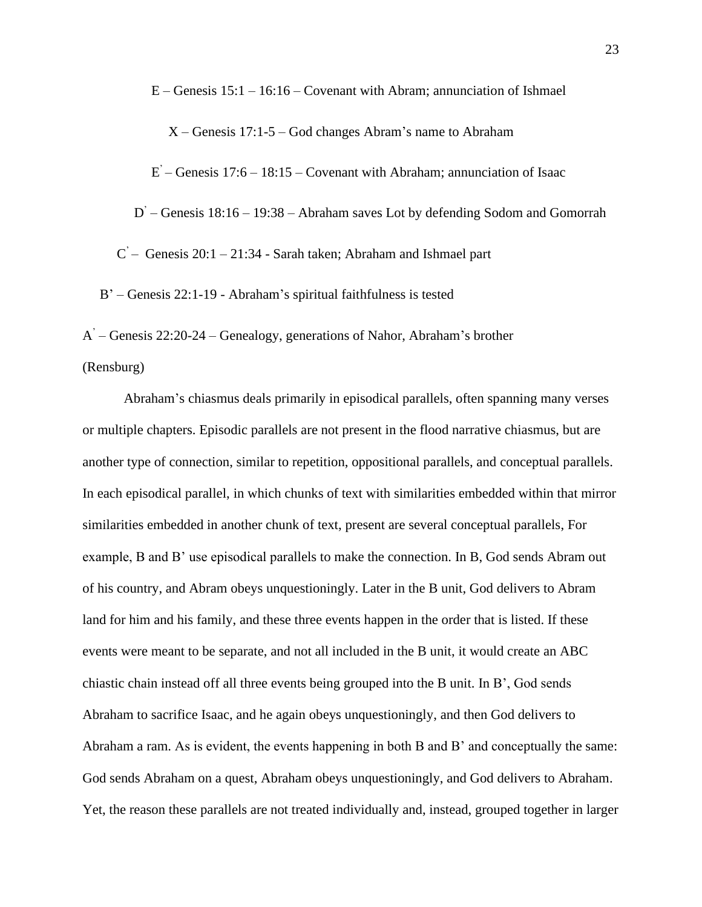E – Genesis 15:1 – 16:16 – Covenant with Abram; annunciation of Ishmael

X – Genesis 17:1-5 – God changes Abram's name to Abraham

 $E$  – Genesis 17:6 – 18:15 – Covenant with Abraham; annunciation of Isaac

D ' – Genesis 18:16 – 19:38 – Abraham saves Lot by defending Sodom and Gomorrah

 $C$  – Genesis 20:1 – 21:34 - Sarah taken; Abraham and Ishmael part

B' – Genesis 22:1-19 - Abraham's spiritual faithfulness is tested

A ' – Genesis 22:20-24 – Genealogy, generations of Nahor, Abraham's brother

(Rensburg)

Abraham's chiasmus deals primarily in episodical parallels, often spanning many verses or multiple chapters. Episodic parallels are not present in the flood narrative chiasmus, but are another type of connection, similar to repetition, oppositional parallels, and conceptual parallels. In each episodical parallel, in which chunks of text with similarities embedded within that mirror similarities embedded in another chunk of text, present are several conceptual parallels, For example, B and B' use episodical parallels to make the connection. In B, God sends Abram out of his country, and Abram obeys unquestioningly. Later in the B unit, God delivers to Abram land for him and his family, and these three events happen in the order that is listed. If these events were meant to be separate, and not all included in the B unit, it would create an ABC chiastic chain instead off all three events being grouped into the B unit. In B', God sends Abraham to sacrifice Isaac, and he again obeys unquestioningly, and then God delivers to Abraham a ram. As is evident, the events happening in both B and B' and conceptually the same: God sends Abraham on a quest, Abraham obeys unquestioningly, and God delivers to Abraham. Yet, the reason these parallels are not treated individually and, instead, grouped together in larger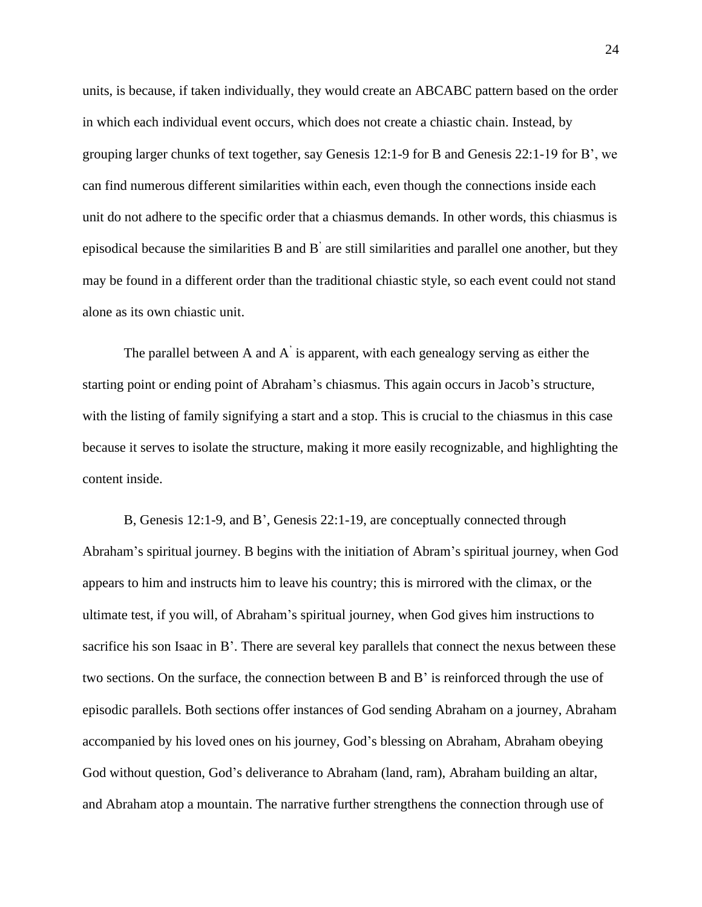units, is because, if taken individually, they would create an ABCABC pattern based on the order in which each individual event occurs, which does not create a chiastic chain. Instead, by grouping larger chunks of text together, say Genesis 12:1-9 for B and Genesis 22:1-19 for B', we can find numerous different similarities within each, even though the connections inside each unit do not adhere to the specific order that a chiasmus demands. In other words, this chiasmus is episodical because the similarities B and B' are still similarities and parallel one another, but they may be found in a different order than the traditional chiastic style, so each event could not stand alone as its own chiastic unit.

The parallel between A and A<sup> $\cdot$ </sup> is apparent, with each genealogy serving as either the starting point or ending point of Abraham's chiasmus. This again occurs in Jacob's structure, with the listing of family signifying a start and a stop. This is crucial to the chiasmus in this case because it serves to isolate the structure, making it more easily recognizable, and highlighting the content inside.

B, Genesis 12:1-9, and B', Genesis 22:1-19, are conceptually connected through Abraham's spiritual journey. B begins with the initiation of Abram's spiritual journey, when God appears to him and instructs him to leave his country; this is mirrored with the climax, or the ultimate test, if you will, of Abraham's spiritual journey, when God gives him instructions to sacrifice his son Isaac in B'. There are several key parallels that connect the nexus between these two sections. On the surface, the connection between B and B' is reinforced through the use of episodic parallels. Both sections offer instances of God sending Abraham on a journey, Abraham accompanied by his loved ones on his journey, God's blessing on Abraham, Abraham obeying God without question, God's deliverance to Abraham (land, ram), Abraham building an altar, and Abraham atop a mountain. The narrative further strengthens the connection through use of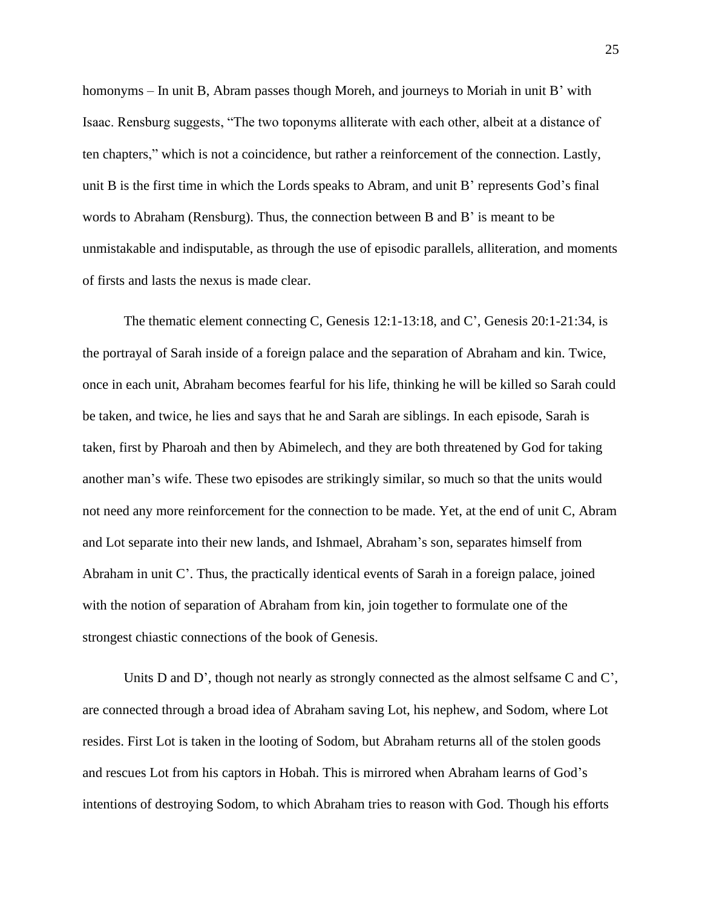homonyms – In unit B, Abram passes though Moreh, and journeys to Moriah in unit B' with Isaac. Rensburg suggests, "The two toponyms alliterate with each other, albeit at a distance of ten chapters," which is not a coincidence, but rather a reinforcement of the connection. Lastly, unit B is the first time in which the Lords speaks to Abram, and unit B' represents God's final words to Abraham (Rensburg). Thus, the connection between B and B' is meant to be unmistakable and indisputable, as through the use of episodic parallels, alliteration, and moments of firsts and lasts the nexus is made clear.

The thematic element connecting C, Genesis 12:1-13:18, and C', Genesis 20:1-21:34, is the portrayal of Sarah inside of a foreign palace and the separation of Abraham and kin. Twice, once in each unit, Abraham becomes fearful for his life, thinking he will be killed so Sarah could be taken, and twice, he lies and says that he and Sarah are siblings. In each episode, Sarah is taken, first by Pharoah and then by Abimelech, and they are both threatened by God for taking another man's wife. These two episodes are strikingly similar, so much so that the units would not need any more reinforcement for the connection to be made. Yet, at the end of unit C, Abram and Lot separate into their new lands, and Ishmael, Abraham's son, separates himself from Abraham in unit C'. Thus, the practically identical events of Sarah in a foreign palace, joined with the notion of separation of Abraham from kin, join together to formulate one of the strongest chiastic connections of the book of Genesis.

Units D and D', though not nearly as strongly connected as the almost selfsame C and C', are connected through a broad idea of Abraham saving Lot, his nephew, and Sodom, where Lot resides. First Lot is taken in the looting of Sodom, but Abraham returns all of the stolen goods and rescues Lot from his captors in Hobah. This is mirrored when Abraham learns of God's intentions of destroying Sodom, to which Abraham tries to reason with God. Though his efforts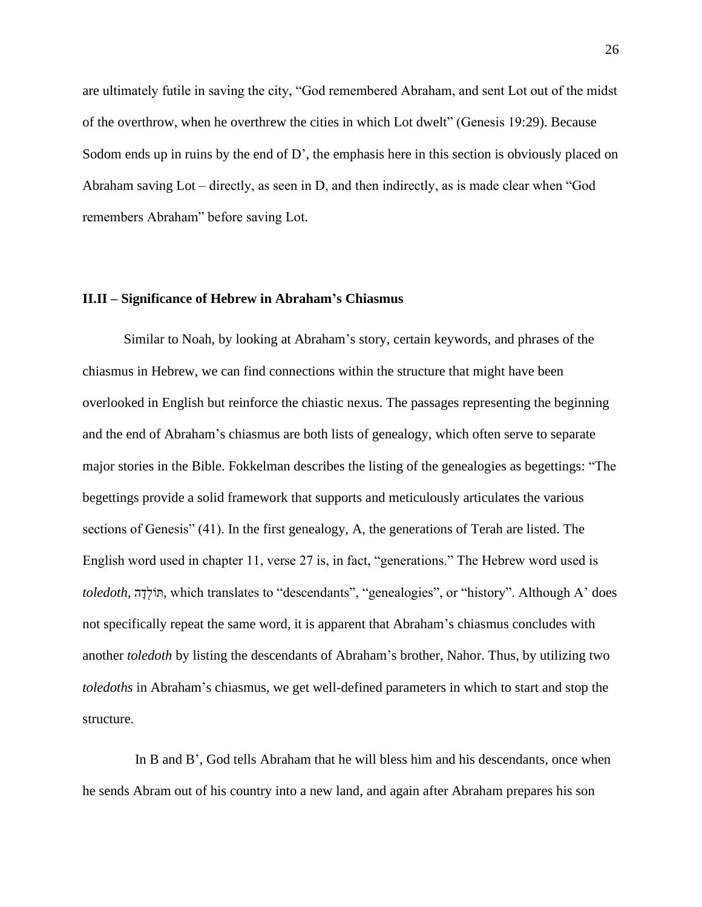are ultimately futile in saving the city, "God remembered Abraham, and sent Lot out of the midst of the overthrow, when he overthrew the cities in which Lot dwelt" (Genesis 19:29). Because Sodom ends up in ruins by the end of D', the emphasis here in this section is obviously placed on Abraham saving Lot – directly, as seen in D, and then indirectly, as is made clear when "God remembers Abraham" before saving Lot.

#### **II.II – Significance of Hebrew in Abraham's Chiasmus**

Similar to Noah, by looking at Abraham's story, certain keywords, and phrases of the chiasmus in Hebrew, we can find connections within the structure that might have been overlooked in English but reinforce the chiastic nexus. The passages representing the beginning and the end of Abraham's chiasmus are both lists of genealogy, which often serve to separate major stories in the Bible. Fokkelman describes the listing of the genealogies as begettings: "The begettings provide a solid framework that supports and meticulously articulates the various sections of Genesis" (41). In the first genealogy, A, the generations of Terah are listed. The English word used in chapter 11, verse 27 is, in fact, "generations." The Hebrew word used is *toledoth,* ה ָדְּולֹת, which translates to "descendants", "genealogies", or "history". Although A' does not specifically repeat the same word, it is apparent that Abraham's chiasmus concludes with another *toledoth* by listing the descendants of Abraham's brother, Nahor. Thus, by utilizing two *toledoths* in Abraham's chiasmus, we get well-defined parameters in which to start and stop the structure.

In B and B', God tells Abraham that he will bless him and his descendants, once when he sends Abram out of his country into a new land, and again after Abraham prepares his son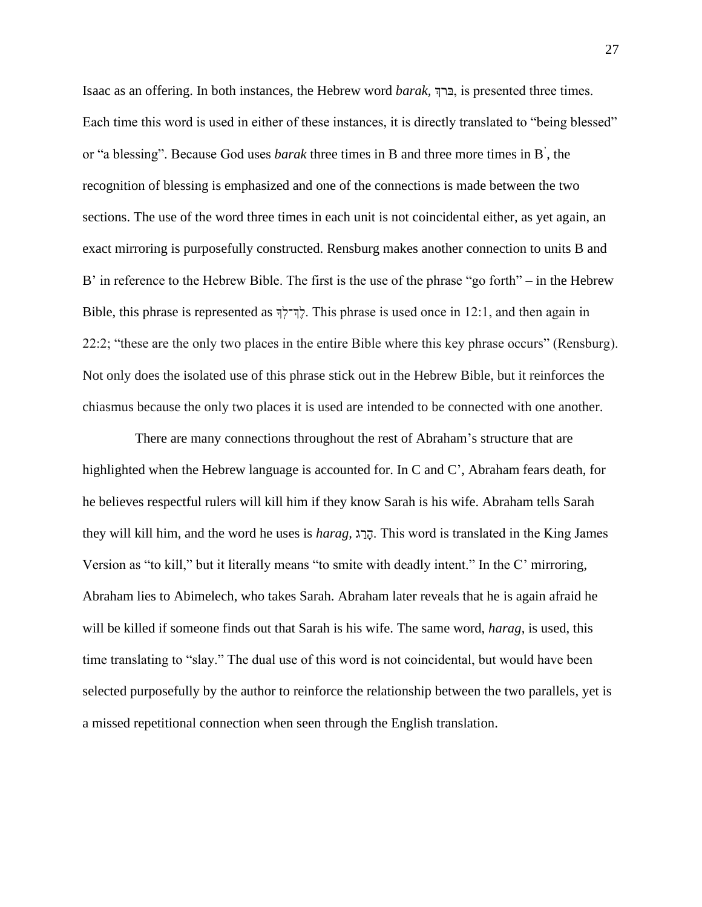Isaac as an offering. In both instances, the Hebrew word *barak,* ךְבר, is presented three times. Each time this word is used in either of these instances, it is directly translated to "being blessed" or "a blessing". Because God uses *barak* three times in B and three more times in B' , the recognition of blessing is emphasized and one of the connections is made between the two sections. The use of the word three times in each unit is not coincidental either, as yet again, an exact mirroring is purposefully constructed. Rensburg makes another connection to units B and B' in reference to the Hebrew Bible. The first is the use of the phrase "go forth" – in the Hebrew Bible, this phrase is represented as לְהִילֹךְ This phrase is used once in 12:1, and then again in 22:2; "these are the only two places in the entire Bible where this key phrase occurs" (Rensburg). Not only does the isolated use of this phrase stick out in the Hebrew Bible, but it reinforces the chiasmus because the only two places it is used are intended to be connected with one another.

There are many connections throughout the rest of Abraham's structure that are highlighted when the Hebrew language is accounted for. In C and C', Abraham fears death, for he believes respectful rulers will kill him if they know Sarah is his wife. Abraham tells Sarah they will kill him, and the word he uses is *harag*, גְּהֵר, This word is translated in the King James Version as "to kill," but it literally means "to smite with deadly intent." In the C' mirroring, Abraham lies to Abimelech, who takes Sarah. Abraham later reveals that he is again afraid he will be killed if someone finds out that Sarah is his wife. The same word, *harag*, is used, this time translating to "slay." The dual use of this word is not coincidental, but would have been selected purposefully by the author to reinforce the relationship between the two parallels, yet is a missed repetitional connection when seen through the English translation.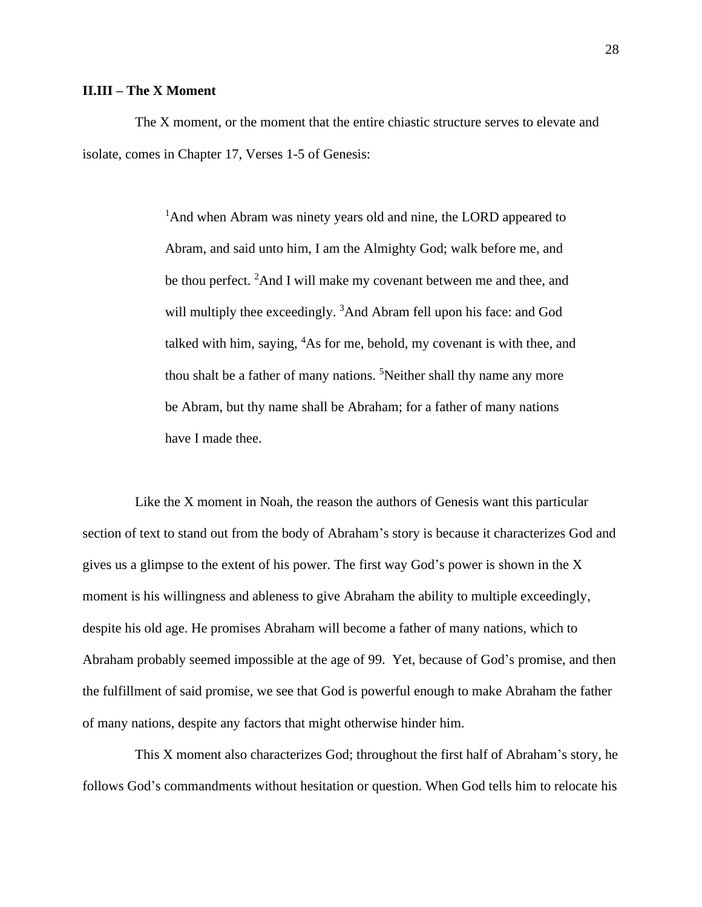#### **II.III – The X Moment**

The X moment, or the moment that the entire chiastic structure serves to elevate and isolate, comes in Chapter 17, Verses 1-5 of Genesis:

> <sup>1</sup>And when Abram was ninety years old and nine, the LORD appeared to Abram, and said unto him, I am the Almighty God; walk before me, and be thou perfect. <sup>2</sup>And I will make my covenant between me and thee, and will multiply thee exceedingly. <sup>3</sup>And Abram fell upon his face: and God talked with him, saying,  $4$ As for me, behold, my covenant is with thee, and thou shalt be a father of many nations. <sup>5</sup>Neither shall thy name any more be Abram, but thy name shall be Abraham; for a father of many nations have I made thee.

Like the X moment in Noah, the reason the authors of Genesis want this particular section of text to stand out from the body of Abraham's story is because it characterizes God and gives us a glimpse to the extent of his power. The first way God's power is shown in the X moment is his willingness and ableness to give Abraham the ability to multiple exceedingly, despite his old age. He promises Abraham will become a father of many nations, which to Abraham probably seemed impossible at the age of 99. Yet, because of God's promise, and then the fulfillment of said promise, we see that God is powerful enough to make Abraham the father of many nations, despite any factors that might otherwise hinder him.

This X moment also characterizes God; throughout the first half of Abraham's story, he follows God's commandments without hesitation or question. When God tells him to relocate his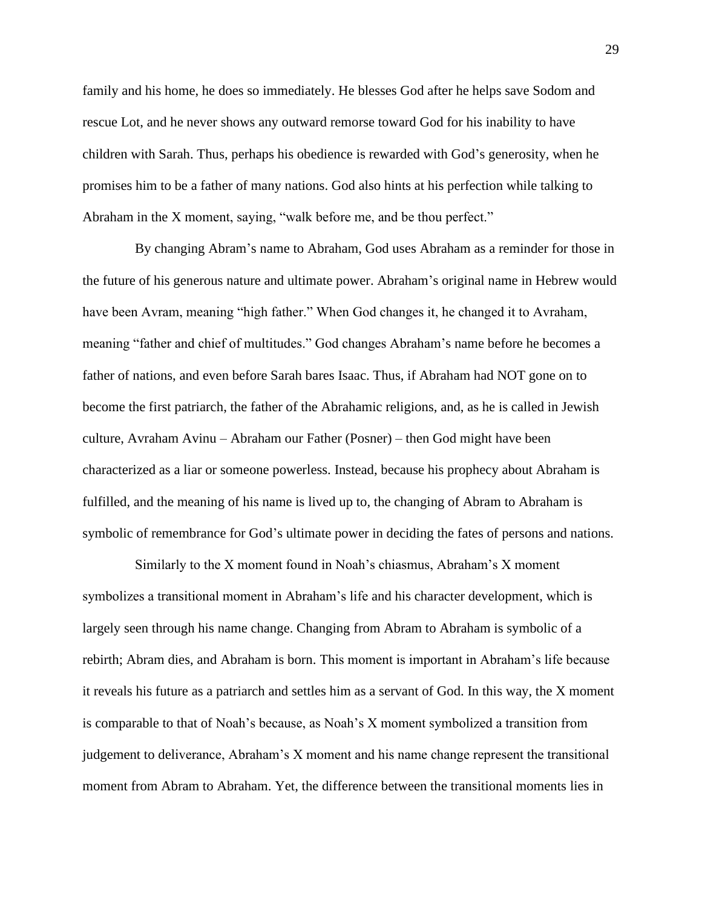family and his home, he does so immediately. He blesses God after he helps save Sodom and rescue Lot, and he never shows any outward remorse toward God for his inability to have children with Sarah. Thus, perhaps his obedience is rewarded with God's generosity, when he promises him to be a father of many nations. God also hints at his perfection while talking to Abraham in the X moment, saying, "walk before me, and be thou perfect."

By changing Abram's name to Abraham, God uses Abraham as a reminder for those in the future of his generous nature and ultimate power. Abraham's original name in Hebrew would have been Avram, meaning "high father." When God changes it, he changed it to Avraham, meaning "father and chief of multitudes." God changes Abraham's name before he becomes a father of nations, and even before Sarah bares Isaac. Thus, if Abraham had NOT gone on to become the first patriarch, the father of the Abrahamic religions, and, as he is called in Jewish culture, Avraham Avinu – Abraham our Father (Posner) – then God might have been characterized as a liar or someone powerless. Instead, because his prophecy about Abraham is fulfilled, and the meaning of his name is lived up to, the changing of Abram to Abraham is symbolic of remembrance for God's ultimate power in deciding the fates of persons and nations.

Similarly to the X moment found in Noah's chiasmus, Abraham's X moment symbolizes a transitional moment in Abraham's life and his character development, which is largely seen through his name change. Changing from Abram to Abraham is symbolic of a rebirth; Abram dies, and Abraham is born. This moment is important in Abraham's life because it reveals his future as a patriarch and settles him as a servant of God. In this way, the X moment is comparable to that of Noah's because, as Noah's X moment symbolized a transition from judgement to deliverance, Abraham's X moment and his name change represent the transitional moment from Abram to Abraham. Yet, the difference between the transitional moments lies in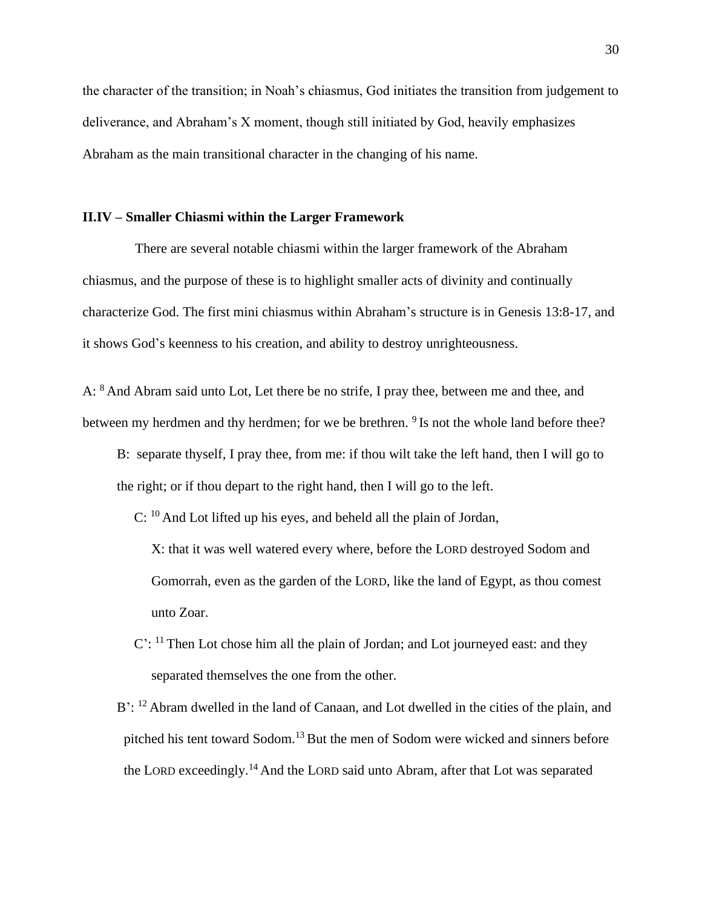the character of the transition; in Noah's chiasmus, God initiates the transition from judgement to deliverance, and Abraham's X moment, though still initiated by God, heavily emphasizes Abraham as the main transitional character in the changing of his name.

## **II.IV – Smaller Chiasmi within the Larger Framework**

There are several notable chiasmi within the larger framework of the Abraham chiasmus, and the purpose of these is to highlight smaller acts of divinity and continually characterize God. The first mini chiasmus within Abraham's structure is in Genesis 13:8-17, and it shows God's keenness to his creation, and ability to destroy unrighteousness.

A: <sup>8</sup> And Abram said unto Lot, Let there be no strife, I pray thee, between me and thee, and between my herdmen and thy herdmen; for we be brethren. <sup>9</sup> Is not the whole land before thee?

 B: separate thyself, I pray thee, from me: if thou wilt take the left hand, then I will go to the right; or if thou depart to the right hand, then I will go to the left.

C: <sup>10</sup> And Lot lifted up his eyes, and beheld all the plain of Jordan,

 X: that it was well watered every where, before the LORD destroyed Sodom and Gomorrah, even as the garden of the LORD, like the land of Egypt, as thou comest unto Zoar.

- $C'$ :  $<sup>11</sup>$  Then Lot chose him all the plain of Jordan; and Lot journeyed east: and they</sup> separated themselves the one from the other.
- $B'$ : <sup>12</sup> Abram dwelled in the land of Canaan, and Lot dwelled in the cities of the plain, and pitched his tent toward Sodom.<sup>13</sup> But the men of Sodom were wicked and sinners before the LORD exceedingly.<sup>14</sup> And the LORD said unto Abram, after that Lot was separated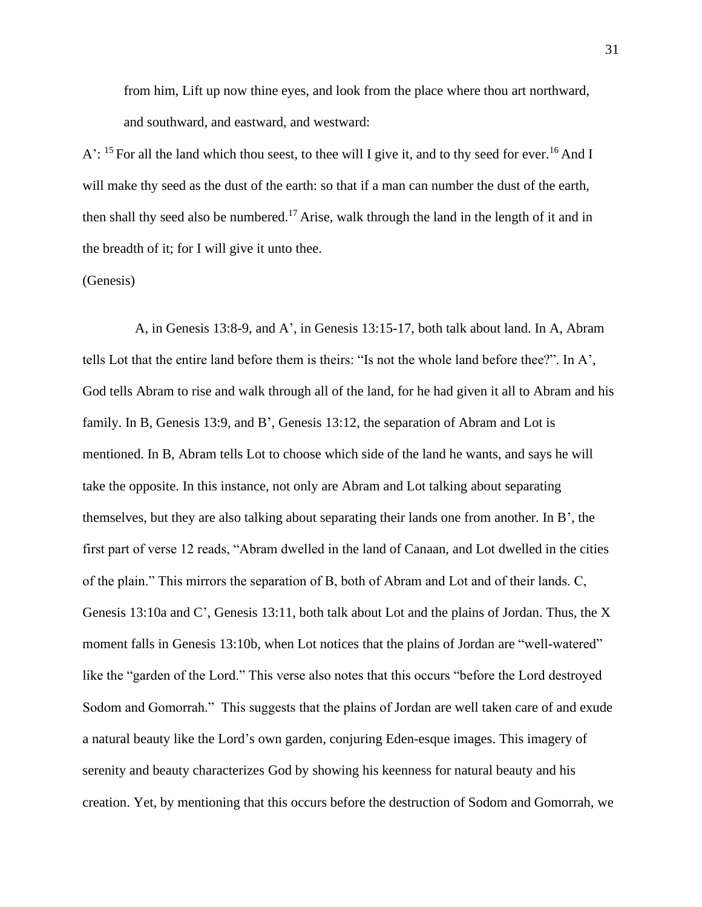from him, Lift up now thine eyes, and look from the place where thou art northward, and southward, and eastward, and westward:

A': <sup>15</sup> For all the land which thou seest, to thee will I give it, and to thy seed for ever.<sup>16</sup> And I will make thy seed as the dust of the earth: so that if a man can number the dust of the earth, then shall thy seed also be numbered.<sup>17</sup> Arise, walk through the land in the length of it and in the breadth of it; for I will give it unto thee.

#### (Genesis)

A, in Genesis 13:8-9, and A', in Genesis 13:15-17, both talk about land. In A, Abram tells Lot that the entire land before them is theirs: "Is not the whole land before thee?". In A', God tells Abram to rise and walk through all of the land, for he had given it all to Abram and his family. In B, Genesis 13:9, and B', Genesis 13:12, the separation of Abram and Lot is mentioned. In B, Abram tells Lot to choose which side of the land he wants, and says he will take the opposite. In this instance, not only are Abram and Lot talking about separating themselves, but they are also talking about separating their lands one from another. In B', the first part of verse 12 reads, "Abram dwelled in the land of Canaan, and Lot dwelled in the cities of the plain." This mirrors the separation of B, both of Abram and Lot and of their lands. C, Genesis 13:10a and C', Genesis 13:11, both talk about Lot and the plains of Jordan. Thus, the X moment falls in Genesis 13:10b, when Lot notices that the plains of Jordan are "well-watered" like the "garden of the Lord." This verse also notes that this occurs "before the Lord destroyed Sodom and Gomorrah." This suggests that the plains of Jordan are well taken care of and exude a natural beauty like the Lord's own garden, conjuring Eden-esque images. This imagery of serenity and beauty characterizes God by showing his keenness for natural beauty and his creation. Yet, by mentioning that this occurs before the destruction of Sodom and Gomorrah, we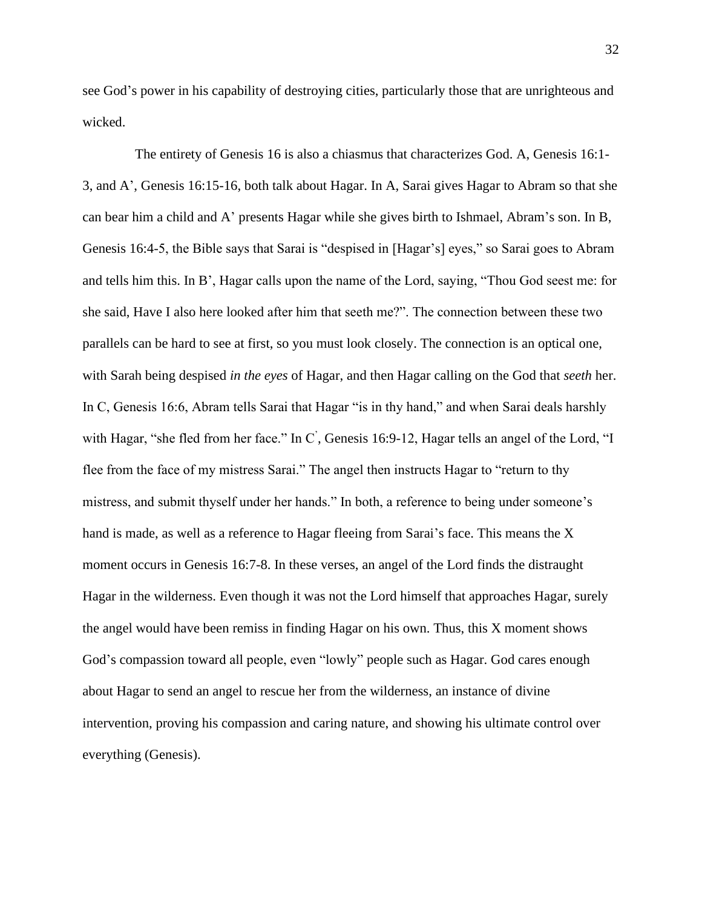see God's power in his capability of destroying cities, particularly those that are unrighteous and wicked.

The entirety of Genesis 16 is also a chiasmus that characterizes God. A, Genesis 16:1- 3, and A', Genesis 16:15-16, both talk about Hagar. In A, Sarai gives Hagar to Abram so that she can bear him a child and A' presents Hagar while she gives birth to Ishmael, Abram's son. In B, Genesis 16:4-5, the Bible says that Sarai is "despised in [Hagar's] eyes," so Sarai goes to Abram and tells him this. In B', Hagar calls upon the name of the Lord, saying, "Thou God seest me: for she said, Have I also here looked after him that seeth me?". The connection between these two parallels can be hard to see at first, so you must look closely. The connection is an optical one, with Sarah being despised *in the eyes* of Hagar, and then Hagar calling on the God that *seeth* her. In C, Genesis 16:6, Abram tells Sarai that Hagar "is in thy hand," and when Sarai deals harshly with Hagar, "she fled from her face." In C<sup>'</sup>, Genesis 16:9-12, Hagar tells an angel of the Lord, "I flee from the face of my mistress Sarai." The angel then instructs Hagar to "return to thy mistress, and submit thyself under her hands." In both, a reference to being under someone's hand is made, as well as a reference to Hagar fleeing from Sarai's face. This means the X moment occurs in Genesis 16:7-8. In these verses, an angel of the Lord finds the distraught Hagar in the wilderness. Even though it was not the Lord himself that approaches Hagar, surely the angel would have been remiss in finding Hagar on his own. Thus, this X moment shows God's compassion toward all people, even "lowly" people such as Hagar. God cares enough about Hagar to send an angel to rescue her from the wilderness, an instance of divine intervention, proving his compassion and caring nature, and showing his ultimate control over everything (Genesis).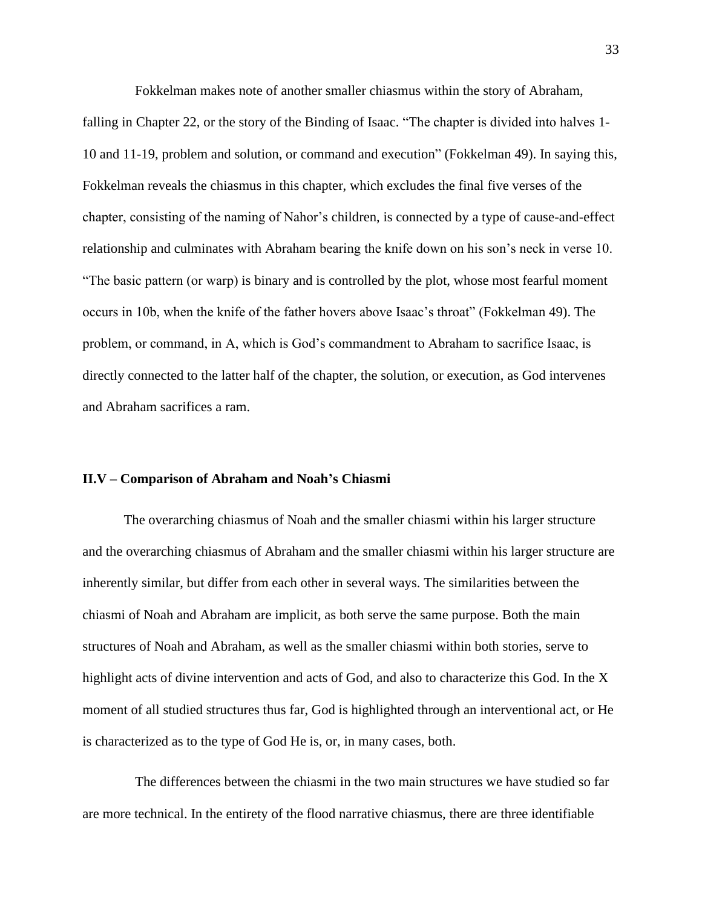Fokkelman makes note of another smaller chiasmus within the story of Abraham,

falling in Chapter 22, or the story of the Binding of Isaac. "The chapter is divided into halves 1- 10 and 11-19, problem and solution, or command and execution" (Fokkelman 49). In saying this, Fokkelman reveals the chiasmus in this chapter, which excludes the final five verses of the chapter, consisting of the naming of Nahor's children, is connected by a type of cause-and-effect relationship and culminates with Abraham bearing the knife down on his son's neck in verse 10. "The basic pattern (or warp) is binary and is controlled by the plot, whose most fearful moment occurs in 10b, when the knife of the father hovers above Isaac's throat" (Fokkelman 49). The problem, or command, in A, which is God's commandment to Abraham to sacrifice Isaac, is directly connected to the latter half of the chapter, the solution, or execution, as God intervenes and Abraham sacrifices a ram.

#### **II.V – Comparison of Abraham and Noah's Chiasmi**

The overarching chiasmus of Noah and the smaller chiasmi within his larger structure and the overarching chiasmus of Abraham and the smaller chiasmi within his larger structure are inherently similar, but differ from each other in several ways. The similarities between the chiasmi of Noah and Abraham are implicit, as both serve the same purpose. Both the main structures of Noah and Abraham, as well as the smaller chiasmi within both stories, serve to highlight acts of divine intervention and acts of God, and also to characterize this God. In the X moment of all studied structures thus far, God is highlighted through an interventional act, or He is characterized as to the type of God He is, or, in many cases, both.

The differences between the chiasmi in the two main structures we have studied so far are more technical. In the entirety of the flood narrative chiasmus, there are three identifiable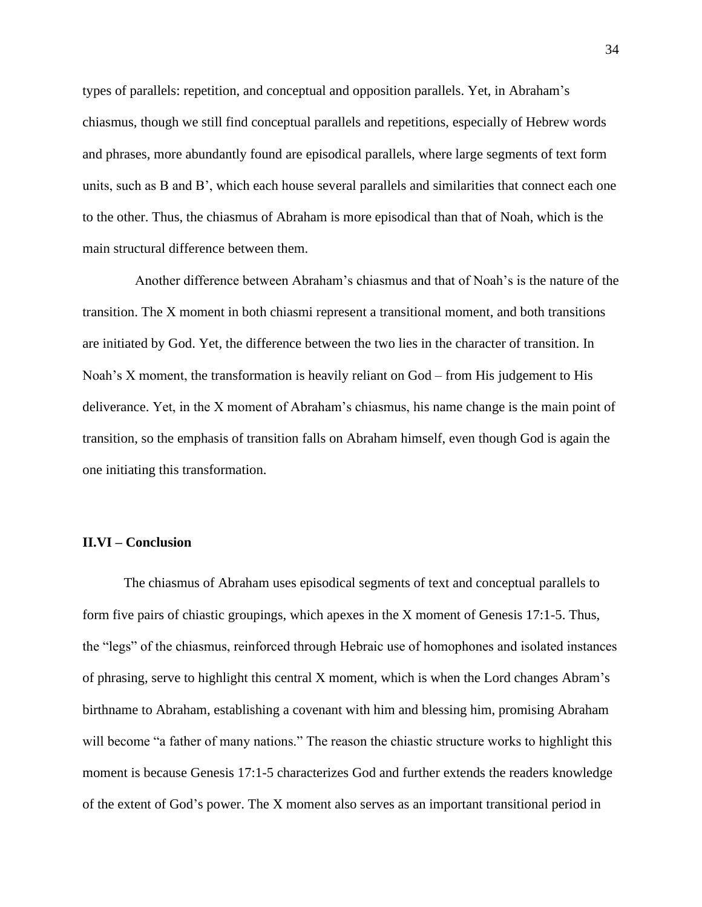types of parallels: repetition, and conceptual and opposition parallels. Yet, in Abraham's chiasmus, though we still find conceptual parallels and repetitions, especially of Hebrew words and phrases, more abundantly found are episodical parallels, where large segments of text form units, such as B and B', which each house several parallels and similarities that connect each one to the other. Thus, the chiasmus of Abraham is more episodical than that of Noah, which is the main structural difference between them.

Another difference between Abraham's chiasmus and that of Noah's is the nature of the transition. The X moment in both chiasmi represent a transitional moment, and both transitions are initiated by God. Yet, the difference between the two lies in the character of transition. In Noah's X moment, the transformation is heavily reliant on God – from His judgement to His deliverance. Yet, in the X moment of Abraham's chiasmus, his name change is the main point of transition, so the emphasis of transition falls on Abraham himself, even though God is again the one initiating this transformation.

#### **II.VI – Conclusion**

The chiasmus of Abraham uses episodical segments of text and conceptual parallels to form five pairs of chiastic groupings, which apexes in the X moment of Genesis 17:1-5. Thus, the "legs" of the chiasmus, reinforced through Hebraic use of homophones and isolated instances of phrasing, serve to highlight this central X moment, which is when the Lord changes Abram's birthname to Abraham, establishing a covenant with him and blessing him, promising Abraham will become "a father of many nations." The reason the chiastic structure works to highlight this moment is because Genesis 17:1-5 characterizes God and further extends the readers knowledge of the extent of God's power. The X moment also serves as an important transitional period in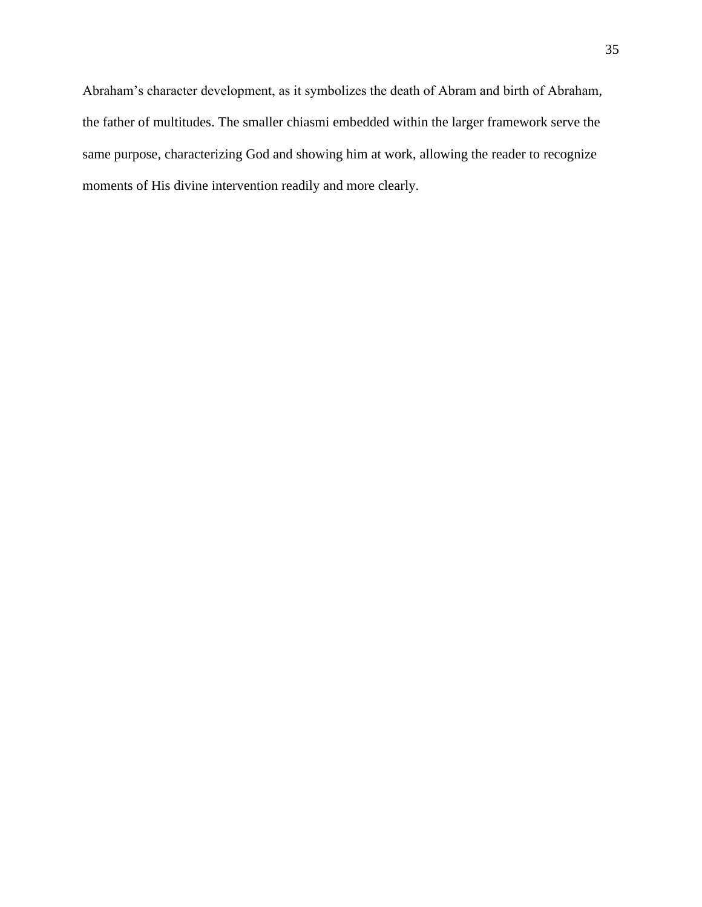Abraham's character development, as it symbolizes the death of Abram and birth of Abraham, the father of multitudes. The smaller chiasmi embedded within the larger framework serve the same purpose, characterizing God and showing him at work, allowing the reader to recognize moments of His divine intervention readily and more clearly.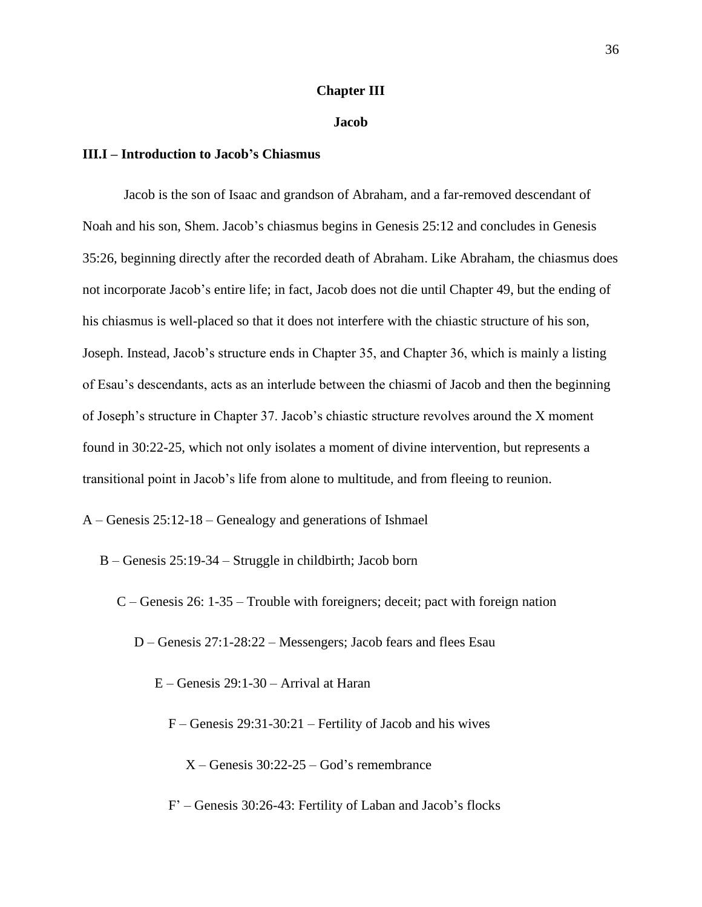# **Chapter III**

#### **Jacob**

#### **III.I – Introduction to Jacob's Chiasmus**

Jacob is the son of Isaac and grandson of Abraham, and a far-removed descendant of Noah and his son, Shem. Jacob's chiasmus begins in Genesis 25:12 and concludes in Genesis 35:26, beginning directly after the recorded death of Abraham. Like Abraham, the chiasmus does not incorporate Jacob's entire life; in fact, Jacob does not die until Chapter 49, but the ending of his chiasmus is well-placed so that it does not interfere with the chiastic structure of his son, Joseph. Instead, Jacob's structure ends in Chapter 35, and Chapter 36, which is mainly a listing of Esau's descendants, acts as an interlude between the chiasmi of Jacob and then the beginning of Joseph's structure in Chapter 37. Jacob's chiastic structure revolves around the X moment found in 30:22-25, which not only isolates a moment of divine intervention, but represents a transitional point in Jacob's life from alone to multitude, and from fleeing to reunion.

A – Genesis 25:12-18 – Genealogy and generations of Ishmael

- B Genesis 25:19-34 Struggle in childbirth; Jacob born
	- C Genesis 26: 1-35 Trouble with foreigners; deceit; pact with foreign nation
		- D Genesis 27:1-28:22 Messengers; Jacob fears and flees Esau
			- E Genesis 29:1-30 Arrival at Haran
				- F Genesis 29:31-30:21 Fertility of Jacob and his wives
					- X Genesis 30:22-25 God's remembrance
				- F' Genesis 30:26-43: Fertility of Laban and Jacob's flocks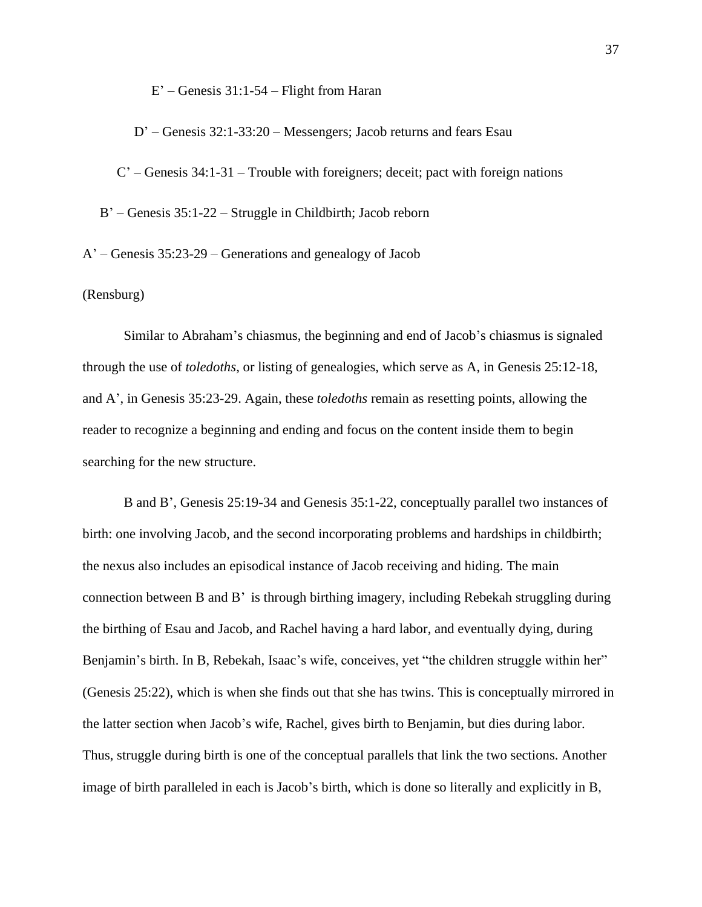E' – Genesis 31:1-54 – Flight from Haran

D' – Genesis 32:1-33:20 – Messengers; Jacob returns and fears Esau

 $C'$  – Genesis 34:1-31 – Trouble with foreigners; deceit; pact with foreign nations

B' – Genesis 35:1-22 – Struggle in Childbirth; Jacob reborn

A' – Genesis 35:23-29 – Generations and genealogy of Jacob

(Rensburg)

Similar to Abraham's chiasmus, the beginning and end of Jacob's chiasmus is signaled through the use of *toledoths*, or listing of genealogies, which serve as A, in Genesis 25:12-18, and A', in Genesis 35:23-29. Again, these *toledoths* remain as resetting points, allowing the reader to recognize a beginning and ending and focus on the content inside them to begin searching for the new structure.

B and B', Genesis 25:19-34 and Genesis 35:1-22, conceptually parallel two instances of birth: one involving Jacob, and the second incorporating problems and hardships in childbirth; the nexus also includes an episodical instance of Jacob receiving and hiding. The main connection between B and B' is through birthing imagery, including Rebekah struggling during the birthing of Esau and Jacob, and Rachel having a hard labor, and eventually dying, during Benjamin's birth. In B, Rebekah, Isaac's wife, conceives, yet "the children struggle within her" (Genesis 25:22), which is when she finds out that she has twins. This is conceptually mirrored in the latter section when Jacob's wife, Rachel, gives birth to Benjamin, but dies during labor. Thus, struggle during birth is one of the conceptual parallels that link the two sections. Another image of birth paralleled in each is Jacob's birth, which is done so literally and explicitly in B,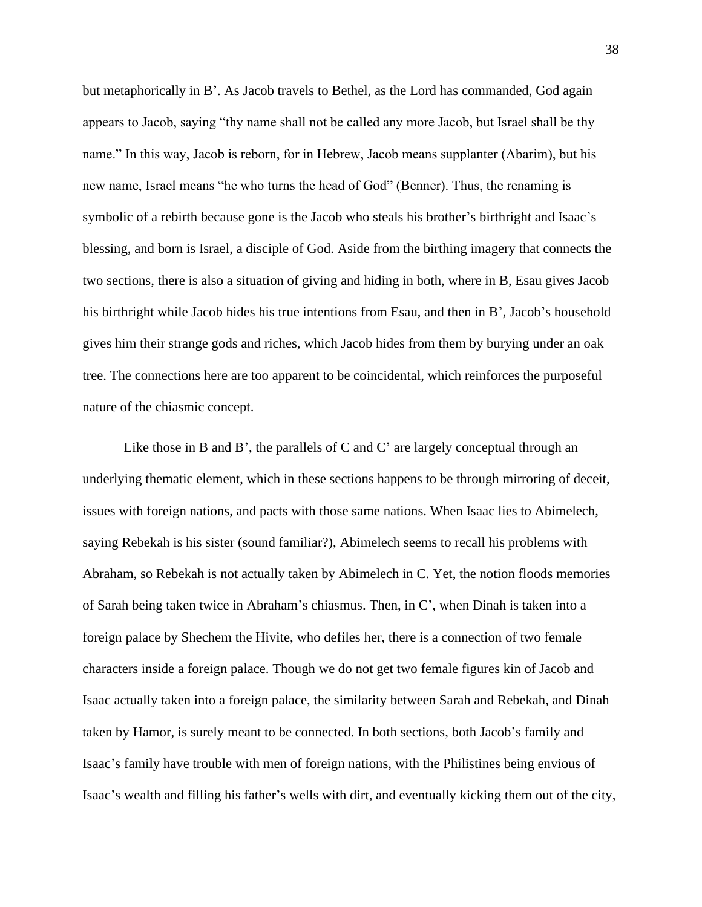but metaphorically in B'. As Jacob travels to Bethel, as the Lord has commanded, God again appears to Jacob, saying "thy name shall not be called any more Jacob, but Israel shall be thy name." In this way, Jacob is reborn, for in Hebrew, Jacob means supplanter (Abarim), but his new name, Israel means "he who turns the head of God" (Benner). Thus, the renaming is symbolic of a rebirth because gone is the Jacob who steals his brother's birthright and Isaac's blessing, and born is Israel, a disciple of God. Aside from the birthing imagery that connects the two sections, there is also a situation of giving and hiding in both, where in B, Esau gives Jacob his birthright while Jacob hides his true intentions from Esau, and then in B', Jacob's household gives him their strange gods and riches, which Jacob hides from them by burying under an oak tree. The connections here are too apparent to be coincidental, which reinforces the purposeful nature of the chiasmic concept.

Like those in B and B', the parallels of C and C' are largely conceptual through an underlying thematic element, which in these sections happens to be through mirroring of deceit, issues with foreign nations, and pacts with those same nations. When Isaac lies to Abimelech, saying Rebekah is his sister (sound familiar?), Abimelech seems to recall his problems with Abraham, so Rebekah is not actually taken by Abimelech in C. Yet, the notion floods memories of Sarah being taken twice in Abraham's chiasmus. Then, in C', when Dinah is taken into a foreign palace by Shechem the Hivite, who defiles her, there is a connection of two female characters inside a foreign palace. Though we do not get two female figures kin of Jacob and Isaac actually taken into a foreign palace, the similarity between Sarah and Rebekah, and Dinah taken by Hamor, is surely meant to be connected. In both sections, both Jacob's family and Isaac's family have trouble with men of foreign nations, with the Philistines being envious of Isaac's wealth and filling his father's wells with dirt, and eventually kicking them out of the city,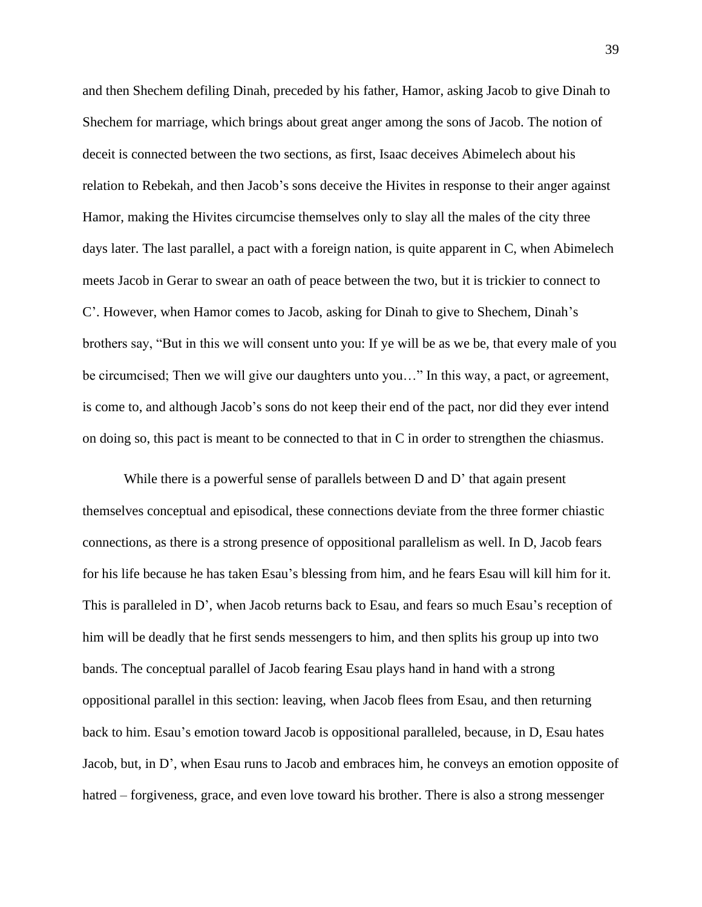and then Shechem defiling Dinah, preceded by his father, Hamor, asking Jacob to give Dinah to Shechem for marriage, which brings about great anger among the sons of Jacob. The notion of deceit is connected between the two sections, as first, Isaac deceives Abimelech about his relation to Rebekah, and then Jacob's sons deceive the Hivites in response to their anger against Hamor, making the Hivites circumcise themselves only to slay all the males of the city three days later. The last parallel, a pact with a foreign nation, is quite apparent in C, when Abimelech meets Jacob in Gerar to swear an oath of peace between the two, but it is trickier to connect to C'. However, when Hamor comes to Jacob, asking for Dinah to give to Shechem, Dinah's brothers say, "But in this we will consent unto you: If ye will be as we be, that every male of you be circumcised; Then we will give our daughters unto you…" In this way, a pact, or agreement, is come to, and although Jacob's sons do not keep their end of the pact, nor did they ever intend on doing so, this pact is meant to be connected to that in C in order to strengthen the chiasmus.

While there is a powerful sense of parallels between D and D' that again present themselves conceptual and episodical, these connections deviate from the three former chiastic connections, as there is a strong presence of oppositional parallelism as well. In D, Jacob fears for his life because he has taken Esau's blessing from him, and he fears Esau will kill him for it. This is paralleled in D', when Jacob returns back to Esau, and fears so much Esau's reception of him will be deadly that he first sends messengers to him, and then splits his group up into two bands. The conceptual parallel of Jacob fearing Esau plays hand in hand with a strong oppositional parallel in this section: leaving, when Jacob flees from Esau, and then returning back to him. Esau's emotion toward Jacob is oppositional paralleled, because, in D, Esau hates Jacob, but, in D', when Esau runs to Jacob and embraces him, he conveys an emotion opposite of hatred – forgiveness, grace, and even love toward his brother. There is also a strong messenger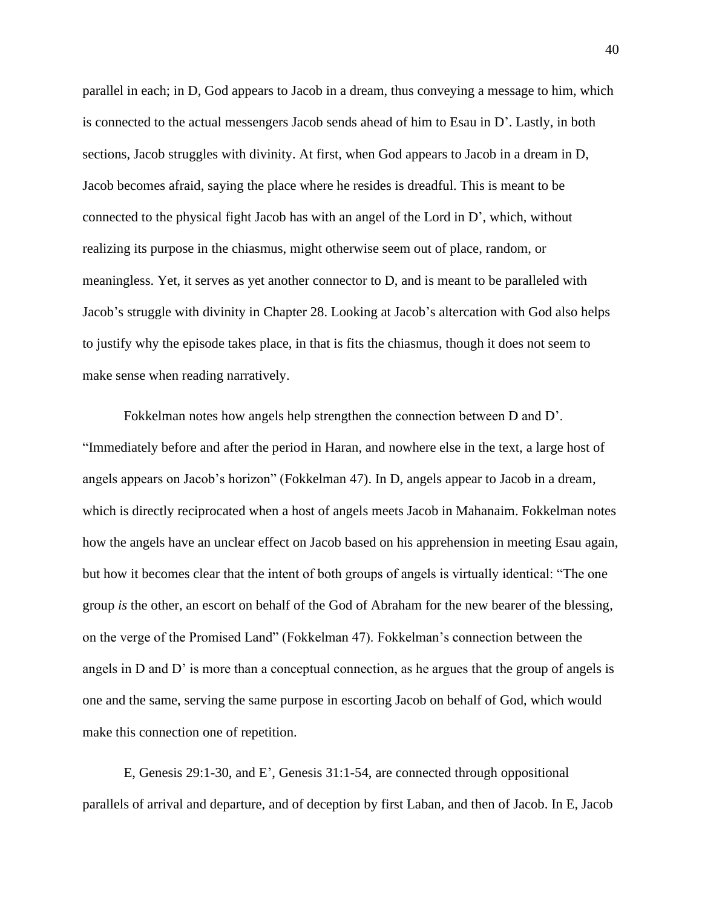parallel in each; in D, God appears to Jacob in a dream, thus conveying a message to him, which is connected to the actual messengers Jacob sends ahead of him to Esau in D'. Lastly, in both sections, Jacob struggles with divinity. At first, when God appears to Jacob in a dream in D, Jacob becomes afraid, saying the place where he resides is dreadful. This is meant to be connected to the physical fight Jacob has with an angel of the Lord in D', which, without realizing its purpose in the chiasmus, might otherwise seem out of place, random, or meaningless. Yet, it serves as yet another connector to D, and is meant to be paralleled with Jacob's struggle with divinity in Chapter 28. Looking at Jacob's altercation with God also helps to justify why the episode takes place, in that is fits the chiasmus, though it does not seem to make sense when reading narratively.

Fokkelman notes how angels help strengthen the connection between D and D'. "Immediately before and after the period in Haran, and nowhere else in the text, a large host of angels appears on Jacob's horizon" (Fokkelman 47). In D, angels appear to Jacob in a dream, which is directly reciprocated when a host of angels meets Jacob in Mahanaim. Fokkelman notes how the angels have an unclear effect on Jacob based on his apprehension in meeting Esau again, but how it becomes clear that the intent of both groups of angels is virtually identical: "The one group *is* the other, an escort on behalf of the God of Abraham for the new bearer of the blessing, on the verge of the Promised Land" (Fokkelman 47). Fokkelman's connection between the angels in D and D' is more than a conceptual connection, as he argues that the group of angels is one and the same, serving the same purpose in escorting Jacob on behalf of God, which would make this connection one of repetition.

E, Genesis 29:1-30, and E', Genesis 31:1-54, are connected through oppositional parallels of arrival and departure, and of deception by first Laban, and then of Jacob. In E, Jacob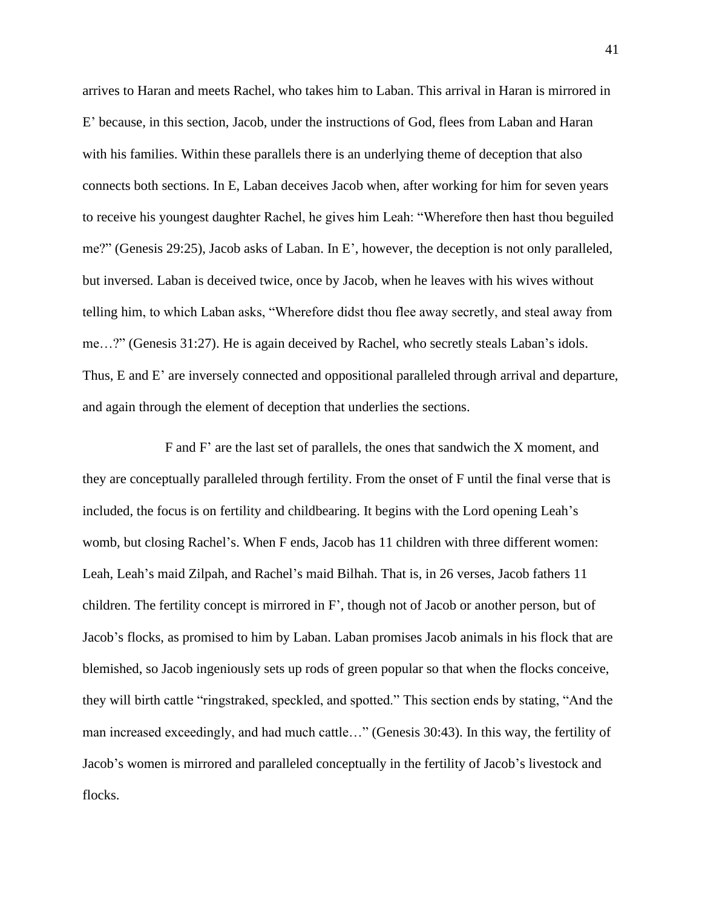arrives to Haran and meets Rachel, who takes him to Laban. This arrival in Haran is mirrored in E' because, in this section, Jacob, under the instructions of God, flees from Laban and Haran with his families. Within these parallels there is an underlying theme of deception that also connects both sections. In E, Laban deceives Jacob when, after working for him for seven years to receive his youngest daughter Rachel, he gives him Leah: "Wherefore then hast thou beguiled me?" (Genesis 29:25), Jacob asks of Laban. In E', however, the deception is not only paralleled, but inversed. Laban is deceived twice, once by Jacob, when he leaves with his wives without telling him, to which Laban asks, "Wherefore didst thou flee away secretly, and steal away from me…?" (Genesis 31:27). He is again deceived by Rachel, who secretly steals Laban's idols. Thus, E and E' are inversely connected and oppositional paralleled through arrival and departure, and again through the element of deception that underlies the sections.

F and F' are the last set of parallels, the ones that sandwich the X moment, and they are conceptually paralleled through fertility. From the onset of F until the final verse that is included, the focus is on fertility and childbearing. It begins with the Lord opening Leah's womb, but closing Rachel's. When F ends, Jacob has 11 children with three different women: Leah, Leah's maid Zilpah, and Rachel's maid Bilhah. That is, in 26 verses, Jacob fathers 11 children. The fertility concept is mirrored in F', though not of Jacob or another person, but of Jacob's flocks, as promised to him by Laban. Laban promises Jacob animals in his flock that are blemished, so Jacob ingeniously sets up rods of green popular so that when the flocks conceive, they will birth cattle "ringstraked, speckled, and spotted." This section ends by stating, "And the man increased exceedingly, and had much cattle…" (Genesis 30:43). In this way, the fertility of Jacob's women is mirrored and paralleled conceptually in the fertility of Jacob's livestock and flocks.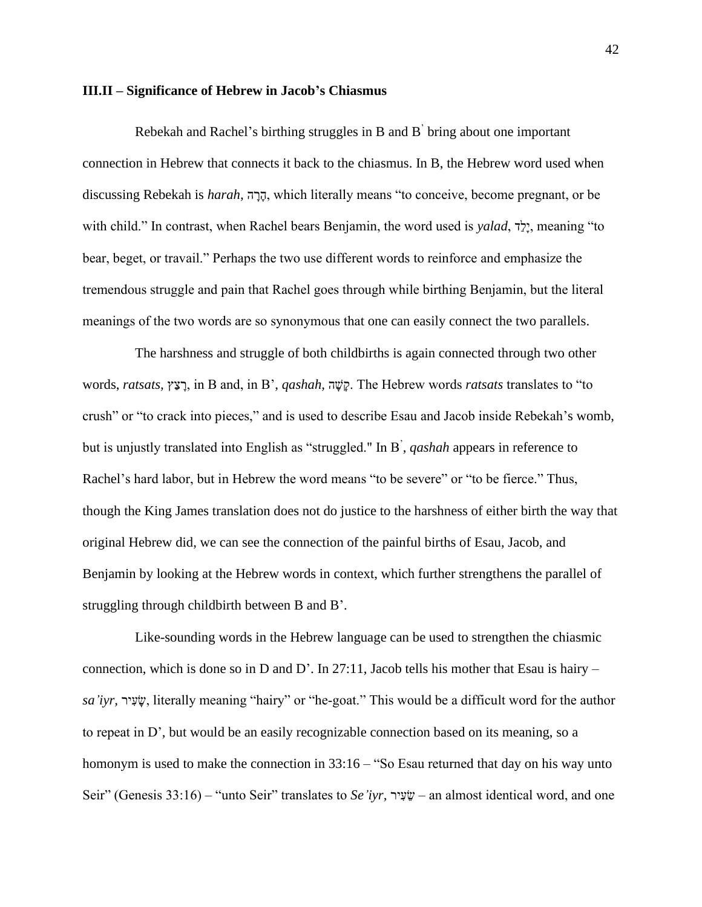#### **III.II – Significance of Hebrew in Jacob's Chiasmus**

Rebekah and Rachel's birthing struggles in B and B' bring about one important connection in Hebrew that connects it back to the chiasmus. In B, the Hebrew word used when discussing Rebekah is *harah*, הֲרָה, which literally means "to conceive, become pregnant, or be with child." In contrast, when Rachel bears Benjamin, the word used is *yalad*, דַלָי, meaning "to bear, beget, or travail." Perhaps the two use different words to reinforce and emphasize the tremendous struggle and pain that Rachel goes through while birthing Benjamin, but the literal meanings of the two words are so synonymous that one can easily connect the two parallels.

The harshness and struggle of both childbirths is again connected through two other words, *ratsats,* ץַצ ָר, in B and, in B', *qashah,* ה ָשָק. The Hebrew words *ratsats* translates to "to crush" or "to crack into pieces," and is used to describe Esau and Jacob inside Rebekah's womb, but is unjustly translated into English as "struggled." In B' , *qashah* appears in reference to Rachel's hard labor, but in Hebrew the word means "to be severe" or "to be fierce." Thus, though the King James translation does not do justice to the harshness of either birth the way that original Hebrew did, we can see the connection of the painful births of Esau, Jacob, and Benjamin by looking at the Hebrew words in context, which further strengthens the parallel of struggling through childbirth between B and B'.

Like-sounding words in the Hebrew language can be used to strengthen the chiasmic connection, which is done so in D and D'. In 27:11, Jacob tells his mother that Esau is hairy – *sa'iyr,* יר ִע ָש, literally meaning "hairy" or "he-goat." This would be a difficult word for the author to repeat in D', but would be an easily recognizable connection based on its meaning, so a homonym is used to make the connection in 33:16 – "So Esau returned that day on his way unto Seir" (Genesis 33:16) – "unto Seir" translates to *Se'iyr,* יר ִע ֵּש – an almost identical word, and one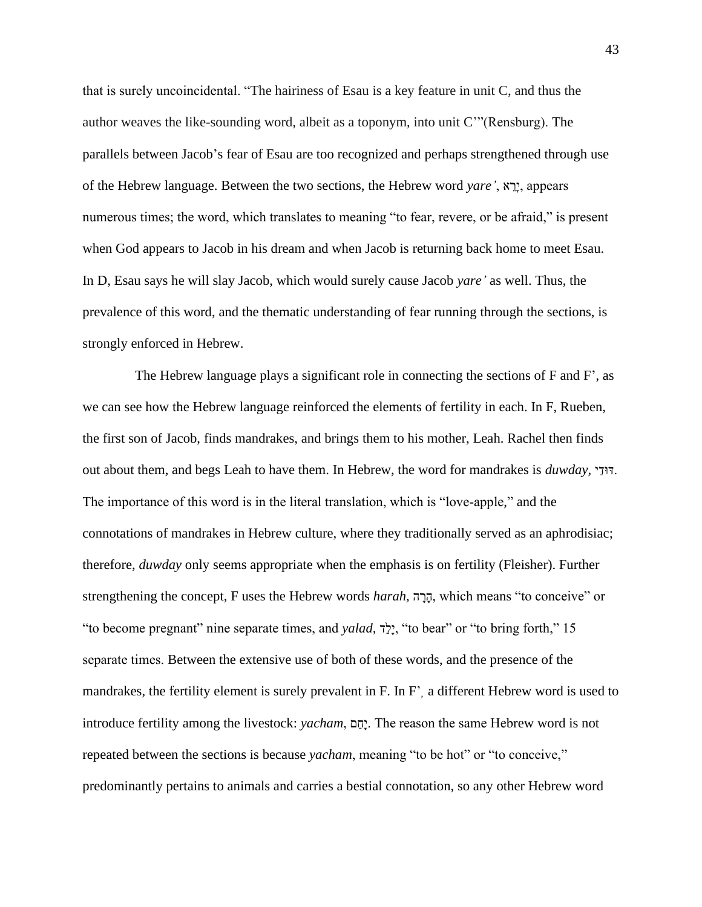that is surely uncoincidental. "The hairiness of Esau is a key feature in unit C, and thus the author weaves the like-sounding word, albeit as a toponym, into unit C'"(Rensburg). The parallels between Jacob's fear of Esau are too recognized and perhaps strengthened through use of the Hebrew language. Between the two sections, the Hebrew word *yare'*, א ֵּרָי, appears numerous times; the word, which translates to meaning "to fear, revere, or be afraid," is present when God appears to Jacob in his dream and when Jacob is returning back home to meet Esau. In D, Esau says he will slay Jacob, which would surely cause Jacob *yare'* as well. Thus, the prevalence of this word, and the thematic understanding of fear running through the sections, is strongly enforced in Hebrew.

The Hebrew language plays a significant role in connecting the sections of F and F', as we can see how the Hebrew language reinforced the elements of fertility in each. In F, Rueben, the first son of Jacob, finds mandrakes, and brings them to his mother, Leah. Rachel then finds out about them, and begs Leah to have them. In Hebrew, the word for mandrakes is *duwday,* י ַודּדּ. The importance of this word is in the literal translation, which is "love-apple," and the connotations of mandrakes in Hebrew culture, where they traditionally served as an aphrodisiac; therefore, *duwday* only seems appropriate when the emphasis is on fertility (Fleisher). Further strengthening the concept, F uses the Hebrew words *harah*, הֲרָה, which means "to conceive" or "to become pregnant" nine separate times, and *yalad,* דַלָי," to bear" or "to bring forth," 15 separate times. Between the extensive use of both of these words, and the presence of the mandrakes, the fertility element is surely prevalent in F. In F', a different Hebrew word is used to introduce fertility among the livestock: *yacham*, םַחָי. The reason the same Hebrew word is not repeated between the sections is because *yacham*, meaning "to be hot" or "to conceive," predominantly pertains to animals and carries a bestial connotation, so any other Hebrew word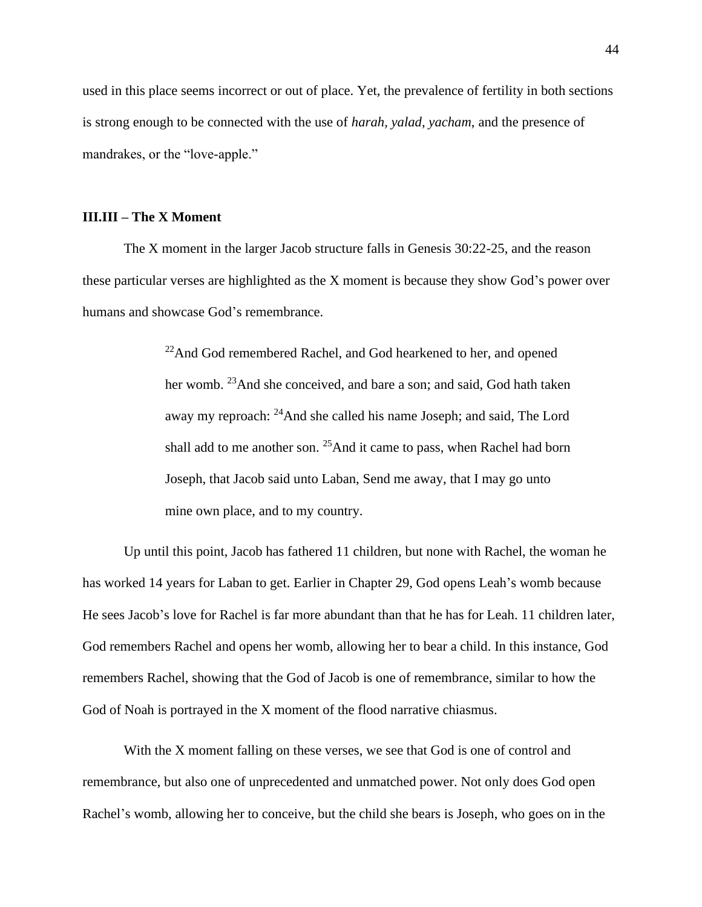used in this place seems incorrect or out of place. Yet, the prevalence of fertility in both sections is strong enough to be connected with the use of *harah, yalad, yacham*, and the presence of mandrakes, or the "love-apple."

#### **III.III – The X Moment**

The X moment in the larger Jacob structure falls in Genesis 30:22-25, and the reason these particular verses are highlighted as the X moment is because they show God's power over humans and showcase God's remembrance.

> $22$ And God remembered Rachel, and God hearkened to her, and opened her womb. <sup>23</sup>And she conceived, and bare a son; and said, God hath taken away my reproach: <sup>24</sup>And she called his name Joseph; and said, The Lord shall add to me another son. <sup>25</sup>And it came to pass, when Rachel had born Joseph, that Jacob said unto Laban, Send me away, that I may go unto mine own place, and to my country.

Up until this point, Jacob has fathered 11 children, but none with Rachel, the woman he has worked 14 years for Laban to get. Earlier in Chapter 29, God opens Leah's womb because He sees Jacob's love for Rachel is far more abundant than that he has for Leah. 11 children later, God remembers Rachel and opens her womb, allowing her to bear a child. In this instance, God remembers Rachel, showing that the God of Jacob is one of remembrance, similar to how the God of Noah is portrayed in the X moment of the flood narrative chiasmus.

With the X moment falling on these verses, we see that God is one of control and remembrance, but also one of unprecedented and unmatched power. Not only does God open Rachel's womb, allowing her to conceive, but the child she bears is Joseph, who goes on in the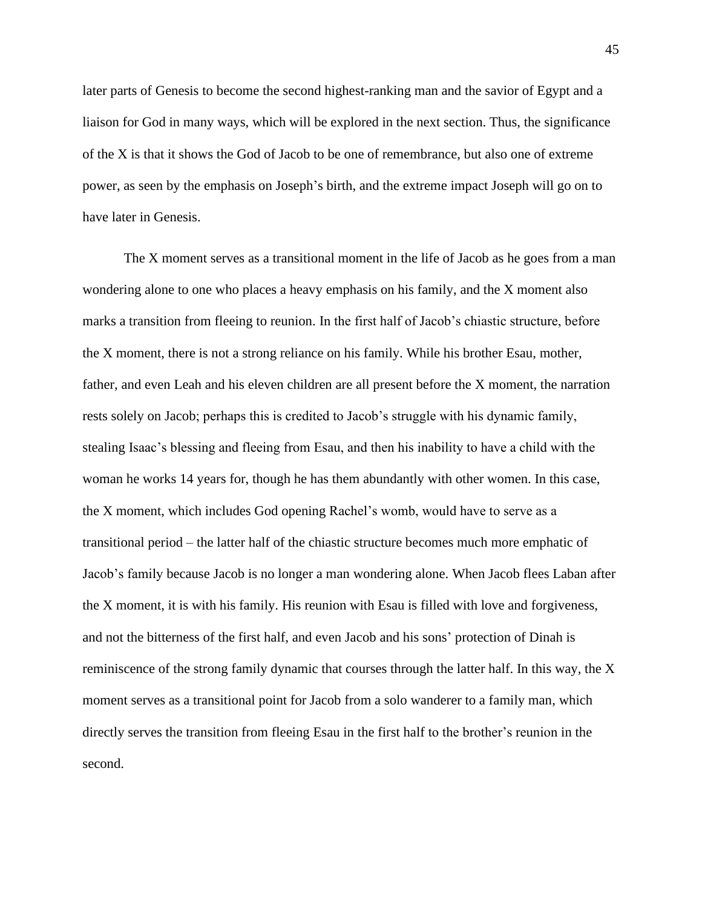later parts of Genesis to become the second highest-ranking man and the savior of Egypt and a liaison for God in many ways, which will be explored in the next section. Thus, the significance of the X is that it shows the God of Jacob to be one of remembrance, but also one of extreme power, as seen by the emphasis on Joseph's birth, and the extreme impact Joseph will go on to have later in Genesis.

The X moment serves as a transitional moment in the life of Jacob as he goes from a man wondering alone to one who places a heavy emphasis on his family, and the X moment also marks a transition from fleeing to reunion. In the first half of Jacob's chiastic structure, before the X moment, there is not a strong reliance on his family. While his brother Esau, mother, father, and even Leah and his eleven children are all present before the X moment, the narration rests solely on Jacob; perhaps this is credited to Jacob's struggle with his dynamic family, stealing Isaac's blessing and fleeing from Esau, and then his inability to have a child with the woman he works 14 years for, though he has them abundantly with other women. In this case, the X moment, which includes God opening Rachel's womb, would have to serve as a transitional period – the latter half of the chiastic structure becomes much more emphatic of Jacob's family because Jacob is no longer a man wondering alone. When Jacob flees Laban after the X moment, it is with his family. His reunion with Esau is filled with love and forgiveness, and not the bitterness of the first half, and even Jacob and his sons' protection of Dinah is reminiscence of the strong family dynamic that courses through the latter half. In this way, the X moment serves as a transitional point for Jacob from a solo wanderer to a family man, which directly serves the transition from fleeing Esau in the first half to the brother's reunion in the second.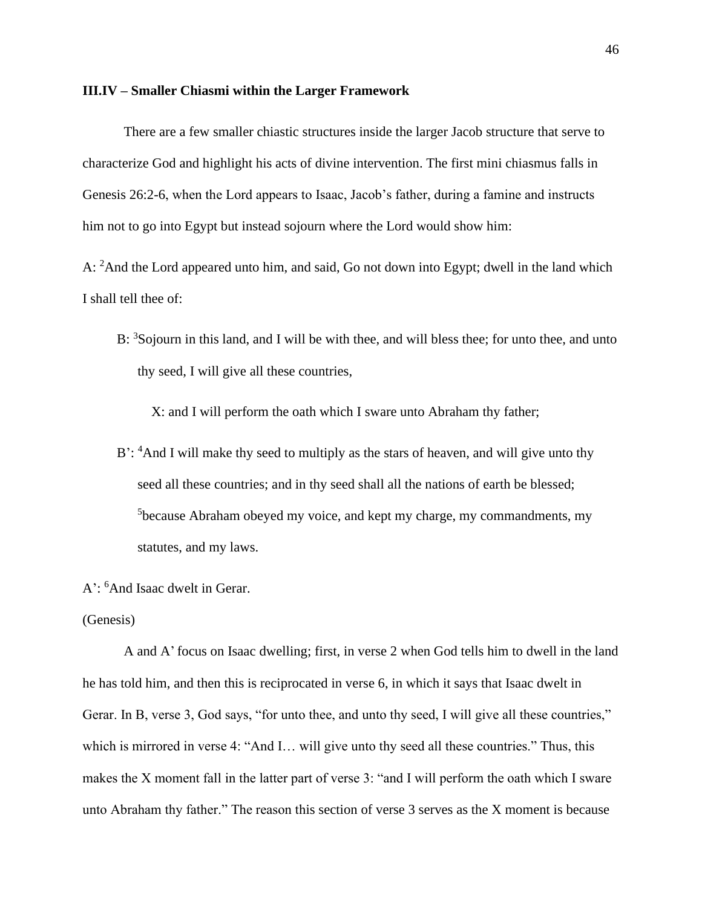#### **III.IV – Smaller Chiasmi within the Larger Framework**

There are a few smaller chiastic structures inside the larger Jacob structure that serve to characterize God and highlight his acts of divine intervention. The first mini chiasmus falls in Genesis 26:2-6, when the Lord appears to Isaac, Jacob's father, during a famine and instructs him not to go into Egypt but instead sojourn where the Lord would show him:

A: <sup>2</sup>And the Lord appeared unto him, and said, Go not down into Egypt; dwell in the land which I shall tell thee of:

B: <sup>3</sup>Sojourn in this land, and I will be with thee, and will bless thee; for unto thee, and unto thy seed, I will give all these countries,

X: and I will perform the oath which I sware unto Abraham thy father;

B': <sup>4</sup>And I will make thy seed to multiply as the stars of heaven, and will give unto thy seed all these countries; and in thy seed shall all the nations of earth be blessed; <sup>5</sup>because Abraham obeyed my voice, and kept my charge, my commandments, my statutes, and my laws.

A': <sup>6</sup>And Isaac dwelt in Gerar.

(Genesis)

A and A' focus on Isaac dwelling; first, in verse 2 when God tells him to dwell in the land he has told him, and then this is reciprocated in verse 6, in which it says that Isaac dwelt in Gerar. In B, verse 3, God says, "for unto thee, and unto thy seed, I will give all these countries," which is mirrored in verse 4: "And I... will give unto thy seed all these countries." Thus, this makes the X moment fall in the latter part of verse 3: "and I will perform the oath which I sware unto Abraham thy father." The reason this section of verse 3 serves as the X moment is because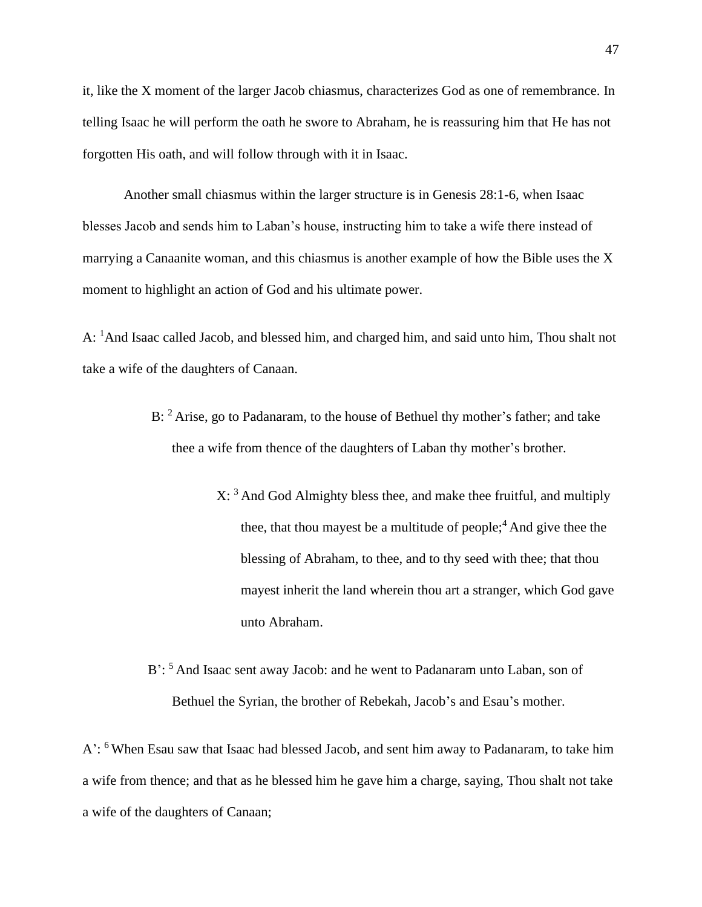it, like the X moment of the larger Jacob chiasmus, characterizes God as one of remembrance. In telling Isaac he will perform the oath he swore to Abraham, he is reassuring him that He has not forgotten His oath, and will follow through with it in Isaac.

Another small chiasmus within the larger structure is in Genesis 28:1-6, when Isaac blesses Jacob and sends him to Laban's house, instructing him to take a wife there instead of marrying a Canaanite woman, and this chiasmus is another example of how the Bible uses the X moment to highlight an action of God and his ultimate power.

A: <sup>1</sup>And Isaac called Jacob, and blessed him, and charged him, and said unto him, Thou shalt not take a wife of the daughters of Canaan.

- B: <sup>2</sup> Arise, go to Padanaram, to the house of Bethuel thy mother's father; and take thee a wife from thence of the daughters of Laban thy mother's brother.
	- $X: \mathbb{R}^3$  And God Almighty bless thee, and make thee fruitful, and multiply thee, that thou may est be a multitude of people;  $4$  And give thee the blessing of Abraham, to thee, and to thy seed with thee; that thou mayest inherit the land wherein thou art a stranger, which God gave unto Abraham.
- B': <sup>5</sup> And Isaac sent away Jacob: and he went to Padanaram unto Laban, son of Bethuel the Syrian, the brother of Rebekah, Jacob's and Esau's mother.

A': <sup>6</sup> When Esau saw that Isaac had blessed Jacob, and sent him away to Padanaram, to take him a wife from thence; and that as he blessed him he gave him a charge, saying, Thou shalt not take a wife of the daughters of Canaan;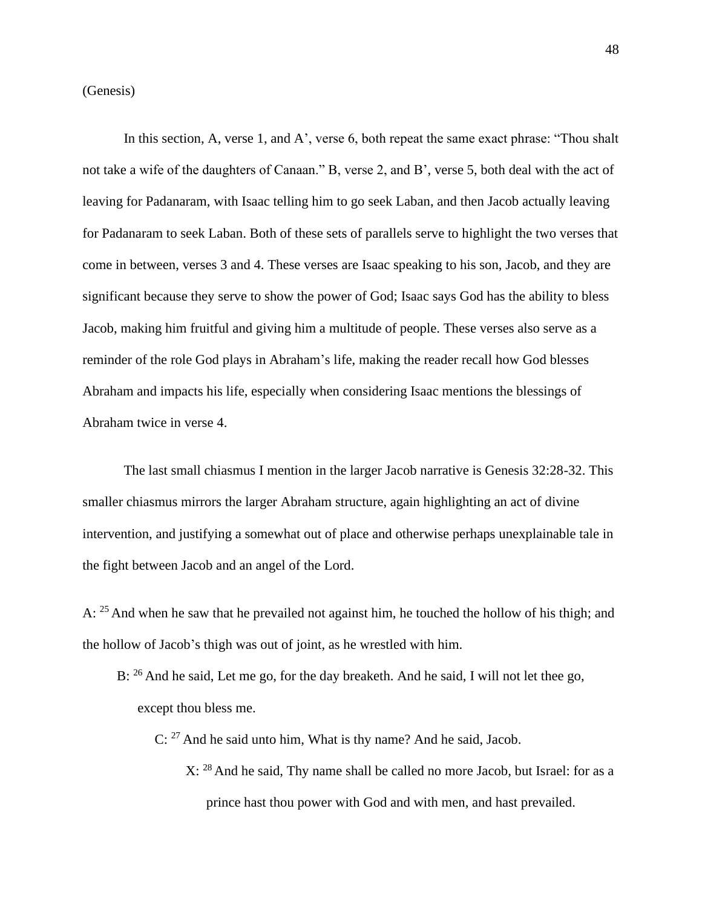In this section, A, verse 1, and A', verse 6, both repeat the same exact phrase: "Thou shalt not take a wife of the daughters of Canaan." B, verse 2, and B', verse 5, both deal with the act of leaving for Padanaram, with Isaac telling him to go seek Laban, and then Jacob actually leaving for Padanaram to seek Laban. Both of these sets of parallels serve to highlight the two verses that come in between, verses 3 and 4. These verses are Isaac speaking to his son, Jacob, and they are significant because they serve to show the power of God; Isaac says God has the ability to bless Jacob, making him fruitful and giving him a multitude of people. These verses also serve as a reminder of the role God plays in Abraham's life, making the reader recall how God blesses Abraham and impacts his life, especially when considering Isaac mentions the blessings of Abraham twice in verse 4.

The last small chiasmus I mention in the larger Jacob narrative is Genesis 32:28-32. This smaller chiasmus mirrors the larger Abraham structure, again highlighting an act of divine intervention, and justifying a somewhat out of place and otherwise perhaps unexplainable tale in the fight between Jacob and an angel of the Lord.

A: <sup>25</sup> And when he saw that he prevailed not against him, he touched the hollow of his thigh; and the hollow of Jacob's thigh was out of joint, as he wrestled with him.

- B: <sup>26</sup> And he said, Let me go, for the day breaketh. And he said, I will not let thee go, except thou bless me.
	- C: <sup>27</sup> And he said unto him, What is thy name? And he said, Jacob.
		- X: <sup>28</sup> And he said, Thy name shall be called no more Jacob, but Israel: for as a prince hast thou power with God and with men, and hast prevailed.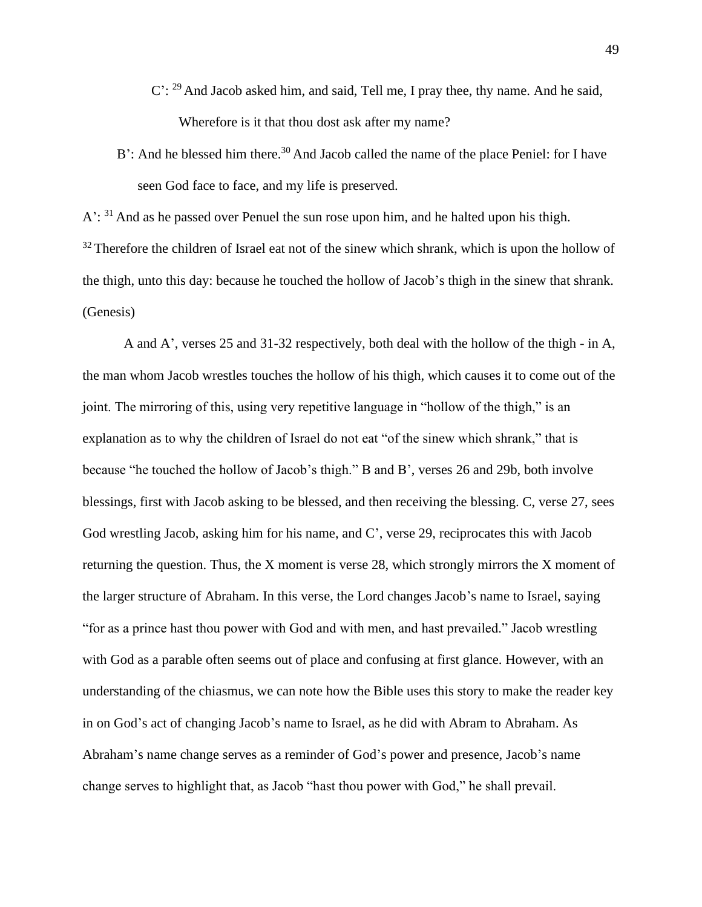- $C'$ : <sup>29</sup> And Jacob asked him, and said, Tell me, I pray thee, thy name. And he said, Wherefore is it that thou dost ask after my name?
- $B'$ : And he blessed him there.<sup>30</sup> And Jacob called the name of the place Peniel: for I have seen God face to face, and my life is preserved.

A': <sup>31</sup> And as he passed over Penuel the sun rose upon him, and he halted upon his thigh.

 $32$  Therefore the children of Israel eat not of the sinew which shrank, which is upon the hollow of the thigh, unto this day: because he touched the hollow of Jacob's thigh in the sinew that shrank. (Genesis)

A and A', verses 25 and 31-32 respectively, both deal with the hollow of the thigh - in A, the man whom Jacob wrestles touches the hollow of his thigh, which causes it to come out of the joint. The mirroring of this, using very repetitive language in "hollow of the thigh," is an explanation as to why the children of Israel do not eat "of the sinew which shrank," that is because "he touched the hollow of Jacob's thigh." B and B', verses 26 and 29b, both involve blessings, first with Jacob asking to be blessed, and then receiving the blessing. C, verse 27, sees God wrestling Jacob, asking him for his name, and C', verse 29, reciprocates this with Jacob returning the question. Thus, the X moment is verse 28, which strongly mirrors the X moment of the larger structure of Abraham. In this verse, the Lord changes Jacob's name to Israel, saying "for as a prince hast thou power with God and with men, and hast prevailed." Jacob wrestling with God as a parable often seems out of place and confusing at first glance. However, with an understanding of the chiasmus, we can note how the Bible uses this story to make the reader key in on God's act of changing Jacob's name to Israel, as he did with Abram to Abraham. As Abraham's name change serves as a reminder of God's power and presence, Jacob's name change serves to highlight that, as Jacob "hast thou power with God," he shall prevail.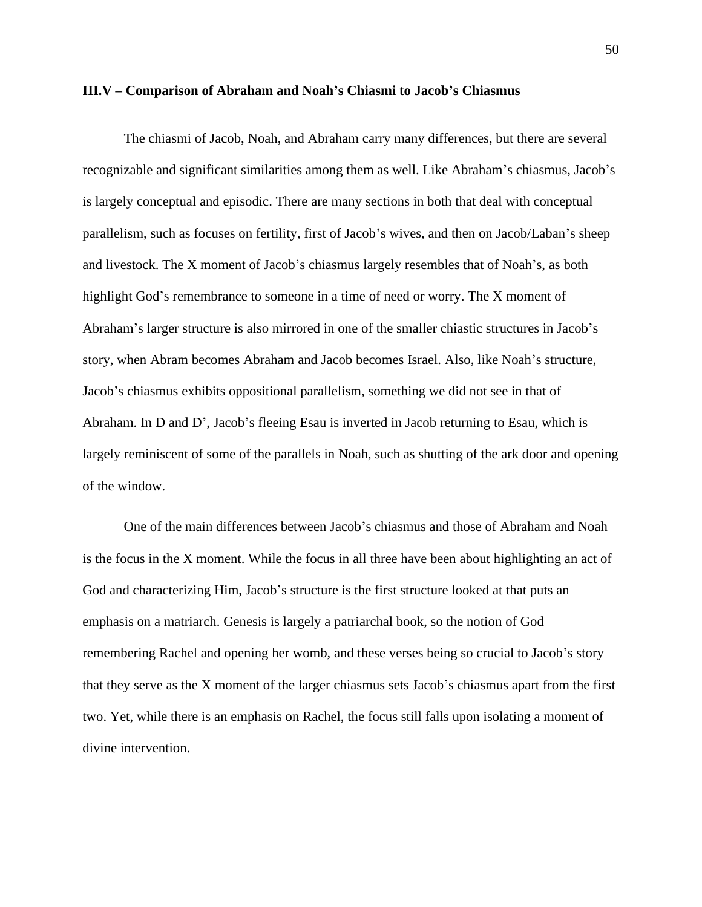#### **III.V – Comparison of Abraham and Noah's Chiasmi to Jacob's Chiasmus**

The chiasmi of Jacob, Noah, and Abraham carry many differences, but there are several recognizable and significant similarities among them as well. Like Abraham's chiasmus, Jacob's is largely conceptual and episodic. There are many sections in both that deal with conceptual parallelism, such as focuses on fertility, first of Jacob's wives, and then on Jacob/Laban's sheep and livestock. The X moment of Jacob's chiasmus largely resembles that of Noah's, as both highlight God's remembrance to someone in a time of need or worry. The X moment of Abraham's larger structure is also mirrored in one of the smaller chiastic structures in Jacob's story, when Abram becomes Abraham and Jacob becomes Israel. Also, like Noah's structure, Jacob's chiasmus exhibits oppositional parallelism, something we did not see in that of Abraham. In D and D', Jacob's fleeing Esau is inverted in Jacob returning to Esau, which is largely reminiscent of some of the parallels in Noah, such as shutting of the ark door and opening of the window.

One of the main differences between Jacob's chiasmus and those of Abraham and Noah is the focus in the X moment. While the focus in all three have been about highlighting an act of God and characterizing Him, Jacob's structure is the first structure looked at that puts an emphasis on a matriarch. Genesis is largely a patriarchal book, so the notion of God remembering Rachel and opening her womb, and these verses being so crucial to Jacob's story that they serve as the X moment of the larger chiasmus sets Jacob's chiasmus apart from the first two. Yet, while there is an emphasis on Rachel, the focus still falls upon isolating a moment of divine intervention.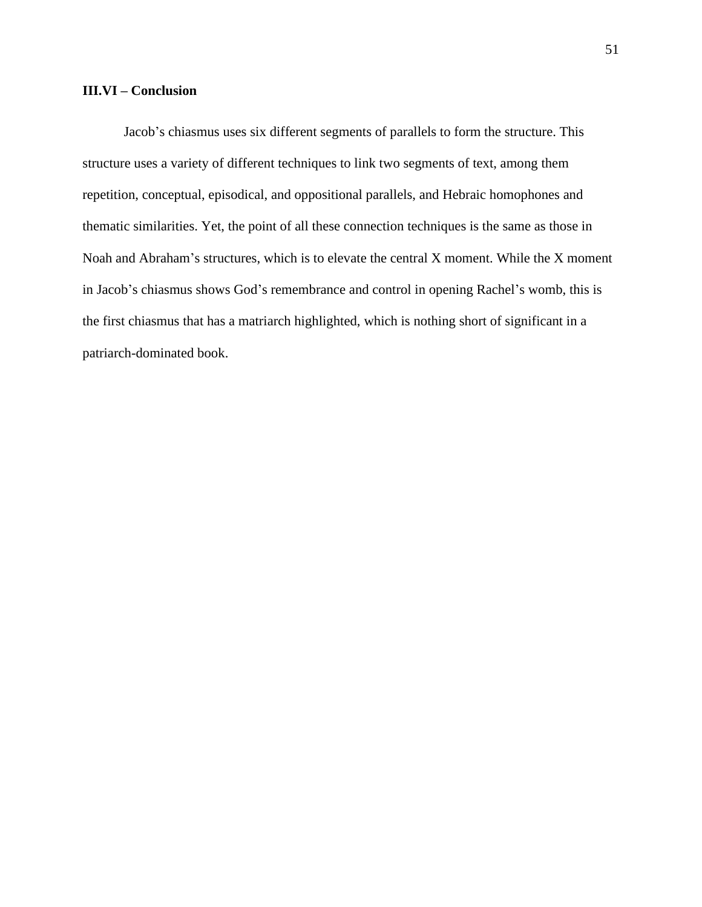# **III.VI – Conclusion**

Jacob's chiasmus uses six different segments of parallels to form the structure. This structure uses a variety of different techniques to link two segments of text, among them repetition, conceptual, episodical, and oppositional parallels, and Hebraic homophones and thematic similarities. Yet, the point of all these connection techniques is the same as those in Noah and Abraham's structures, which is to elevate the central X moment. While the X moment in Jacob's chiasmus shows God's remembrance and control in opening Rachel's womb, this is the first chiasmus that has a matriarch highlighted, which is nothing short of significant in a patriarch-dominated book.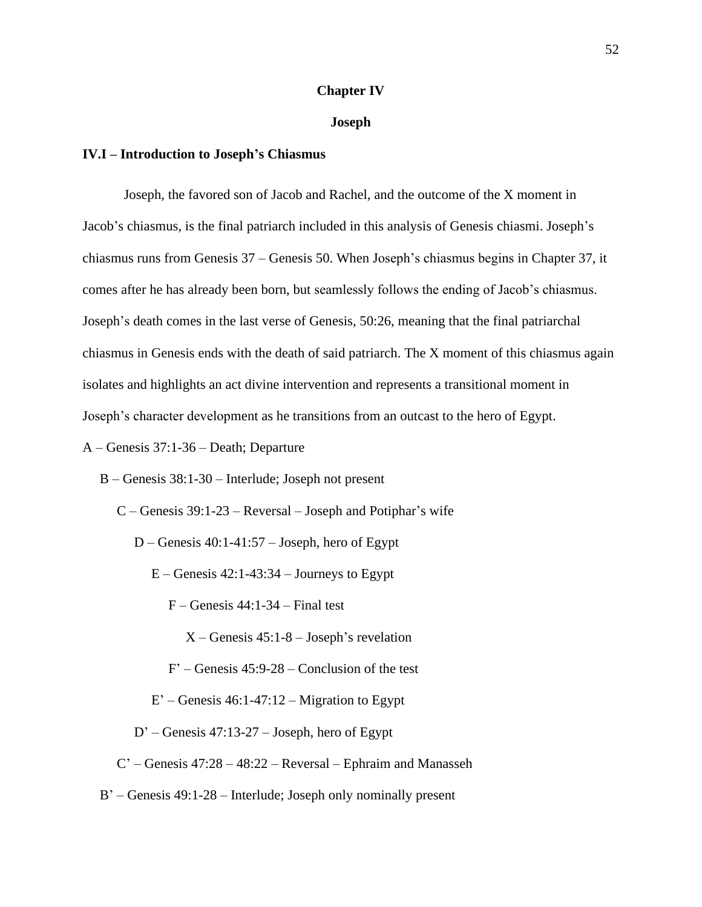#### **Chapter IV**

#### **Joseph**

#### **IV.I – Introduction to Joseph's Chiasmus**

Joseph, the favored son of Jacob and Rachel, and the outcome of the X moment in Jacob's chiasmus, is the final patriarch included in this analysis of Genesis chiasmi. Joseph's chiasmus runs from Genesis 37 – Genesis 50. When Joseph's chiasmus begins in Chapter 37, it comes after he has already been born, but seamlessly follows the ending of Jacob's chiasmus. Joseph's death comes in the last verse of Genesis, 50:26, meaning that the final patriarchal chiasmus in Genesis ends with the death of said patriarch. The X moment of this chiasmus again isolates and highlights an act divine intervention and represents a transitional moment in Joseph's character development as he transitions from an outcast to the hero of Egypt.

A – Genesis 37:1-36 – Death; Departure

- B Genesis 38:1-30 Interlude; Joseph not present
	- C Genesis 39:1-23 Reversal Joseph and Potiphar's wife
		- D Genesis 40:1-41:57 Joseph, hero of Egypt
			- $E -$ Genesis 42:1-43:34 Journeys to Egypt
				- F Genesis 44:1-34 Final test
					- X Genesis 45:1-8 Joseph's revelation
				- F' Genesis 45:9-28 Conclusion of the test
			- $E'$  Genesis 46:1-47:12 Migration to Egypt
		- D' Genesis 47:13-27 Joseph, hero of Egypt
	- C' Genesis 47:28 48:22 Reversal Ephraim and Manasseh
- B' Genesis 49:1-28 Interlude; Joseph only nominally present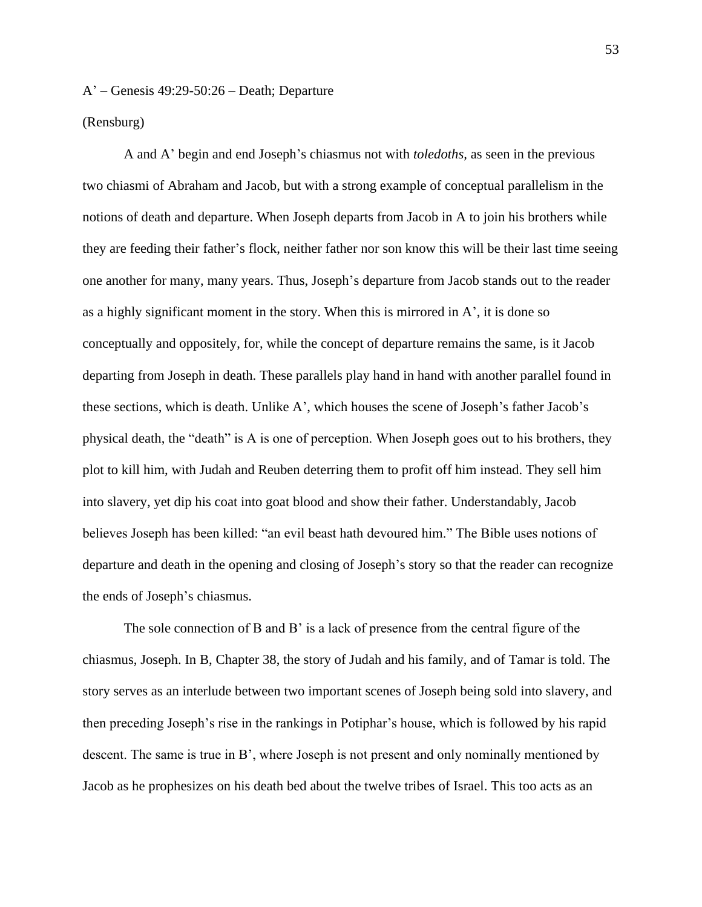#### (Rensburg)

A and A' begin and end Joseph's chiasmus not with *toledoths,* as seen in the previous two chiasmi of Abraham and Jacob, but with a strong example of conceptual parallelism in the notions of death and departure. When Joseph departs from Jacob in A to join his brothers while they are feeding their father's flock, neither father nor son know this will be their last time seeing one another for many, many years. Thus, Joseph's departure from Jacob stands out to the reader as a highly significant moment in the story. When this is mirrored in A', it is done so conceptually and oppositely, for, while the concept of departure remains the same, is it Jacob departing from Joseph in death. These parallels play hand in hand with another parallel found in these sections, which is death. Unlike A', which houses the scene of Joseph's father Jacob's physical death, the "death" is A is one of perception. When Joseph goes out to his brothers, they plot to kill him, with Judah and Reuben deterring them to profit off him instead. They sell him into slavery, yet dip his coat into goat blood and show their father. Understandably, Jacob believes Joseph has been killed: "an evil beast hath devoured him." The Bible uses notions of departure and death in the opening and closing of Joseph's story so that the reader can recognize the ends of Joseph's chiasmus.

The sole connection of B and B' is a lack of presence from the central figure of the chiasmus, Joseph. In B, Chapter 38, the story of Judah and his family, and of Tamar is told. The story serves as an interlude between two important scenes of Joseph being sold into slavery, and then preceding Joseph's rise in the rankings in Potiphar's house, which is followed by his rapid descent. The same is true in B', where Joseph is not present and only nominally mentioned by Jacob as he prophesizes on his death bed about the twelve tribes of Israel. This too acts as an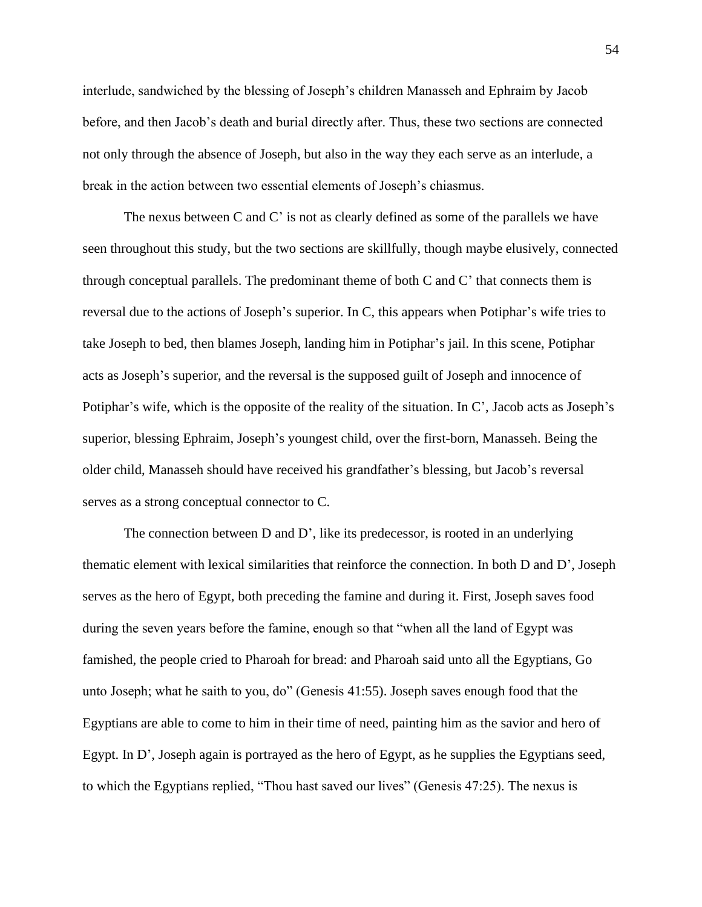interlude, sandwiched by the blessing of Joseph's children Manasseh and Ephraim by Jacob before, and then Jacob's death and burial directly after. Thus, these two sections are connected not only through the absence of Joseph, but also in the way they each serve as an interlude, a break in the action between two essential elements of Joseph's chiasmus.

The nexus between C and C' is not as clearly defined as some of the parallels we have seen throughout this study, but the two sections are skillfully, though maybe elusively, connected through conceptual parallels. The predominant theme of both C and C' that connects them is reversal due to the actions of Joseph's superior. In C, this appears when Potiphar's wife tries to take Joseph to bed, then blames Joseph, landing him in Potiphar's jail. In this scene, Potiphar acts as Joseph's superior, and the reversal is the supposed guilt of Joseph and innocence of Potiphar's wife, which is the opposite of the reality of the situation. In C', Jacob acts as Joseph's superior, blessing Ephraim, Joseph's youngest child, over the first-born, Manasseh. Being the older child, Manasseh should have received his grandfather's blessing, but Jacob's reversal serves as a strong conceptual connector to C.

The connection between D and D', like its predecessor, is rooted in an underlying thematic element with lexical similarities that reinforce the connection. In both D and D', Joseph serves as the hero of Egypt, both preceding the famine and during it. First, Joseph saves food during the seven years before the famine, enough so that "when all the land of Egypt was famished, the people cried to Pharoah for bread: and Pharoah said unto all the Egyptians, Go unto Joseph; what he saith to you, do" (Genesis 41:55). Joseph saves enough food that the Egyptians are able to come to him in their time of need, painting him as the savior and hero of Egypt. In D', Joseph again is portrayed as the hero of Egypt, as he supplies the Egyptians seed, to which the Egyptians replied, "Thou hast saved our lives" (Genesis 47:25). The nexus is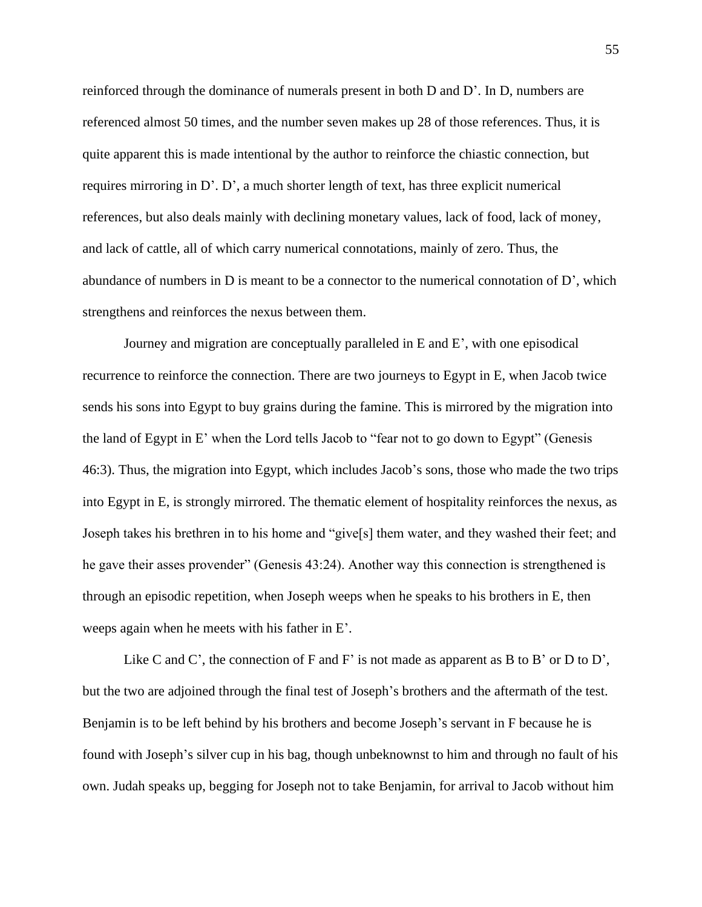reinforced through the dominance of numerals present in both D and D'. In D, numbers are referenced almost 50 times, and the number seven makes up 28 of those references. Thus, it is quite apparent this is made intentional by the author to reinforce the chiastic connection, but requires mirroring in D'. D', a much shorter length of text, has three explicit numerical references, but also deals mainly with declining monetary values, lack of food, lack of money, and lack of cattle, all of which carry numerical connotations, mainly of zero. Thus, the abundance of numbers in D is meant to be a connector to the numerical connotation of D', which strengthens and reinforces the nexus between them.

Journey and migration are conceptually paralleled in E and E', with one episodical recurrence to reinforce the connection. There are two journeys to Egypt in E, when Jacob twice sends his sons into Egypt to buy grains during the famine. This is mirrored by the migration into the land of Egypt in E' when the Lord tells Jacob to "fear not to go down to Egypt" (Genesis 46:3). Thus, the migration into Egypt, which includes Jacob's sons, those who made the two trips into Egypt in E, is strongly mirrored. The thematic element of hospitality reinforces the nexus, as Joseph takes his brethren in to his home and "give[s] them water, and they washed their feet; and he gave their asses provender" (Genesis 43:24). Another way this connection is strengthened is through an episodic repetition, when Joseph weeps when he speaks to his brothers in E, then weeps again when he meets with his father in E'.

Like C and C', the connection of F and F' is not made as apparent as B to B' or D to D', but the two are adjoined through the final test of Joseph's brothers and the aftermath of the test. Benjamin is to be left behind by his brothers and become Joseph's servant in F because he is found with Joseph's silver cup in his bag, though unbeknownst to him and through no fault of his own. Judah speaks up, begging for Joseph not to take Benjamin, for arrival to Jacob without him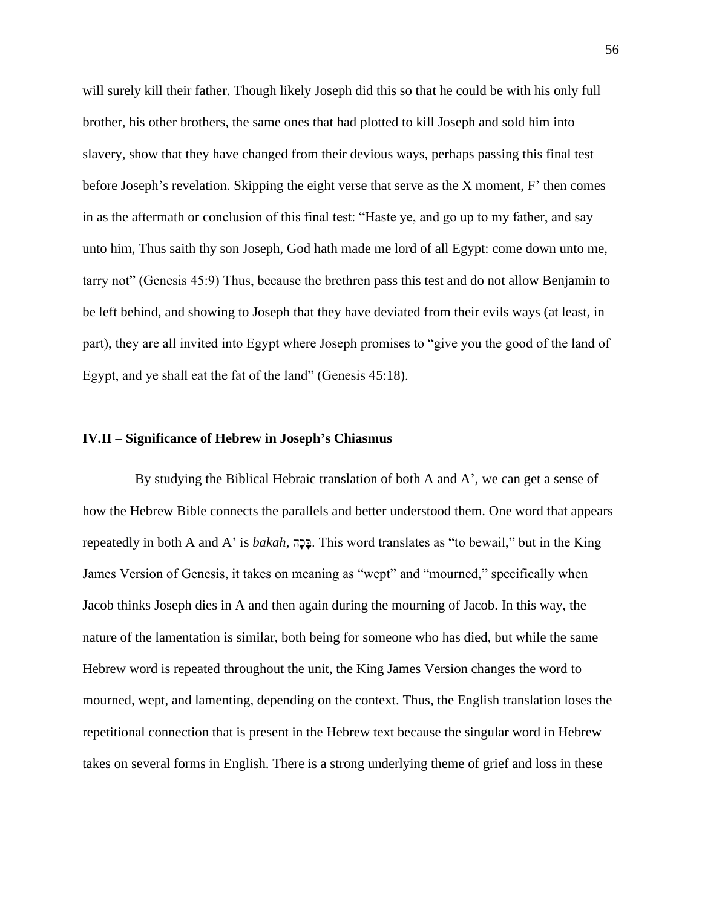will surely kill their father. Though likely Joseph did this so that he could be with his only full brother, his other brothers, the same ones that had plotted to kill Joseph and sold him into slavery, show that they have changed from their devious ways, perhaps passing this final test before Joseph's revelation. Skipping the eight verse that serve as the X moment, F' then comes in as the aftermath or conclusion of this final test: "Haste ye, and go up to my father, and say unto him, Thus saith thy son Joseph, God hath made me lord of all Egypt: come down unto me, tarry not" (Genesis 45:9) Thus, because the brethren pass this test and do not allow Benjamin to be left behind, and showing to Joseph that they have deviated from their evils ways (at least, in part), they are all invited into Egypt where Joseph promises to "give you the good of the land of Egypt, and ye shall eat the fat of the land" (Genesis 45:18).

#### **IV.II – Significance of Hebrew in Joseph's Chiasmus**

By studying the Biblical Hebraic translation of both A and A', we can get a sense of how the Hebrew Bible connects the parallels and better understood them. One word that appears repeatedly in both A and A' is *bakah,* הָכָב. This word translates as "to bewail," but in the King James Version of Genesis, it takes on meaning as "wept" and "mourned," specifically when Jacob thinks Joseph dies in A and then again during the mourning of Jacob. In this way, the nature of the lamentation is similar, both being for someone who has died, but while the same Hebrew word is repeated throughout the unit, the King James Version changes the word to mourned, wept, and lamenting, depending on the context. Thus, the English translation loses the repetitional connection that is present in the Hebrew text because the singular word in Hebrew takes on several forms in English. There is a strong underlying theme of grief and loss in these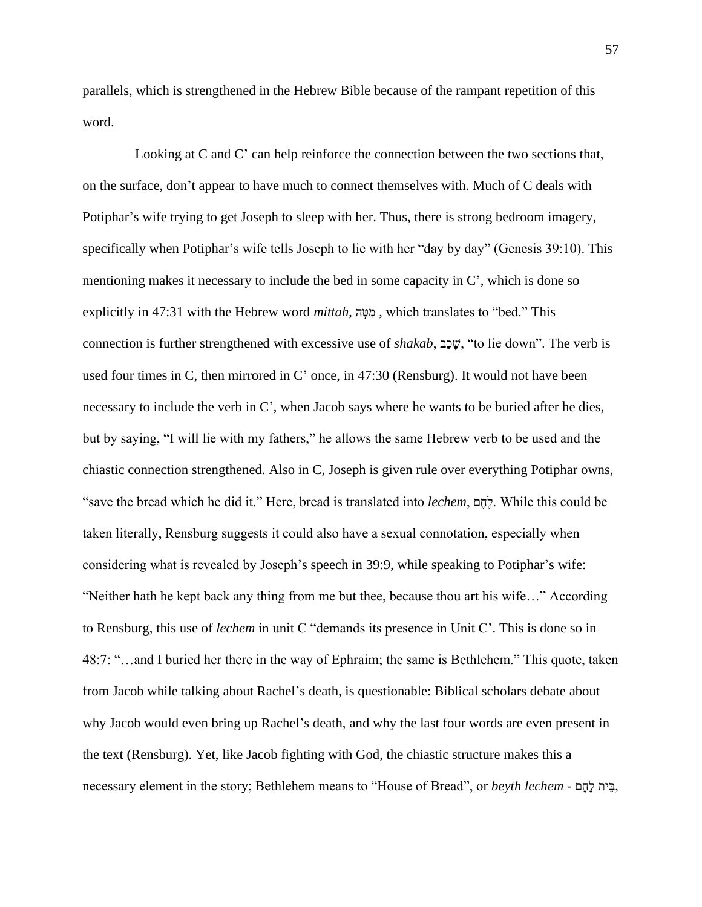parallels, which is strengthened in the Hebrew Bible because of the rampant repetition of this word.

Looking at C and C' can help reinforce the connection between the two sections that, on the surface, don't appear to have much to connect themselves with. Much of C deals with Potiphar's wife trying to get Joseph to sleep with her. Thus, there is strong bedroom imagery, specifically when Potiphar's wife tells Joseph to lie with her "day by day" (Genesis 39:10). This mentioning makes it necessary to include the bed in some capacity in C', which is done so explicitly in 47:31 with the Hebrew word *mittah*, ה 
component philophone Changles to "bed." This connection is further strengthened with excessive use of *shakab*, עֲכָב "to lie down". The verb is used four times in C, then mirrored in C' once, in 47:30 (Rensburg). It would not have been necessary to include the verb in C', when Jacob says where he wants to be buried after he dies, but by saying, "I will lie with my fathers," he allows the same Hebrew verb to be used and the chiastic connection strengthened. Also in C, Joseph is given rule over everything Potiphar owns, "save the bread which he did it." Here, bread is translated into *lechem*, םֶחֶל. While this could be taken literally, Rensburg suggests it could also have a sexual connotation, especially when considering what is revealed by Joseph's speech in 39:9, while speaking to Potiphar's wife: "Neither hath he kept back any thing from me but thee, because thou art his wife…" According to Rensburg, this use of *lechem* in unit C "demands its presence in Unit C'. This is done so in 48:7: "…and I buried her there in the way of Ephraim; the same is Bethlehem." This quote, taken from Jacob while talking about Rachel's death, is questionable: Biblical scholars debate about why Jacob would even bring up Rachel's death, and why the last four words are even present in the text (Rensburg). Yet, like Jacob fighting with God, the chiastic structure makes this a necessary element in the story; Bethlehem means to "House of Bread", or *beyth lechem -* םֶחֶל יתֵּב,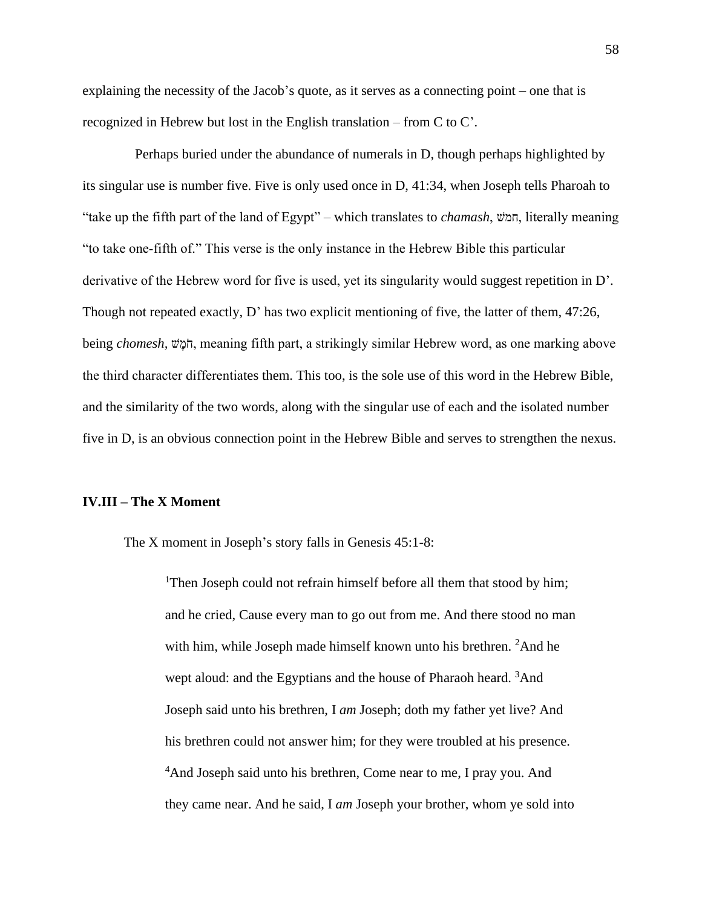explaining the necessity of the Jacob's quote, as it serves as a connecting point – one that is recognized in Hebrew but lost in the English translation – from C to C'.

Perhaps buried under the abundance of numerals in D, though perhaps highlighted by its singular use is number five. Five is only used once in D, 41:34, when Joseph tells Pharoah to "take up the fifth part of the land of Egypt" – which translates to *chamash*, חמש, literally meaning "to take one-fifth of." This verse is the only instance in the Hebrew Bible this particular derivative of the Hebrew word for five is used, yet its singularity would suggest repetition in D'. Though not repeated exactly, D' has two explicit mentioning of five, the latter of them, 47:26, being *chomesh*, שְׁמָ<sup>ּ</sup>שׁ, meaning fifth part, a strikingly similar Hebrew word, as one marking above the third character differentiates them. This too, is the sole use of this word in the Hebrew Bible, and the similarity of the two words, along with the singular use of each and the isolated number five in D, is an obvious connection point in the Hebrew Bible and serves to strengthen the nexus.

#### **IV.III – The X Moment**

The X moment in Joseph's story falls in Genesis 45:1-8:

<sup>1</sup>Then Joseph could not refrain [himself](https://www.kingjamesbibleonline.org/Genesis-45-1/) before all them that stood by him; and he cried, [Cause](https://www.kingjamesbibleonline.org/Genesis-45-1/) every man to go out from me. And there stood no man with him, while Joseph made himself known unto his [brethren.](https://www.kingjamesbibleonline.org/Genesis-45-1/) <sup>2</sup>[And](https://www.kingjamesbibleonline.org/Genesis-45-2/) he wept aloud: and the [Egyptians](https://www.kingjamesbibleonline.org/Genesis-45-2/) and the house of Pharaoh heard. <sup>3</sup>[And](https://www.kingjamesbibleonline.org/Genesis-45-3/) Joseph said unto his [brethren,](https://www.kingjamesbibleonline.org/Genesis-45-3/) I *am* Joseph; doth my father yet live? And his brethren could not answer him; for they were troubled at his [presence.](https://www.kingjamesbibleonline.org/Genesis-45-3/) <sup>4</sup>And Joseph said unto his [brethren,](https://www.kingjamesbibleonline.org/Genesis-45-4/) Come near to me, I pray you. And they came near. And he said, I *am* Joseph your [brother,](https://www.kingjamesbibleonline.org/Genesis-45-4/) whom ye sold into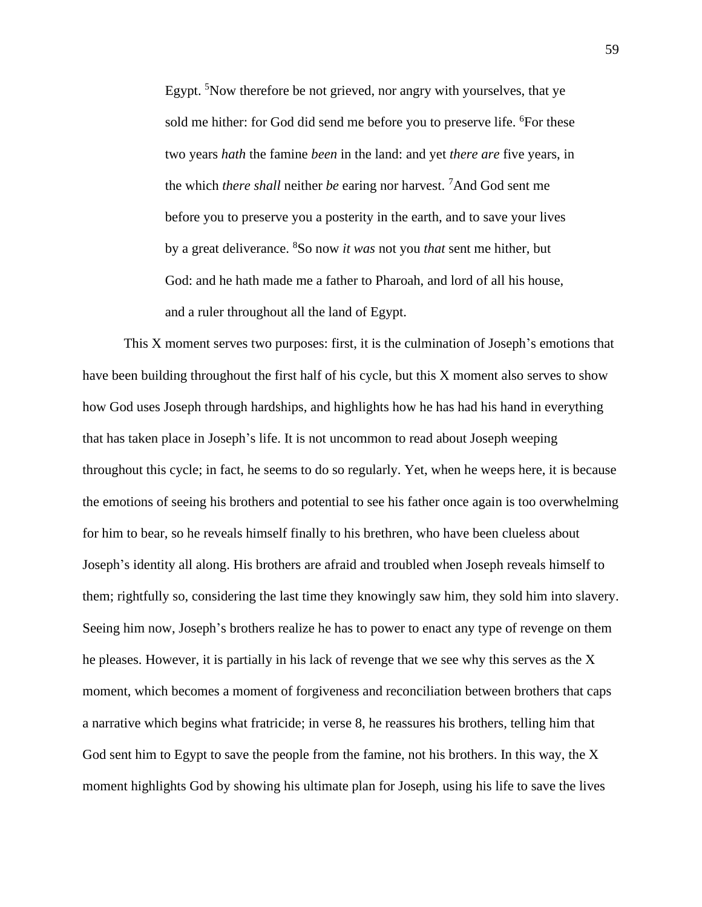[Egypt.](https://www.kingjamesbibleonline.org/Genesis-45-4/) <sup>5</sup>Now therefore be not grieved, nor angry with [yourselves,](https://www.kingjamesbibleonline.org/Genesis-45-5/) that ye sold me hither: for God did send me before you to [preserve](https://www.kingjamesbibleonline.org/Genesis-45-5/) life. <sup>6</sup>For [these](https://www.kingjamesbibleonline.org/Genesis-45-6/) two years *hath* the [famine](https://www.kingjamesbibleonline.org/Genesis-45-6/) *been* in the land: and yet *there are* five years, in the which *there shall* neither *be* earing nor [harvest.](https://www.kingjamesbibleonline.org/Genesis-45-6/) <sup>7</sup>[And](https://www.kingjamesbibleonline.org/Genesis-45-7/) God sent me before you to preserve you a [posterity](https://www.kingjamesbibleonline.org/Genesis-45-7/) in the earth, and to save your lives by a great [deliverance.](https://www.kingjamesbibleonline.org/Genesis-45-7/) <sup>8</sup>So now *it was* not you *that* sent me hither, but God: and he hath made me a father to Pharoah, and lord of all his house, and a ruler throughout all the land of Egypt.

This X moment serves two purposes: first, it is the culmination of Joseph's emotions that have been building throughout the first half of his cycle, but this X moment also serves to show how God uses Joseph through hardships, and highlights how he has had his hand in everything that has taken place in Joseph's life. It is not uncommon to read about Joseph weeping throughout this cycle; in fact, he seems to do so regularly. Yet, when he weeps here, it is because the emotions of seeing his brothers and potential to see his father once again is too overwhelming for him to bear, so he reveals himself finally to his brethren, who have been clueless about Joseph's identity all along. His brothers are afraid and troubled when Joseph reveals himself to them; rightfully so, considering the last time they knowingly saw him, they sold him into slavery. Seeing him now, Joseph's brothers realize he has to power to enact any type of revenge on them he pleases. However, it is partially in his lack of revenge that we see why this serves as the X moment, which becomes a moment of forgiveness and reconciliation between brothers that caps a narrative which begins what fratricide; in verse 8, he reassures his brothers, telling him that God sent him to Egypt to save the people from the famine, not his brothers. In this way, the X moment highlights God by showing his ultimate plan for Joseph, using his life to save the lives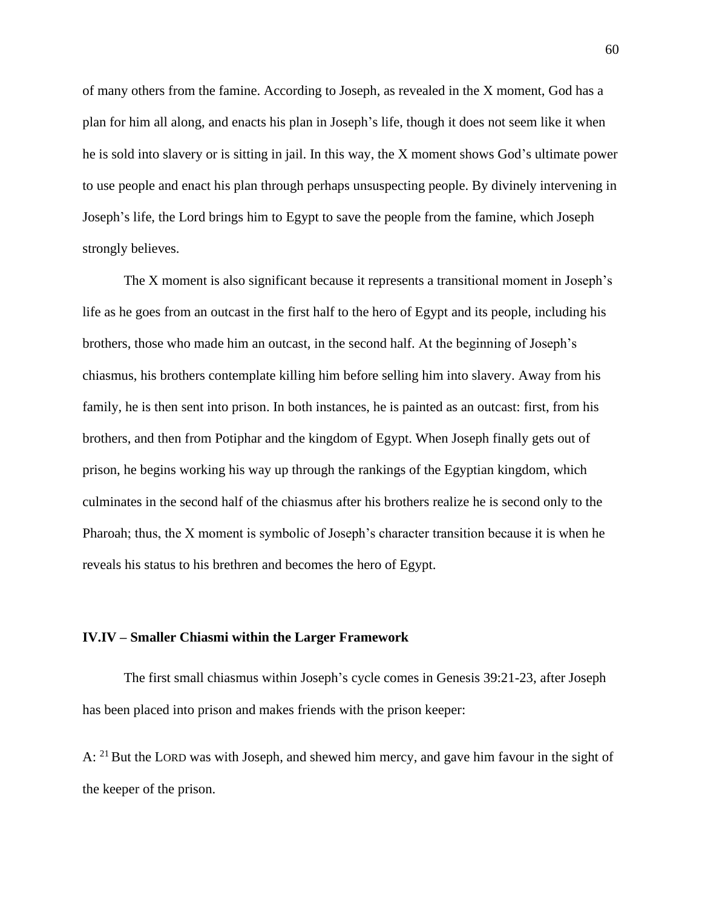of many others from the famine. According to Joseph, as revealed in the X moment, God has a plan for him all along, and enacts his plan in Joseph's life, though it does not seem like it when he is sold into slavery or is sitting in jail. In this way, the X moment shows God's ultimate power to use people and enact his plan through perhaps unsuspecting people. By divinely intervening in Joseph's life, the Lord brings him to Egypt to save the people from the famine, which Joseph strongly believes.

The X moment is also significant because it represents a transitional moment in Joseph's life as he goes from an outcast in the first half to the hero of Egypt and its people, including his brothers, those who made him an outcast, in the second half. At the beginning of Joseph's chiasmus, his brothers contemplate killing him before selling him into slavery. Away from his family, he is then sent into prison. In both instances, he is painted as an outcast: first, from his brothers, and then from Potiphar and the kingdom of Egypt. When Joseph finally gets out of prison, he begins working his way up through the rankings of the Egyptian kingdom, which culminates in the second half of the chiasmus after his brothers realize he is second only to the Pharoah; thus, the X moment is symbolic of Joseph's character transition because it is when he reveals his status to his brethren and becomes the hero of Egypt.

#### **IV.IV – Smaller Chiasmi within the Larger Framework**

The first small chiasmus within Joseph's cycle comes in Genesis 39:21-23, after Joseph has been placed into prison and makes friends with the prison keeper:

A:  $21$  But the LORD was with Joseph, and shewed him mercy, and gave him favour in the sight of the keeper of the prison.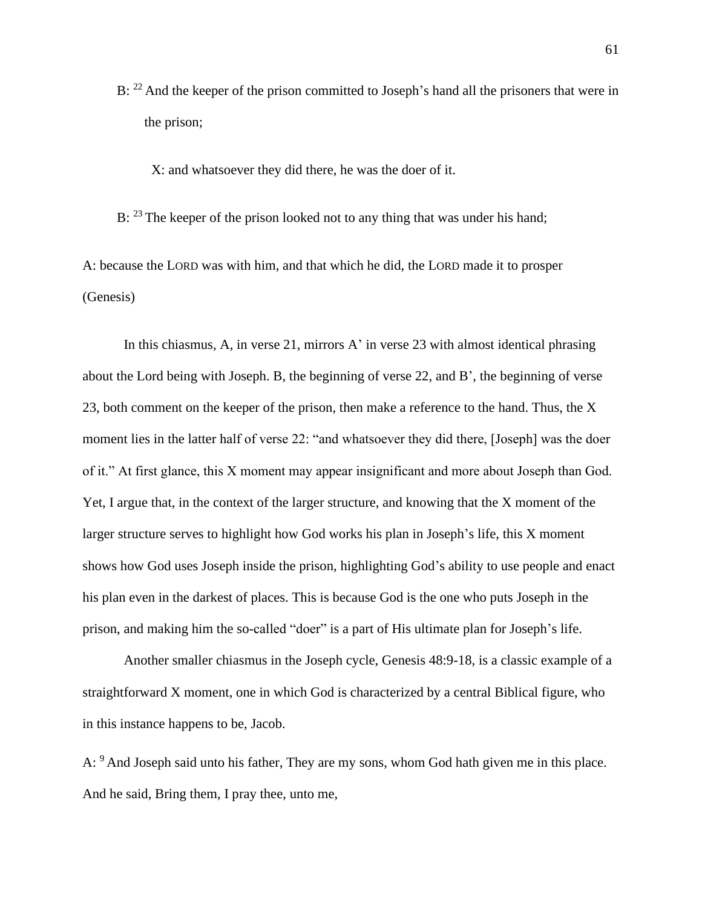B: <sup>22</sup> And the keeper of the prison committed to Joseph's hand all the prisoners that were in the prison;

X: and whatsoever they did there, he was the doer of it.

B:  $^{23}$  The keeper of the prison looked not to any thing that was under his hand;

A: because the LORD was with him, and that which he did, the LORD made it to prosper (Genesis)

In this chiasmus, A, in verse 21, mirrors A' in verse 23 with almost identical phrasing about the Lord being with Joseph. B, the beginning of verse 22, and B', the beginning of verse 23, both comment on the keeper of the prison, then make a reference to the hand. Thus, the X moment lies in the latter half of verse 22: "and whatsoever they did there, [Joseph] was the doer of it." At first glance, this X moment may appear insignificant and more about Joseph than God. Yet, I argue that, in the context of the larger structure, and knowing that the X moment of the larger structure serves to highlight how God works his plan in Joseph's life, this X moment shows how God uses Joseph inside the prison, highlighting God's ability to use people and enact his plan even in the darkest of places. This is because God is the one who puts Joseph in the prison, and making him the so-called "doer" is a part of His ultimate plan for Joseph's life.

Another smaller chiasmus in the Joseph cycle, Genesis 48:9-18, is a classic example of a straightforward X moment, one in which God is characterized by a central Biblical figure, who in this instance happens to be, Jacob.

A: <sup>9</sup> And Joseph said unto his father, They are my sons, whom God hath given me in this place. And he said, Bring them, I pray thee, unto me,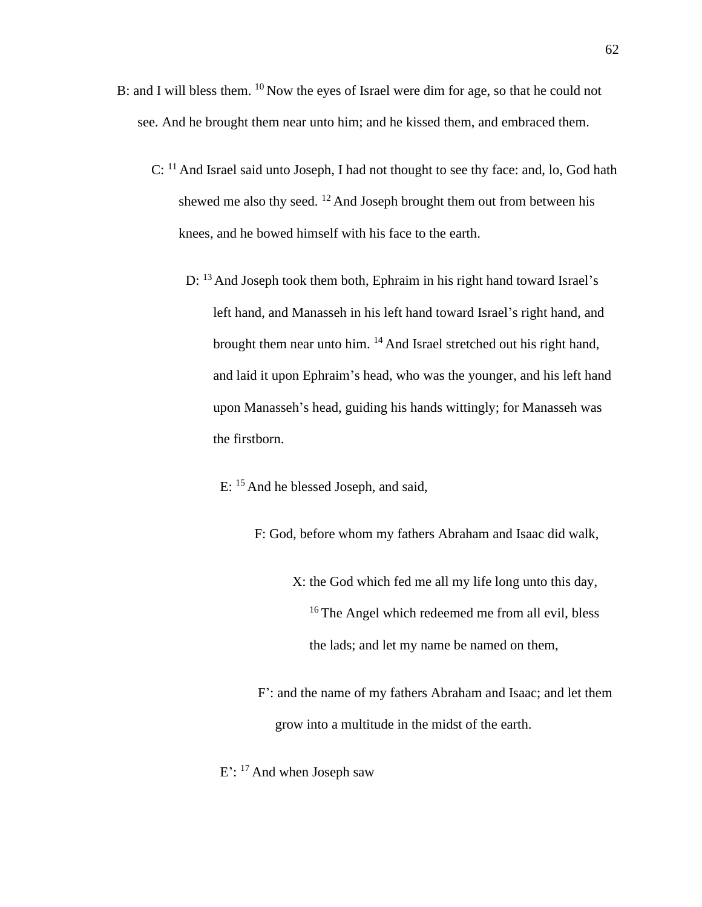- B: and I will bless them. <sup>10</sup> Now the eyes of Israel were dim for age, so that he could not see. And he brought them near unto him; and he kissed them, and embraced them.
	- C: <sup>11</sup> And Israel said unto Joseph, I had not thought to see thy face: and, lo, God hath shewed me also thy seed. <sup>12</sup> And Joseph brought them out from between his knees, and he bowed himself with his face to the earth.
		- D: <sup>13</sup> And Joseph took them both, Ephraim in his right hand toward Israel's left hand, and Manasseh in his left hand toward Israel's right hand, and brought them near unto him. <sup>14</sup> And Israel stretched out his right hand, and laid it upon Ephraim's head, who was the younger, and his left hand upon Manasseh's head, guiding his hands wittingly; for Manasseh was the firstborn.
			- E: <sup>15</sup> And he blessed Joseph, and said,
				- F: God, before whom my fathers Abraham and Isaac did walk,
					- X: the God which fed me all my life long unto this day, <sup>16</sup> The Angel which redeemed me from all evil, bless the lads; and let my name be named on them,
				- F': and the name of my fathers Abraham and Isaac; and let them grow into a multitude in the midst of the earth.
			- E': <sup>17</sup> And when Joseph saw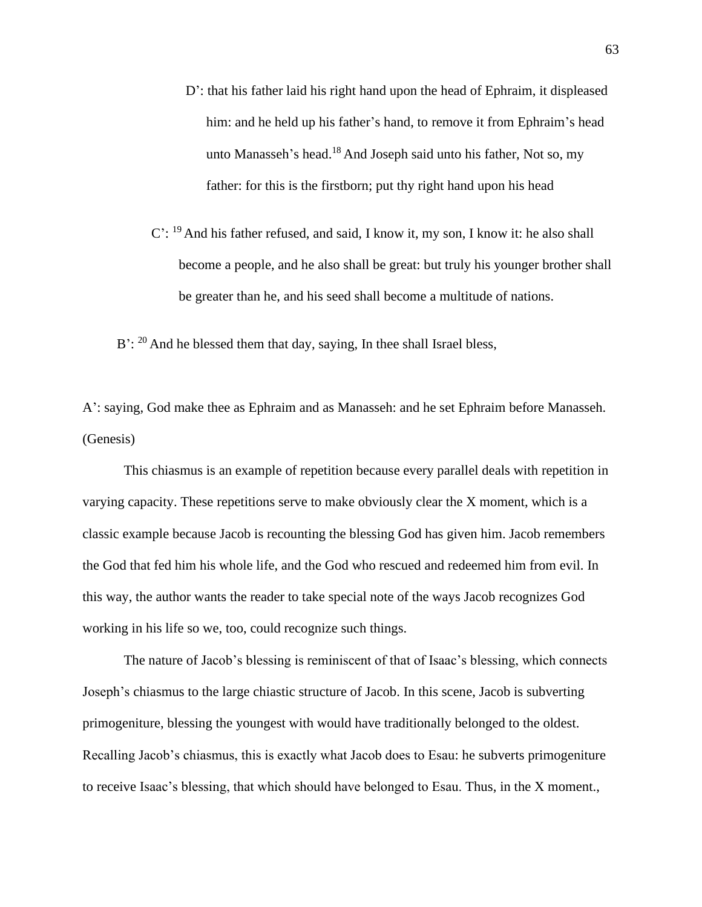- D': that his father laid his right hand upon the head of Ephraim, it displeased him: and he held up his father's hand, to remove it from Ephraim's head unto Manasseh's head.<sup>18</sup> And Joseph said unto his father, Not so, my father: for this is the firstborn; put thy right hand upon his head
- C': <sup>19</sup> And his father refused, and said, I know it, my son, I know it: he also shall become a people, and he also shall be great: but truly his younger brother shall be greater than he, and his seed shall become a multitude of nations.

 $B'$ : <sup>20</sup> And he blessed them that day, saying, In thee shall Israel bless,

A': saying, God make thee as Ephraim and as Manasseh: and he set Ephraim before Manasseh. (Genesis)

This chiasmus is an example of repetition because every parallel deals with repetition in varying capacity. These repetitions serve to make obviously clear the X moment, which is a classic example because Jacob is recounting the blessing God has given him. Jacob remembers the God that fed him his whole life, and the God who rescued and redeemed him from evil. In this way, the author wants the reader to take special note of the ways Jacob recognizes God working in his life so we, too, could recognize such things.

The nature of Jacob's blessing is reminiscent of that of Isaac's blessing, which connects Joseph's chiasmus to the large chiastic structure of Jacob. In this scene, Jacob is subverting primogeniture, blessing the youngest with would have traditionally belonged to the oldest. Recalling Jacob's chiasmus, this is exactly what Jacob does to Esau: he subverts primogeniture to receive Isaac's blessing, that which should have belonged to Esau. Thus, in the X moment.,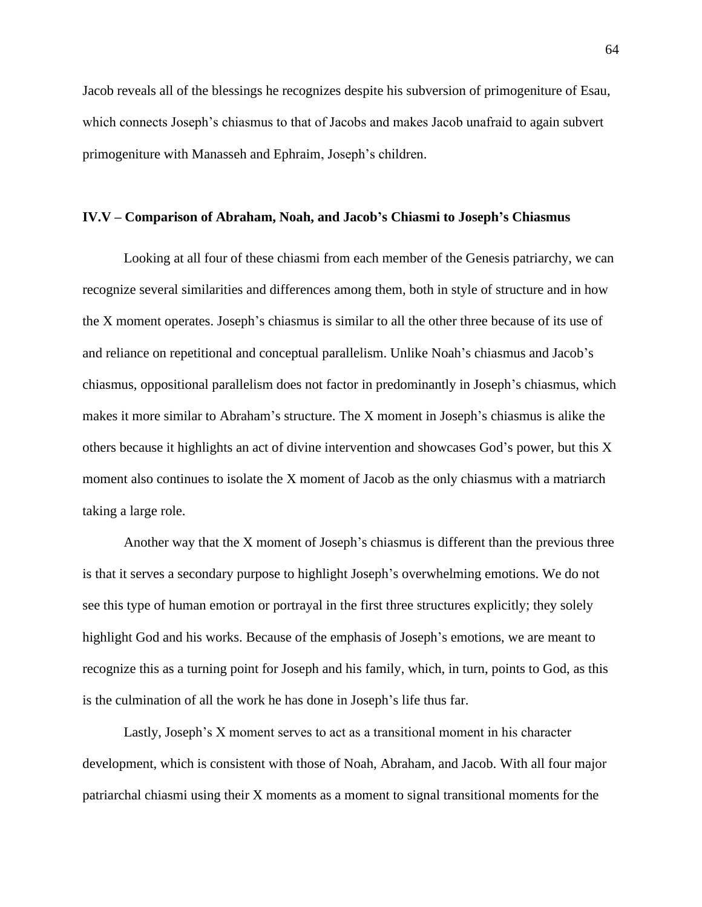Jacob reveals all of the blessings he recognizes despite his subversion of primogeniture of Esau, which connects Joseph's chiasmus to that of Jacobs and makes Jacob unafraid to again subvert primogeniture with Manasseh and Ephraim, Joseph's children.

#### **IV.V – Comparison of Abraham, Noah, and Jacob's Chiasmi to Joseph's Chiasmus**

Looking at all four of these chiasmi from each member of the Genesis patriarchy, we can recognize several similarities and differences among them, both in style of structure and in how the X moment operates. Joseph's chiasmus is similar to all the other three because of its use of and reliance on repetitional and conceptual parallelism. Unlike Noah's chiasmus and Jacob's chiasmus, oppositional parallelism does not factor in predominantly in Joseph's chiasmus, which makes it more similar to Abraham's structure. The X moment in Joseph's chiasmus is alike the others because it highlights an act of divine intervention and showcases God's power, but this X moment also continues to isolate the X moment of Jacob as the only chiasmus with a matriarch taking a large role.

Another way that the X moment of Joseph's chiasmus is different than the previous three is that it serves a secondary purpose to highlight Joseph's overwhelming emotions. We do not see this type of human emotion or portrayal in the first three structures explicitly; they solely highlight God and his works. Because of the emphasis of Joseph's emotions, we are meant to recognize this as a turning point for Joseph and his family, which, in turn, points to God, as this is the culmination of all the work he has done in Joseph's life thus far.

Lastly, Joseph's X moment serves to act as a transitional moment in his character development, which is consistent with those of Noah, Abraham, and Jacob. With all four major patriarchal chiasmi using their X moments as a moment to signal transitional moments for the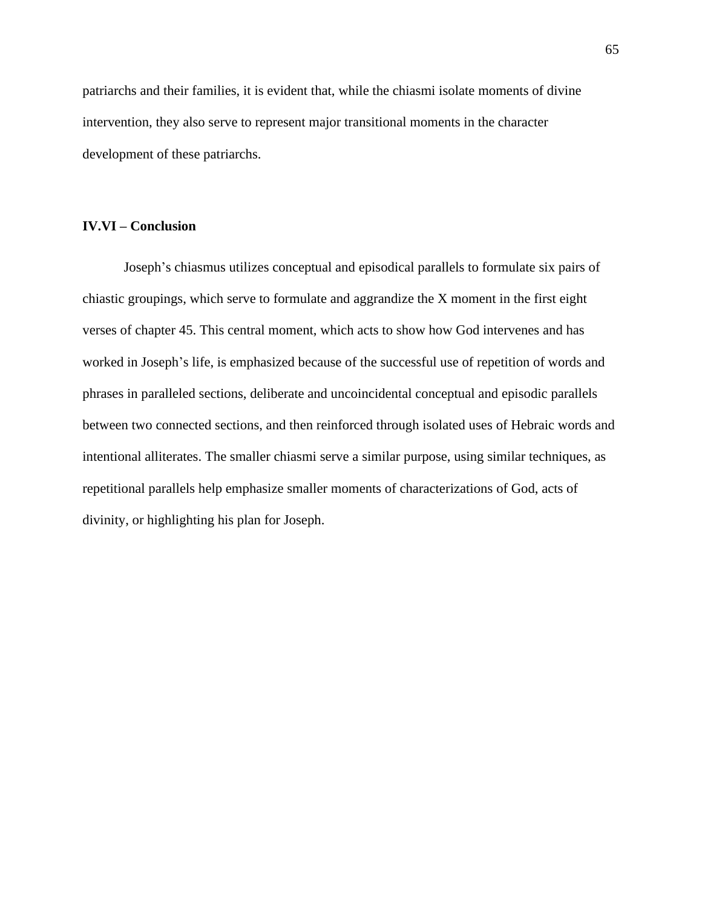patriarchs and their families, it is evident that, while the chiasmi isolate moments of divine intervention, they also serve to represent major transitional moments in the character development of these patriarchs.

# **IV.VI – Conclusion**

Joseph's chiasmus utilizes conceptual and episodical parallels to formulate six pairs of chiastic groupings, which serve to formulate and aggrandize the X moment in the first eight verses of chapter 45. This central moment, which acts to show how God intervenes and has worked in Joseph's life, is emphasized because of the successful use of repetition of words and phrases in paralleled sections, deliberate and uncoincidental conceptual and episodic parallels between two connected sections, and then reinforced through isolated uses of Hebraic words and intentional alliterates. The smaller chiasmi serve a similar purpose, using similar techniques, as repetitional parallels help emphasize smaller moments of characterizations of God, acts of divinity, or highlighting his plan for Joseph.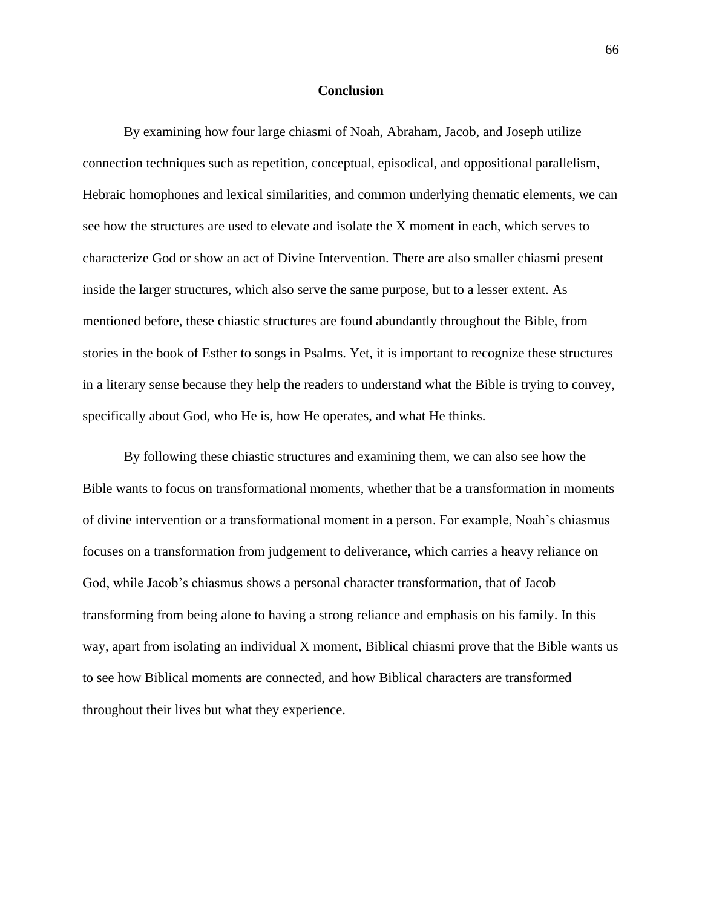#### **Conclusion**

By examining how four large chiasmi of Noah, Abraham, Jacob, and Joseph utilize connection techniques such as repetition, conceptual, episodical, and oppositional parallelism, Hebraic homophones and lexical similarities, and common underlying thematic elements, we can see how the structures are used to elevate and isolate the X moment in each, which serves to characterize God or show an act of Divine Intervention. There are also smaller chiasmi present inside the larger structures, which also serve the same purpose, but to a lesser extent. As mentioned before, these chiastic structures are found abundantly throughout the Bible, from stories in the book of Esther to songs in Psalms. Yet, it is important to recognize these structures in a literary sense because they help the readers to understand what the Bible is trying to convey, specifically about God, who He is, how He operates, and what He thinks.

By following these chiastic structures and examining them, we can also see how the Bible wants to focus on transformational moments, whether that be a transformation in moments of divine intervention or a transformational moment in a person. For example, Noah's chiasmus focuses on a transformation from judgement to deliverance, which carries a heavy reliance on God, while Jacob's chiasmus shows a personal character transformation, that of Jacob transforming from being alone to having a strong reliance and emphasis on his family. In this way, apart from isolating an individual X moment, Biblical chiasmi prove that the Bible wants us to see how Biblical moments are connected, and how Biblical characters are transformed throughout their lives but what they experience.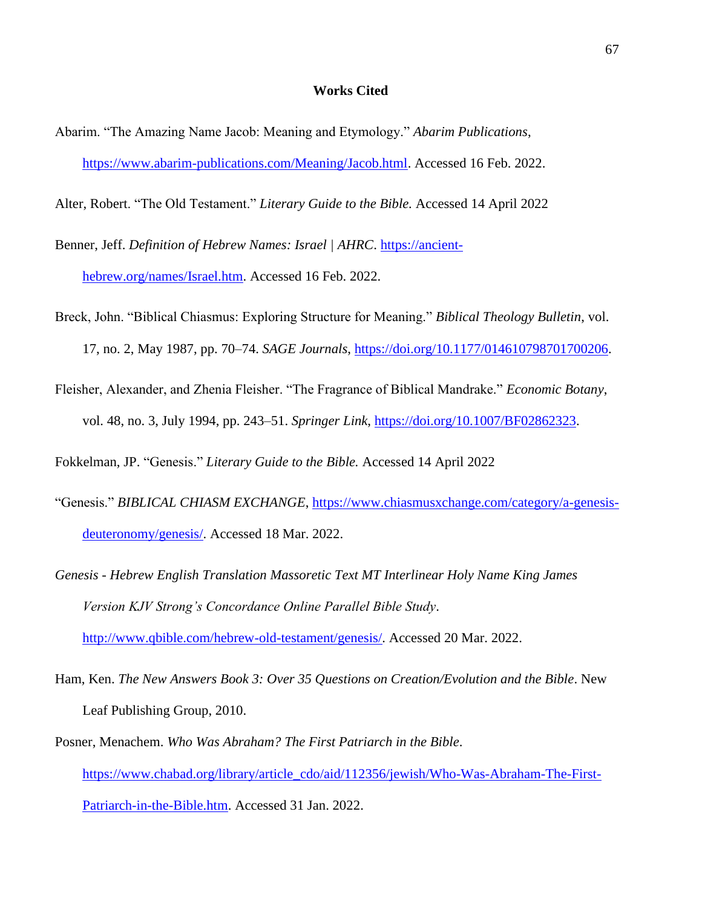#### **Works Cited**

- Abarim. "The Amazing Name Jacob: Meaning and Etymology." *Abarim Publications*, [https://www.abarim-publications.com/Meaning/Jacob.html.](https://www.abarim-publications.com/Meaning/Jacob.html) Accessed 16 Feb. 2022.
- Alter, Robert. "The Old Testament." *Literary Guide to the Bible.* Accessed 14 April 2022
- Benner, Jeff. *Definition of Hebrew Names: Israel | AHRC*. [https://ancient](https://ancient-hebrew.org/names/Israel.htm)[hebrew.org/names/Israel.htm.](https://ancient-hebrew.org/names/Israel.htm) Accessed 16 Feb. 2022.
- Breck, John. "Biblical Chiasmus: Exploring Structure for Meaning." *Biblical Theology Bulletin*, vol. 17, no. 2, May 1987, pp. 70–74. *SAGE Journals*, [https://doi.org/10.1177/014610798701700206.](https://doi.org/10.1177/014610798701700206)
- Fleisher, Alexander, and Zhenia Fleisher. "The Fragrance of Biblical Mandrake." *Economic Botany*, vol. 48, no. 3, July 1994, pp. 243–51. *Springer Link*, [https://doi.org/10.1007/BF02862323.](https://doi.org/10.1007/BF02862323)

Fokkelman, JP. "Genesis." *Literary Guide to the Bible.* Accessed 14 April 2022

- "Genesis." *BIBLICAL CHIASM EXCHANGE*, [https://www.chiasmusxchange.com/category/a-genesis](https://www.chiasmusxchange.com/category/a-genesis-deuteronomy/genesis/)[deuteronomy/genesis/.](https://www.chiasmusxchange.com/category/a-genesis-deuteronomy/genesis/) Accessed 18 Mar. 2022.
- *Genesis - Hebrew English Translation Massoretic Text MT Interlinear Holy Name King James Version KJV Strong's Concordance Online Parallel Bible Study*. [http://www.qbible.com/hebrew-old-testament/genesis/.](http://www.qbible.com/hebrew-old-testament/genesis/) Accessed 20 Mar. 2022.
- Ham, Ken. *The New Answers Book 3: Over 35 Questions on Creation/Evolution and the Bible*. New Leaf Publishing Group, 2010.
- Posner, Menachem. *Who Was Abraham? The First Patriarch in the Bible*. [https://www.chabad.org/library/article\\_cdo/aid/112356/jewish/Who-Was-Abraham-The-First-](https://www.chabad.org/library/article_cdo/aid/112356/jewish/Who-Was-Abraham-The-First-Patriarch-in-the-Bible.htm)[Patriarch-in-the-Bible.htm.](https://www.chabad.org/library/article_cdo/aid/112356/jewish/Who-Was-Abraham-The-First-Patriarch-in-the-Bible.htm) Accessed 31 Jan. 2022.